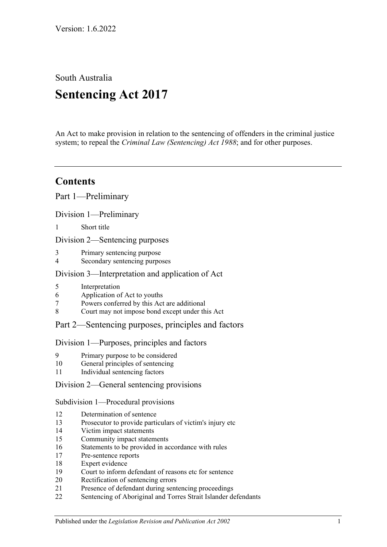South Australia

# **Sentencing Act 2017**

An Act to make provision in relation to the sentencing of offenders in the criminal justice system; to repeal the *[Criminal Law \(Sentencing\) Act](http://www.legislation.sa.gov.au/index.aspx?action=legref&type=act&legtitle=Criminal%20Law%20(Sentencing)%20Act%201988) 1988*; and for other purposes.

## **Contents**

Part [1—Preliminary](#page-4-0)

Division [1—Preliminary](#page-4-1)

1 [Short title](#page-4-2)

Division [2—Sentencing purposes](#page-4-3)

- 3 [Primary sentencing purpose](#page-4-4)
- 4 [Secondary sentencing purposes](#page-4-5)

### Division [3—Interpretation and application of Act](#page-5-0)

- 5 [Interpretation](#page-5-1)
- 6 [Application of Act to youths](#page-9-0)
- 7 [Powers conferred by this Act are additional](#page-9-1)
- 8 [Court may not impose bond except under this Act](#page-10-0)

### Part [2—Sentencing purposes, principles and factors](#page-10-1)

### Division [1—Purposes, principles and factors](#page-10-2)

- 9 [Primary purpose to be considered](#page-10-3)
- 10 [General principles of sentencing](#page-10-4)
- 11 [Individual sentencing factors](#page-10-5)

### Division [2—General sentencing provisions](#page-12-0)

Subdivision [1—Procedural provisions](#page-12-1)

- 12 [Determination of sentence](#page-12-2)
- 13 [Prosecutor to provide particulars of victim's injury etc](#page-12-3)
- 14 [Victim impact statements](#page-13-0)
- 15 [Community impact statements](#page-14-0)
- 16 [Statements to be provided in accordance with rules](#page-14-1)
- 17 [Pre-sentence reports](#page-14-2)
- 18 [Expert evidence](#page-15-0)
- 19 Court [to inform defendant of reasons etc for sentence](#page-16-0)
- 20 [Rectification of sentencing errors](#page-16-1)
- 21 [Presence of defendant during sentencing proceedings](#page-16-2)
- 22 [Sentencing of Aboriginal and Torres Strait Islander defendants](#page-17-0)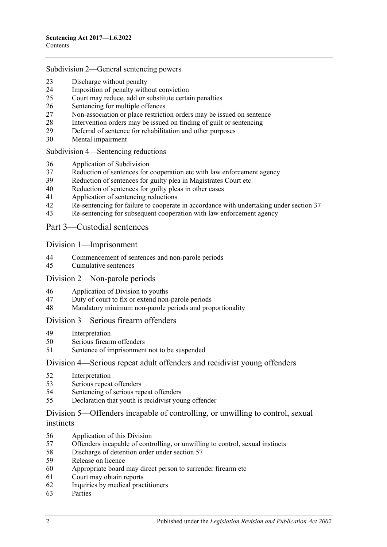#### Subdivision [2—General sentencing powers](#page-18-0)

- [Discharge without penalty](#page-18-1)
- [Imposition of penalty without conviction](#page-19-0)<br>25 Court may reduce, add or substitute certa
- [Court may reduce, add or substitute certain penalties](#page-19-1)
- [Sentencing for multiple offences](#page-20-0)
- [Non-association or place restriction orders may be issued on sentence](#page-21-0)
- [Intervention orders may be issued on finding of guilt or sentencing](#page-21-1)
- [Deferral of sentence for rehabilitation and other purposes](#page-22-0)
- [Mental impairment](#page-23-0)

#### Subdivision [4—Sentencing](#page-25-0) reductions

- [Application of Subdivision](#page-25-1)
- [Reduction of sentences for cooperation etc with law enforcement agency](#page-25-2)
- [Reduction of sentences for guilty plea in Magistrates Court etc](#page-26-0)
- [Reduction of sentences for guilty pleas in other cases](#page-28-0)
- [Application of sentencing reductions](#page-32-0)
- [Re-sentencing for failure to cooperate in accordance with undertaking under section](#page-33-0) 37
- [Re-sentencing for subsequent cooperation with law enforcement agency](#page-33-1)

### Part [3—Custodial sentences](#page-35-0)

### Division [1—Imprisonment](#page-35-1)

- [Commencement of sentences and non-parole periods](#page-35-2)
- [Cumulative sentences](#page-36-0)

### Division [2—Non-parole periods](#page-36-1)

- [Application of Division to youths](#page-36-2)
- [Duty of court to fix or extend non-parole periods](#page-36-3)
- [Mandatory minimum non-parole periods and proportionality](#page-40-0)

### Division [3—Serious firearm offenders](#page-40-1)

- [Interpretation](#page-40-2)
- [Serious firearm offenders](#page-42-0)
- [Sentence of imprisonment not to be suspended](#page-43-0)

### Division [4—Serious repeat adult offenders and recidivist young offenders](#page-43-1)

- [Interpretation](#page-43-2)
- [Serious repeat offenders](#page-44-0)
- [Sentencing of serious repeat offenders](#page-45-0)
- [Declaration that youth is recidivist young offender](#page-45-1)

### Division [5—Offenders incapable of controlling, or unwilling to control, sexual](#page-46-0)  [instincts](#page-46-0)

- [Application of this Division](#page-46-1)
- Offenders incapable of controlling, [or unwilling to control, sexual instincts](#page-46-2)
- [Discharge of detention order under section](#page-49-0) 57
- [Release on licence](#page-50-0)
- [Appropriate board may direct person to surrender firearm etc](#page-53-0)
- [Court may obtain reports](#page-53-1)
- [Inquiries by medical practitioners](#page-53-2)
- [Parties](#page-54-0)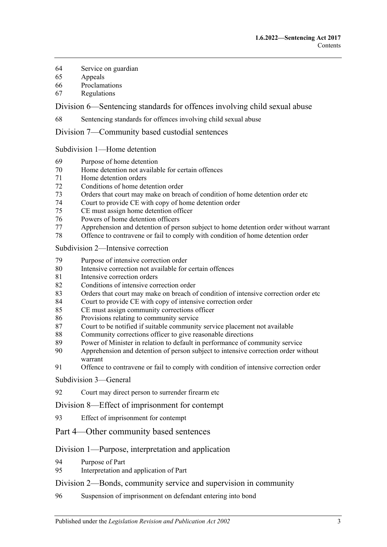- [Service on guardian](#page-54-1)
- [Appeals](#page-54-2)
- [Proclamations](#page-54-3)
- [Regulations](#page-55-0)

Division [6—Sentencing standards for offences involving child sexual abuse](#page-55-1)

[Sentencing standards for offences involving child sexual abuse](#page-55-2)

Division [7—Community based custodial sentences](#page-55-3)

Subdivision [1—Home detention](#page-55-4)

- [Purpose of home detention](#page-55-5)
- [Home detention not available for certain offences](#page-55-6)
- [Home detention orders](#page-56-0)
- [Conditions of home detention order](#page-61-0)
- [Orders that court may make on breach of condition of home detention order etc](#page-62-0)
- [Court to provide CE with copy of home detention order](#page-64-0)<br>75 CE must assign home detention officer
- [CE must assign home detention officer](#page-64-1)
- Powers of [home detention officers](#page-65-0)
- [Apprehension and detention of person subject to home detention order without warrant](#page-65-1)
- [Offence to contravene or fail to comply with condition of home detention order](#page-65-2)

Subdivision [2—Intensive correction](#page-65-3)

- [Purpose of intensive correction order](#page-65-4)
- [Intensive correction not available for certain offences](#page-66-0)
- [Intensive correction orders](#page-66-1)
- [Conditions of intensive correction order](#page-70-0)
- [Orders that court may make on breach of condition of intensive correction order etc](#page-72-0)
- [Court to provide CE with copy of intensive correction order](#page-74-0)
- [CE must assign community corrections officer](#page-74-1)
- [Provisions relating to community service](#page-75-0)
- [Court to be notified if suitable community service placement not available](#page-76-0)
- [Community corrections officer to give reasonable directions](#page-76-1)
- [Power of Minister in relation to default in performance of community service](#page-77-0)
- Apprehension and detention of [person subject to intensive correction order without](#page-77-1)  [warrant](#page-77-1)
- [Offence to contravene or fail to comply with condition of intensive correction order](#page-77-2)

[Subdivision](#page-77-3) 3—General

[Court may direct person to surrender firearm etc](#page-77-4)

Division [8—Effect of imprisonment for contempt](#page-78-0)

- [Effect of imprisonment for contempt](#page-78-1)
- Part [4—Other community based sentences](#page-78-2)

### Division [1—Purpose, interpretation and application](#page-78-3)

- [Purpose of Part](#page-78-4)
- [Interpretation and application of Part](#page-78-5)

### Division [2—Bonds, community service and supervision in community](#page-79-0)

[Suspension of imprisonment on defendant entering into bond](#page-79-1)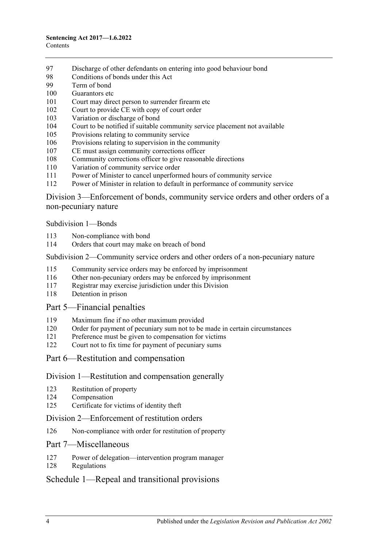- [Discharge of other defendants on entering into good behaviour bond](#page-84-0)
- [Conditions of bonds under this Act](#page-84-1)
- [Term of bond](#page-86-0)
- [Guarantors etc](#page-86-1)
- [Court may direct person to surrender firearm etc](#page-87-0)
- [Court to provide CE with copy of court order](#page-87-1)
- [Variation or discharge of bond](#page-87-2)
- [Court to be notified if suitable community service placement not available](#page-88-0)
- [Provisions relating to community service](#page-88-1)
- [Provisions relating to supervision in the community](#page-89-0)
- [CE must assign community corrections officer](#page-89-1)
- [Community corrections officer to give reasonable directions](#page-90-0)
- [Variation of community service order](#page-90-1)
- [Power of Minister to cancel unperformed hours of community service](#page-91-0)
- [Power of Minister in relation to default in performance of community service](#page-91-1)

Division [3—Enforcement of bonds, community service orders and other orders of a](#page-92-0)  [non-pecuniary nature](#page-92-0)

[Subdivision](#page-92-1) 1—Bonds

- [Non-compliance with bond](#page-92-2)
- [Orders that court may make on breach of bond](#page-93-0)

#### Subdivision [2—Community service orders and other orders of a non-pecuniary nature](#page-94-0)

- [Community service orders may be enforced by imprisonment](#page-94-1)
- [Other non-pecuniary orders may be enforced by imprisonment](#page-96-0)
- [Registrar may exercise jurisdiction under this Division](#page-96-1)
- [Detention in prison](#page-97-0)

### Part [5—Financial penalties](#page-97-1)

- [Maximum fine if no other maximum provided](#page-97-2)
- [Order for payment of pecuniary sum not to be made in certain circumstances](#page-97-3)
- [Preference must be given to compensation for victims](#page-97-4)
- [Court not to fix time for payment of pecuniary sums](#page-98-0)
- Part [6—Restitution and compensation](#page-98-1)

### Division [1—Restitution and compensation generally](#page-98-2)

- [Restitution of property](#page-98-3)
- [Compensation](#page-98-4)
- [Certificate for victims of identity theft](#page-99-0)

### Division [2—Enforcement of restitution orders](#page-100-0)

[Non-compliance with order for restitution of property](#page-100-1)

### Part [7—Miscellaneous](#page-101-0)

- [Power of delegation—intervention program manager](#page-101-1)
- [Regulations](#page-101-2)

### Schedule [1—Repeal and transitional provisions](#page-102-0)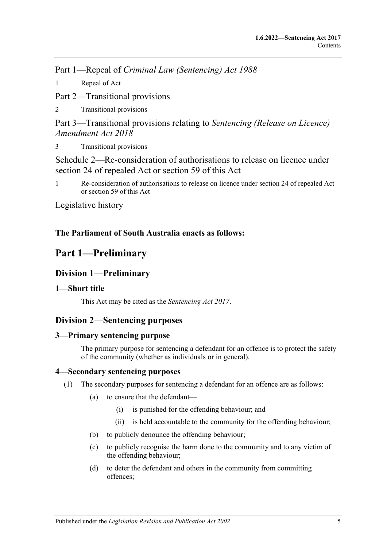Part 1—Repeal of *Criminal Law (Sentencing) Act 1988*

1 [Repeal of Act](#page-102-1)

Part 2—Transitional provisions

2 [Transitional provisions](#page-102-2)

Part 3—Transitional provisions relating to *Sentencing (Release on Licence) Amendment Act 2018*

3 [Transitional provisions](#page-102-3)

[Schedule 2—Re-consideration of authorisations to release on licence under](#page-103-0)  [section 24 of repealed Act or section](#page-103-0) 59 of this Act

1 [Re-consideration of authorisations to release on licence under section 24 of repealed Act](#page-103-1)  or [section](#page-50-0) 59 [of this Act](#page-103-1)

[Legislative history](#page-106-0)

### <span id="page-4-0"></span>**The Parliament of South Australia enacts as follows:**

## **Part 1—Preliminary**

### <span id="page-4-1"></span>**Division 1—Preliminary**

### <span id="page-4-2"></span>**1—Short title**

This Act may be cited as the *Sentencing Act 2017*.

### <span id="page-4-3"></span>**Division 2—Sentencing purposes**

### <span id="page-4-4"></span>**3—Primary sentencing purpose**

The primary purpose for sentencing a defendant for an offence is to protect the safety of the community (whether as individuals or in general).

### <span id="page-4-6"></span><span id="page-4-5"></span>**4—Secondary sentencing purposes**

- (1) The secondary purposes for sentencing a defendant for an offence are as follows:
	- (a) to ensure that the defendant—
		- (i) is punished for the offending behaviour; and
		- (ii) is held accountable to the community for the offending behaviour;
	- (b) to publicly denounce the offending behaviour;
	- (c) to publicly recognise the harm done to the community and to any victim of the offending behaviour;
	- (d) to deter the defendant and others in the community from committing offences;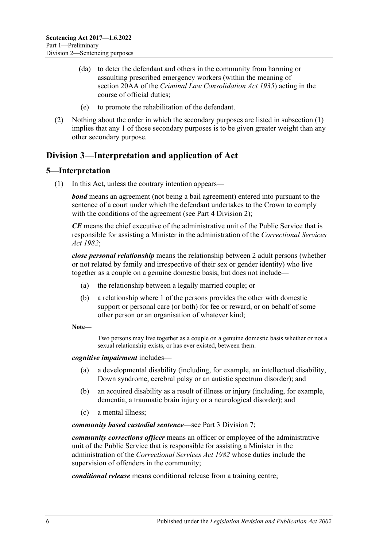- (da) to deter the defendant and others in the community from harming or assaulting prescribed emergency workers (within the meaning of section 20AA of the *[Criminal Law Consolidation Act](http://www.legislation.sa.gov.au/index.aspx?action=legref&type=act&legtitle=Criminal%20Law%20Consolidation%20Act%201935) 1935*) acting in the course of official duties;
- (e) to promote the rehabilitation of the defendant.
- (2) Nothing about the order in which the secondary purposes are listed in [subsection](#page-4-6) (1) implies that any 1 of those secondary purposes is to be given greater weight than any other secondary purpose.

## <span id="page-5-0"></span>**Division 3—Interpretation and application of Act**

### <span id="page-5-1"></span>**5—Interpretation**

(1) In this Act, unless the contrary intention appears—

*bond* means an agreement (not being a bail agreement) entered into pursuant to the sentence of a court under which the defendant undertakes to the Crown to comply with the conditions of the agreement (see Part [4 Division](#page-79-0) 2):

*CE* means the chief executive of the administrative unit of the Public Service that is responsible for assisting a Minister in the administration of the *[Correctional Services](http://www.legislation.sa.gov.au/index.aspx?action=legref&type=act&legtitle=Correctional%20Services%20Act%201982)  Act [1982](http://www.legislation.sa.gov.au/index.aspx?action=legref&type=act&legtitle=Correctional%20Services%20Act%201982)*;

*close personal relationship* means the relationship between 2 adult persons (whether or not related by family and irrespective of their sex or gender identity) who live together as a couple on a genuine domestic basis, but does not include—

- (a) the relationship between a legally married couple; or
- (b) a relationship where 1 of the persons provides the other with domestic support or personal care (or both) for fee or reward, or on behalf of some other person or an organisation of whatever kind;

**Note—**

Two persons may live together as a couple on a genuine domestic basis whether or not a sexual relationship exists, or has ever existed, between them.

*cognitive impairment* includes—

- (a) a developmental disability (including, for example, an intellectual disability, Down syndrome, cerebral palsy or an autistic spectrum disorder); and
- (b) an acquired disability as a result of illness or injury (including, for example, dementia, a traumatic brain injury or a neurological disorder); and
- (c) a mental illness;

*community based custodial sentence*—see Part [3 Division](#page-55-3) 7;

*community corrections officer* means an officer or employee of the administrative unit of the Public Service that is responsible for assisting a Minister in the administration of the *[Correctional Services Act](http://www.legislation.sa.gov.au/index.aspx?action=legref&type=act&legtitle=Correctional%20Services%20Act%201982) 1982* whose duties include the supervision of offenders in the community;

*conditional release* means conditional release from a training centre;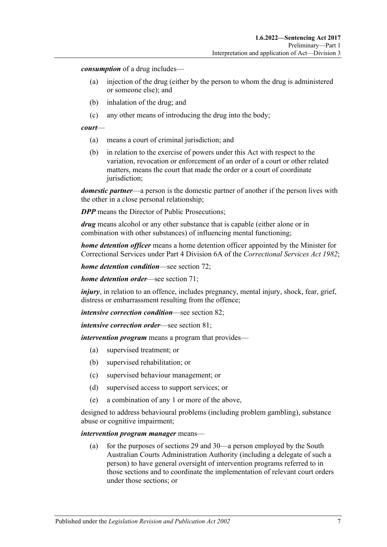*consumption* of a drug includes—

- (a) injection of the drug (either by the person to whom the drug is administered or someone else); and
- (b) inhalation of the drug; and
- (c) any other means of introducing the drug into the body;

#### *court*—

- (a) means a court of criminal jurisdiction; and
- (b) in relation to the exercise of powers under this Act with respect to the variation, revocation or enforcement of an order of a court or other related matters, means the court that made the order or a court of coordinate jurisdiction;

*domestic partner*—a person is the domestic partner of another if the person lives with the other in a close personal relationship;

*DPP* means the Director of Public Prosecutions:

*drug* means alcohol or any other substance that is capable (either alone or in combination with other substances) of influencing mental functioning;

*home detention officer* means a home detention officer appointed by the Minister for Correctional Services under Part 4 Division 6A of the *[Correctional Services Act](http://www.legislation.sa.gov.au/index.aspx?action=legref&type=act&legtitle=Correctional%20Services%20Act%201982) 1982*;

*home detention condition*—see [section](#page-61-0) 72;

*home detention order*—see [section](#page-56-0) 71;

*injury*, in relation to an offence, includes pregnancy, mental injury, shock, fear, grief, distress or embarrassment resulting from the offence;

*intensive correction condition*—see [section](#page-70-0) 82;

*intensive correction order*—see [section](#page-66-1) 81;

*intervention program* means a program that provides—

- (a) supervised treatment; or
- (b) supervised rehabilitation; or
- (c) supervised behaviour management; or
- (d) supervised access to support services; or
- (e) a combination of any 1 or more of the above,

designed to address behavioural problems (including problem gambling), substance abuse or cognitive impairment;

#### *intervention program manager* means—

(a) for the purposes of [sections](#page-22-0) 29 and [30—](#page-23-0)a person employed by the South Australian Courts Administration Authority (including a delegate of such a person) to have general oversight of intervention programs referred to in those sections and to coordinate the implementation of relevant court orders under those sections; or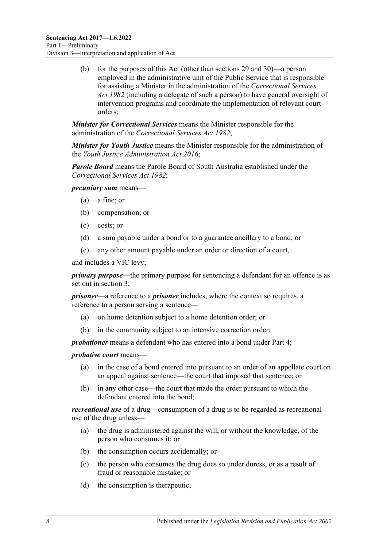(b) for the purposes of this Act (other than [sections](#page-22-0) 29 and [30\)](#page-23-0)—a person employed in the administrative unit of the Public Service that is responsible for assisting a Minister in the administration of the *[Correctional Services](http://www.legislation.sa.gov.au/index.aspx?action=legref&type=act&legtitle=Correctional%20Services%20Act%201982)  Act [1982](http://www.legislation.sa.gov.au/index.aspx?action=legref&type=act&legtitle=Correctional%20Services%20Act%201982)* (including a delegate of such a person) to have general oversight of intervention programs and coordinate the implementation of relevant court orders;

*Minister for Correctional Services* means the Minister responsible for the administration of the *[Correctional Services Act](http://www.legislation.sa.gov.au/index.aspx?action=legref&type=act&legtitle=Correctional%20Services%20Act%201982) 1982*;

*Minister for Youth Justice* means the Minister responsible for the administration of the *[Youth Justice Administration Act](http://www.legislation.sa.gov.au/index.aspx?action=legref&type=act&legtitle=Youth%20Justice%20Administration%20Act%202016) 2016*;

*Parole Board* means the Parole Board of South Australia established under the *[Correctional Services Act](http://www.legislation.sa.gov.au/index.aspx?action=legref&type=act&legtitle=Correctional%20Services%20Act%201982) 1982*;

*pecuniary sum* means—

- (a) a fine; or
- (b) compensation; or
- (c) costs; or
- (d) a sum payable under a bond or to a guarantee ancillary to a bond; or
- (e) any other amount payable under an order or direction of a court,

and includes a VIC levy;

*primary purpose*—the primary purpose for sentencing a defendant for an offence is as set out in [section](#page-4-4) 3;

*prisoner*—a reference to a *prisoner* includes, where the context so requires, a reference to a person serving a sentence—

- (a) on home detention subject to a home detention order; or
- (b) in the community subject to an intensive correction order;

*probationer* means a defendant who has entered into a bond under [Part](#page-78-2) 4;

*probative court* means—

- (a) in the case of a bond entered into pursuant to an order of an appellate court on an appeal against sentence—the court that imposed that sentence; or
- (b) in any other case—the court that made the order pursuant to which the defendant entered into the bond;

*recreational use* of a drug—consumption of a drug is to be regarded as recreational use of the drug unless—

- (a) the drug is administered against the will, or without the knowledge, of the person who consumes it; or
- (b) the consumption occurs accidentally; or
- (c) the person who consumes the drug does so under duress, or as a result of fraud or reasonable mistake; or
- (d) the consumption is therapeutic;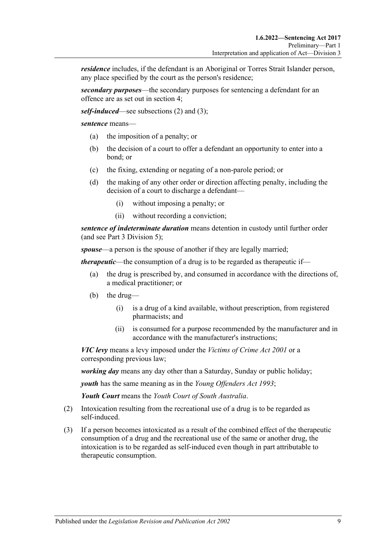*residence* includes, if the defendant is an Aboriginal or Torres Strait Islander person, any place specified by the court as the person's residence;

*secondary purposes*—the secondary purposes for sentencing a defendant for an offence are as set out in [section](#page-4-5) 4;

*self-induced*—see [subsections \(2\)](#page-8-0) and [\(3\);](#page-8-1)

*sentence* means—

- (a) the imposition of a penalty; or
- (b) the decision of a court to offer a defendant an opportunity to enter into a bond; or
- (c) the fixing, extending or negating of a non-parole period; or
- (d) the making of any other order or direction affecting penalty, including the decision of a court to discharge a defendant—
	- (i) without imposing a penalty; or
	- (ii) without recording a conviction;

*sentence of indeterminate duration* means detention in custody until further order (and see Part [3 Division](#page-46-0) 5);

*spouse*—a person is the spouse of another if they are legally married;

*therapeutic*—the consumption of a drug is to be regarded as therapeutic if—

- (a) the drug is prescribed by, and consumed in accordance with the directions of, a medical practitioner; or
- (b) the drug—
	- (i) is a drug of a kind available, without prescription, from registered pharmacists; and
	- (ii) is consumed for a purpose recommended by the manufacturer and in accordance with the manufacturer's instructions;

*VIC levy* means a levy imposed under the *[Victims of Crime Act](http://www.legislation.sa.gov.au/index.aspx?action=legref&type=act&legtitle=Victims%20of%20Crime%20Act%202001) 2001* or a corresponding previous law;

*working day* means any day other than a Saturday, Sunday or public holiday;

*youth* has the same meaning as in the *[Young Offenders Act](http://www.legislation.sa.gov.au/index.aspx?action=legref&type=act&legtitle=Young%20Offenders%20Act%201993) 1993*;

*Youth Court* means the *Youth Court of South Australia*.

- <span id="page-8-0"></span>(2) Intoxication resulting from the recreational use of a drug is to be regarded as self-induced.
- <span id="page-8-1"></span>(3) If a person becomes intoxicated as a result of the combined effect of the therapeutic consumption of a drug and the recreational use of the same or another drug, the intoxication is to be regarded as self-induced even though in part attributable to therapeutic consumption.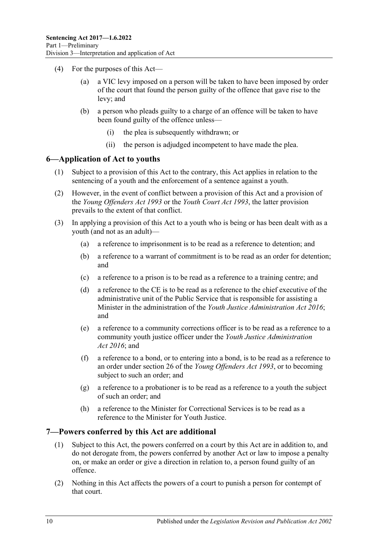- (4) For the purposes of this Act
	- a VIC levy imposed on a person will be taken to have been imposed by order of the court that found the person guilty of the offence that gave rise to the levy; and
	- (b) a person who pleads guilty to a charge of an offence will be taken to have been found guilty of the offence unless—
		- (i) the plea is subsequently withdrawn; or
		- (ii) the person is adjudged incompetent to have made the plea.

### <span id="page-9-0"></span>**6—Application of Act to youths**

- (1) Subject to a provision of this Act to the contrary, this Act applies in relation to the sentencing of a youth and the enforcement of a sentence against a youth.
- (2) However, in the event of conflict between a provision of this Act and a provision of the *[Young Offenders Act](http://www.legislation.sa.gov.au/index.aspx?action=legref&type=act&legtitle=Young%20Offenders%20Act%201993) 1993* or the *[Youth Court Act](http://www.legislation.sa.gov.au/index.aspx?action=legref&type=act&legtitle=Youth%20Court%20Act%201993) 1993*, the latter provision prevails to the extent of that conflict.
- (3) In applying a provision of this Act to a youth who is being or has been dealt with as a youth (and not as an adult)—
	- (a) a reference to imprisonment is to be read as a reference to detention; and
	- (b) a reference to a warrant of commitment is to be read as an order for detention; and
	- (c) a reference to a prison is to be read as a reference to a training centre; and
	- (d) a reference to the CE is to be read as a reference to the chief executive of the administrative unit of the Public Service that is responsible for assisting a Minister in the administration of the *[Youth Justice Administration Act](http://www.legislation.sa.gov.au/index.aspx?action=legref&type=act&legtitle=Youth%20Justice%20Administration%20Act%202016) 2016*; and
	- (e) a reference to a community corrections officer is to be read as a reference to a community youth justice officer under the *[Youth Justice Administration](http://www.legislation.sa.gov.au/index.aspx?action=legref&type=act&legtitle=Youth%20Justice%20Administration%20Act%202016)  Act [2016](http://www.legislation.sa.gov.au/index.aspx?action=legref&type=act&legtitle=Youth%20Justice%20Administration%20Act%202016)*; and
	- (f) a reference to a bond, or to entering into a bond, is to be read as a reference to an order under section 26 of the *[Young Offenders Act](http://www.legislation.sa.gov.au/index.aspx?action=legref&type=act&legtitle=Young%20Offenders%20Act%201993) 1993*, or to becoming subject to such an order; and
	- (g) a reference to a probationer is to be read as a reference to a youth the subject of such an order; and
	- (h) a reference to the Minister for Correctional Services is to be read as a reference to the Minister for Youth Justice.

### <span id="page-9-1"></span>**7—Powers conferred by this Act are additional**

- (1) Subject to this Act, the powers conferred on a court by this Act are in addition to, and do not derogate from, the powers conferred by another Act or law to impose a penalty on, or make an order or give a direction in relation to, a person found guilty of an offence.
- (2) Nothing in this Act affects the powers of a court to punish a person for contempt of that court.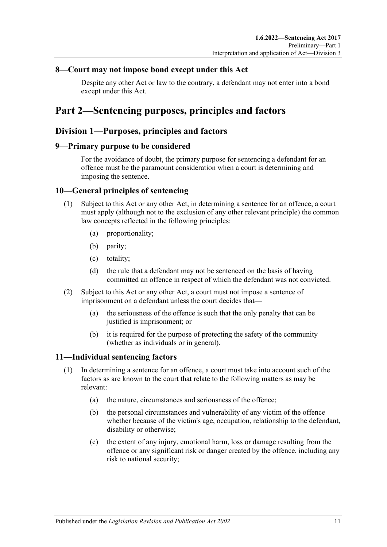### <span id="page-10-0"></span>**8—Court may not impose bond except under this Act**

Despite any other Act or law to the contrary, a defendant may not enter into a bond except under this Act.

## <span id="page-10-1"></span>**Part 2—Sentencing purposes, principles and factors**

### <span id="page-10-2"></span>**Division 1—Purposes, principles and factors**

### <span id="page-10-3"></span>**9—Primary purpose to be considered**

For the avoidance of doubt, the primary purpose for sentencing a defendant for an offence must be the paramount consideration when a court is determining and imposing the sentence.

### <span id="page-10-4"></span>**10—General principles of sentencing**

- (1) Subject to this Act or any other Act, in determining a sentence for an offence, a court must apply (although not to the exclusion of any other relevant principle) the common law concepts reflected in the following principles:
	- (a) proportionality;
	- (b) parity;
	- (c) totality;
	- (d) the rule that a defendant may not be sentenced on the basis of having committed an offence in respect of which the defendant was not convicted.
- (2) Subject to this Act or any other Act, a court must not impose a sentence of imprisonment on a defendant unless the court decides that—
	- (a) the seriousness of the offence is such that the only penalty that can be justified is imprisonment; or
	- (b) it is required for the purpose of protecting the safety of the community (whether as individuals or in general).

### <span id="page-10-6"></span><span id="page-10-5"></span>**11—Individual sentencing factors**

- <span id="page-10-7"></span>(1) In determining a sentence for an offence, a court must take into account such of the factors as are known to the court that relate to the following matters as may be relevant:
	- (a) the nature, circumstances and seriousness of the offence;
	- (b) the personal circumstances and vulnerability of any victim of the offence whether because of the victim's age, occupation, relationship to the defendant, disability or otherwise;
	- (c) the extent of any injury, emotional harm, loss or damage resulting from the offence or any significant risk or danger created by the offence, including any risk to national security;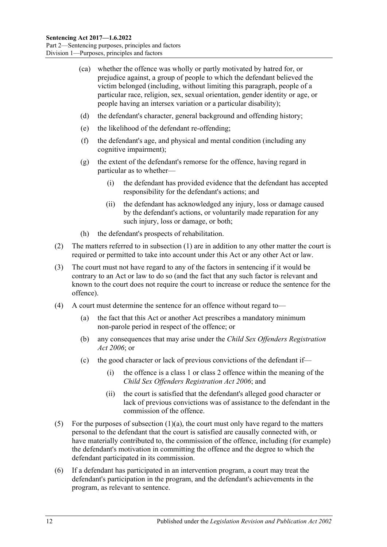- (ca) whether the offence was wholly or partly motivated by hatred for, or prejudice against, a group of people to which the defendant believed the victim belonged (including, without limiting this paragraph, people of a particular race, religion, sex, sexual orientation, gender identity or age, or people having an intersex variation or a particular disability);
- (d) the defendant's character, general background and offending history;
- (e) the likelihood of the defendant re-offending;
- (f) the defendant's age, and physical and mental condition (including any cognitive impairment);
- (g) the extent of the defendant's remorse for the offence, having regard in particular as to whether—
	- (i) the defendant has provided evidence that the defendant has accepted responsibility for the defendant's actions; and
	- (ii) the defendant has acknowledged any injury, loss or damage caused by the defendant's actions, or voluntarily made reparation for any such injury, loss or damage, or both;
- (h) the defendant's prospects of rehabilitation.
- (2) The matters referred to in [subsection](#page-10-6) (1) are in addition to any other matter the court is required or permitted to take into account under this Act or any other Act or law.
- (3) The court must not have regard to any of the factors in sentencing if it would be contrary to an Act or law to do so (and the fact that any such factor is relevant and known to the court does not require the court to increase or reduce the sentence for the offence).
- (4) A court must determine the sentence for an offence without regard to—
	- (a) the fact that this Act or another Act prescribes a mandatory minimum non-parole period in respect of the offence; or
	- (b) any consequences that may arise under the *[Child Sex Offenders Registration](http://www.legislation.sa.gov.au/index.aspx?action=legref&type=act&legtitle=Child%20Sex%20Offenders%20Registration%20Act%202006)  Act [2006](http://www.legislation.sa.gov.au/index.aspx?action=legref&type=act&legtitle=Child%20Sex%20Offenders%20Registration%20Act%202006)*; or
	- (c) the good character or lack of previous convictions of the defendant if—
		- (i) the offence is a class 1 or class 2 offence within the meaning of the *[Child Sex Offenders Registration Act](http://www.legislation.sa.gov.au/index.aspx?action=legref&type=act&legtitle=Child%20Sex%20Offenders%20Registration%20Act%202006) 2006*; and
		- (ii) the court is satisfied that the defendant's alleged good character or lack of previous convictions was of assistance to the defendant in the commission of the offence.
- (5) For the purposes of [subsection](#page-10-7)  $(1)(a)$ , the court must only have regard to the matters personal to the defendant that the court is satisfied are causally connected with, or have materially contributed to, the commission of the offence, including (for example) the defendant's motivation in committing the offence and the degree to which the defendant participated in its commission.
- (6) If a defendant has participated in an intervention program, a court may treat the defendant's participation in the program, and the defendant's achievements in the program, as relevant to sentence.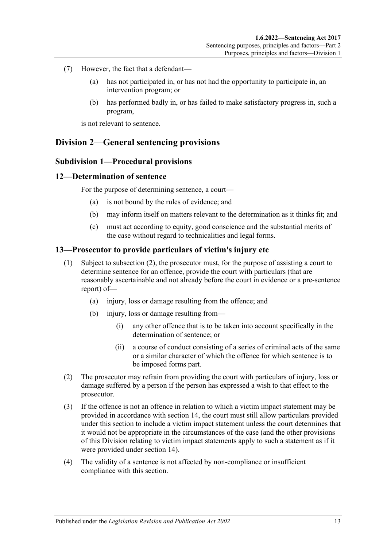- (7) However, the fact that a defendant—
	- (a) has not participated in, or has not had the opportunity to participate in, an intervention program; or
	- (b) has performed badly in, or has failed to make satisfactory progress in, such a program,

is not relevant to sentence.

### <span id="page-12-1"></span><span id="page-12-0"></span>**Division 2—General sentencing provisions**

### **Subdivision 1—Procedural provisions**

### <span id="page-12-2"></span>**12—Determination of sentence**

For the purpose of determining sentence, a court—

- (a) is not bound by the rules of evidence; and
- (b) may inform itself on matters relevant to the determination as it thinks fit; and
- (c) must act according to equity, good conscience and the substantial merits of the case without regard to technicalities and legal forms.

### <span id="page-12-3"></span>**13—Prosecutor to provide particulars of victim's injury etc**

- (1) Subject to [subsection](#page-12-4) (2), the prosecutor must, for the purpose of assisting a court to determine sentence for an offence, provide the court with particulars (that are reasonably ascertainable and not already before the court in evidence or a pre-sentence report) of—
	- (a) injury, loss or damage resulting from the offence; and
	- (b) injury, loss or damage resulting from—
		- (i) any other offence that is to be taken into account specifically in the determination of sentence; or
		- (ii) a course of conduct consisting of a series of criminal acts of the same or a similar character of which the offence for which sentence is to be imposed forms part.
- <span id="page-12-4"></span>(2) The prosecutor may refrain from providing the court with particulars of injury, loss or damage suffered by a person if the person has expressed a wish to that effect to the prosecutor.
- (3) If the offence is not an offence in relation to which a victim impact statement may be provided in accordance with [section](#page-13-0) 14, the court must still allow particulars provided under this section to include a victim impact statement unless the court determines that it would not be appropriate in the circumstances of the case (and the other provisions of this Division relating to victim impact statements apply to such a statement as if it were provided under [section](#page-13-0) 14).
- (4) The validity of a sentence is not affected by non-compliance or insufficient compliance with this section.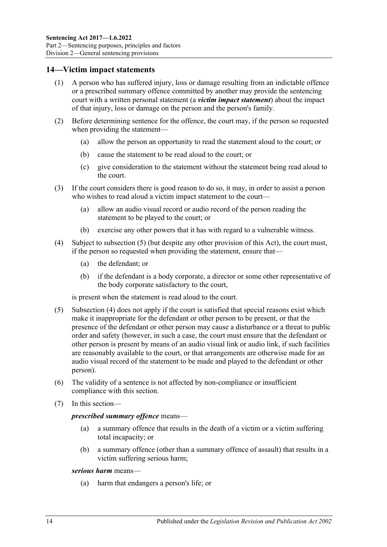### <span id="page-13-0"></span>**14—Victim impact statements**

- (1) A person who has suffered injury, loss or damage resulting from an indictable offence or a prescribed summary offence committed by another may provide the sentencing court with a written personal statement (a *victim impact statement*) about the impact of that injury, loss or damage on the person and the person's family.
- (2) Before determining sentence for the offence, the court may, if the person so requested when providing the statement—
	- (a) allow the person an opportunity to read the statement aloud to the court; or
	- (b) cause the statement to be read aloud to the court; or
	- (c) give consideration to the statement without the statement being read aloud to the court.
- (3) If the court considers there is good reason to do so, it may, in order to assist a person who wishes to read aloud a victim impact statement to the court—
	- (a) allow an audio visual record or audio record of the person reading the statement to be played to the court; or
	- (b) exercise any other powers that it has with regard to a vulnerable witness.
- <span id="page-13-2"></span>(4) Subject to [subsection](#page-13-1) (5) (but despite any other provision of this Act), the court must, if the person so requested when providing the statement, ensure that—
	- (a) the defendant; or
	- (b) if the defendant is a body corporate, a director or some other representative of the body corporate satisfactory to the court,

is present when the statement is read aloud to the court.

- <span id="page-13-1"></span>(5) [Subsection](#page-13-2) (4) does not apply if the court is satisfied that special reasons exist which make it inappropriate for the defendant or other person to be present, or that the presence of the defendant or other person may cause a disturbance or a threat to public order and safety (however, in such a case, the court must ensure that the defendant or other person is present by means of an audio visual link or audio link, if such facilities are reasonably available to the court, or that arrangements are otherwise made for an audio visual record of the statement to be made and played to the defendant or other person).
- (6) The validity of a sentence is not affected by non-compliance or insufficient compliance with this section.
- (7) In this section—

#### *prescribed summary offence* means—

- (a) a summary offence that results in the death of a victim or a victim suffering total incapacity; or
- (b) a summary offence (other than a summary offence of assault) that results in a victim suffering serious harm;

#### *serious harm* means—

(a) harm that endangers a person's life; or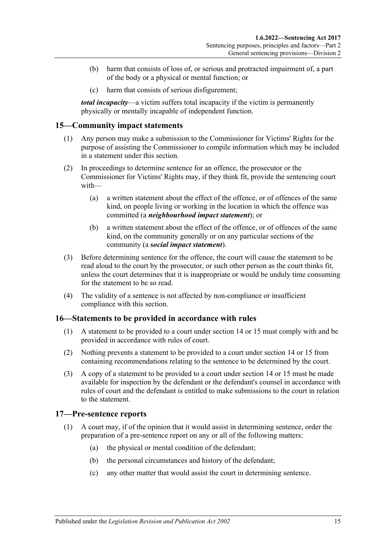- (b) harm that consists of loss of, or serious and protracted impairment of, a part of the body or a physical or mental function; or
- (c) harm that consists of serious disfigurement;

*total incapacity*—a victim suffers total incapacity if the victim is permanently physically or mentally incapable of independent function.

### <span id="page-14-0"></span>**15—Community impact statements**

- (1) Any person may make a submission to the Commissioner for Victims' Rights for the purpose of assisting the Commissioner to compile information which may be included in a statement under this section.
- (2) In proceedings to determine sentence for an offence, the prosecutor or the Commissioner for Victims' Rights may, if they think fit, provide the sentencing court with—
	- (a) a written statement about the effect of the offence, or of offences of the same kind, on people living or working in the location in which the offence was committed (a *neighbourhood impact statement*); or
	- (b) a written statement about the effect of the offence, or of offences of the same kind, on the community generally or on any particular sections of the community (a *social impact statement*).
- (3) Before determining sentence for the offence, the court will cause the statement to be read aloud to the court by the prosecutor, or such other person as the court thinks fit, unless the court determines that it is inappropriate or would be unduly time consuming for the statement to be so read.
- (4) The validity of a sentence is not affected by non-compliance or insufficient compliance with this section.

### <span id="page-14-1"></span>**16—Statements to be provided in accordance with rules**

- (1) A statement to be provided to a court under [section](#page-13-0) 14 or [15](#page-14-0) must comply with and be provided in accordance with rules of court.
- (2) Nothing prevents a statement to be provided to a court under [section](#page-13-0) 14 or [15](#page-14-0) from containing recommendations relating to the sentence to be determined by the court.
- (3) A copy of a statement to be provided to a court under [section](#page-13-0) 14 or [15](#page-14-0) must be made available for inspection by the defendant or the defendant's counsel in accordance with rules of court and the defendant is entitled to make submissions to the court in relation to the statement.

### <span id="page-14-2"></span>**17—Pre-sentence reports**

- (1) A court may, if of the opinion that it would assist in determining sentence, order the preparation of a pre-sentence report on any or all of the following matters:
	- (a) the physical or mental condition of the defendant;
	- (b) the personal circumstances and history of the defendant;
	- (c) any other matter that would assist the court in determining sentence.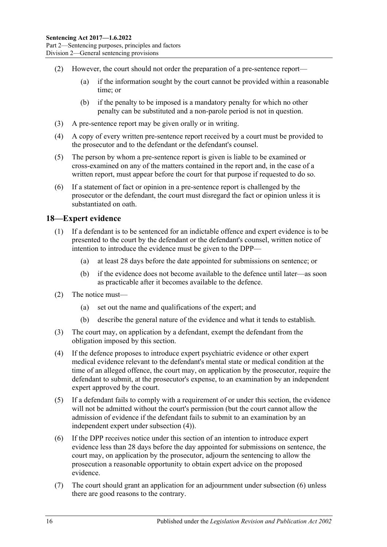- (2) However, the court should not order the preparation of a pre-sentence report—
	- (a) if the information sought by the court cannot be provided within a reasonable time; or
	- (b) if the penalty to be imposed is a mandatory penalty for which no other penalty can be substituted and a non-parole period is not in question.
- (3) A pre-sentence report may be given orally or in writing.
- (4) A copy of every written pre-sentence report received by a court must be provided to the prosecutor and to the defendant or the defendant's counsel.
- (5) The person by whom a pre-sentence report is given is liable to be examined or cross-examined on any of the matters contained in the report and, in the case of a written report, must appear before the court for that purpose if requested to do so.
- (6) If a statement of fact or opinion in a pre-sentence report is challenged by the prosecutor or the defendant, the court must disregard the fact or opinion unless it is substantiated on oath.

### <span id="page-15-0"></span>**18—Expert evidence**

- (1) If a defendant is to be sentenced for an indictable offence and expert evidence is to be presented to the court by the defendant or the defendant's counsel, written notice of intention to introduce the evidence must be given to the DPP—
	- (a) at least 28 days before the date appointed for submissions on sentence; or
	- (b) if the evidence does not become available to the defence until later—as soon as practicable after it becomes available to the defence.
- (2) The notice must—
	- (a) set out the name and qualifications of the expert; and
	- (b) describe the general nature of the evidence and what it tends to establish.
- (3) The court may, on application by a defendant, exempt the defendant from the obligation imposed by this section.
- <span id="page-15-1"></span>(4) If the defence proposes to introduce expert psychiatric evidence or other expert medical evidence relevant to the defendant's mental state or medical condition at the time of an alleged offence, the court may, on application by the prosecutor, require the defendant to submit, at the prosecutor's expense, to an examination by an independent expert approved by the court.
- (5) If a defendant fails to comply with a requirement of or under this section, the evidence will not be admitted without the court's permission (but the court cannot allow the admission of evidence if the defendant fails to submit to an examination by an independent expert under [subsection](#page-15-1) (4)).
- <span id="page-15-2"></span>(6) If the DPP receives notice under this section of an intention to introduce expert evidence less than 28 days before the day appointed for submissions on sentence, the court may, on application by the prosecutor, adjourn the sentencing to allow the prosecution a reasonable opportunity to obtain expert advice on the proposed evidence.
- (7) The court should grant an application for an adjournment under [subsection](#page-15-2) (6) unless there are good reasons to the contrary.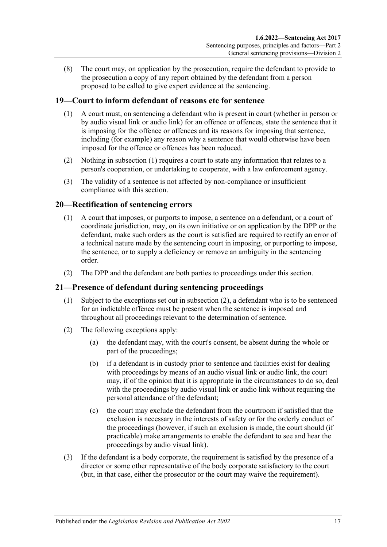(8) The court may, on application by the prosecution, require the defendant to provide to the prosecution a copy of any report obtained by the defendant from a person proposed to be called to give expert evidence at the sentencing.

### <span id="page-16-3"></span><span id="page-16-0"></span>**19—Court to inform defendant of reasons etc for sentence**

- (1) A court must, on sentencing a defendant who is present in court (whether in person or by audio visual link or audio link) for an offence or offences, state the sentence that it is imposing for the offence or offences and its reasons for imposing that sentence, including (for example) any reason why a sentence that would otherwise have been imposed for the offence or offences has been reduced.
- (2) Nothing in [subsection](#page-16-3) (1) requires a court to state any information that relates to a person's cooperation, or undertaking to cooperate, with a law enforcement agency.
- (3) The validity of a sentence is not affected by non-compliance or insufficient compliance with this section.

### <span id="page-16-1"></span>**20—Rectification of sentencing errors**

- (1) A court that imposes, or purports to impose, a sentence on a defendant, or a court of coordinate jurisdiction, may, on its own initiative or on application by the DPP or the defendant, make such orders as the court is satisfied are required to rectify an error of a technical nature made by the sentencing court in imposing, or purporting to impose, the sentence, or to supply a deficiency or remove an ambiguity in the sentencing order.
- (2) The DPP and the defendant are both parties to proceedings under this section.

### <span id="page-16-2"></span>**21—Presence of defendant during sentencing proceedings**

- (1) Subject to the exceptions set out in [subsection](#page-16-4) (2), a defendant who is to be sentenced for an indictable offence must be present when the sentence is imposed and throughout all proceedings relevant to the determination of sentence.
- <span id="page-16-4"></span>(2) The following exceptions apply:
	- (a) the defendant may, with the court's consent, be absent during the whole or part of the proceedings;
	- (b) if a defendant is in custody prior to sentence and facilities exist for dealing with proceedings by means of an audio visual link or audio link, the court may, if of the opinion that it is appropriate in the circumstances to do so, deal with the proceedings by audio visual link or audio link without requiring the personal attendance of the defendant;
	- (c) the court may exclude the defendant from the courtroom if satisfied that the exclusion is necessary in the interests of safety or for the orderly conduct of the proceedings (however, if such an exclusion is made, the court should (if practicable) make arrangements to enable the defendant to see and hear the proceedings by audio visual link).
- (3) If the defendant is a body corporate, the requirement is satisfied by the presence of a director or some other representative of the body corporate satisfactory to the court (but, in that case, either the prosecutor or the court may waive the requirement).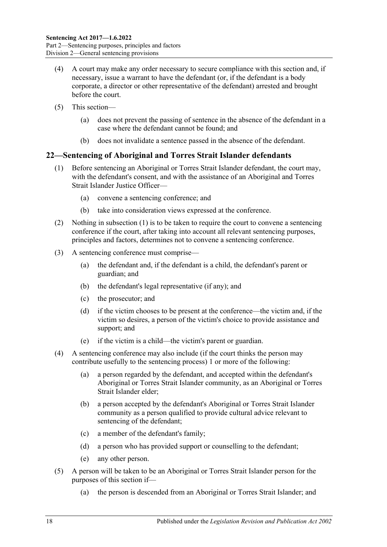- (4) A court may make any order necessary to secure compliance with this section and, if necessary, issue a warrant to have the defendant (or, if the defendant is a body corporate, a director or other representative of the defendant) arrested and brought before the court.
- (5) This section—
	- (a) does not prevent the passing of sentence in the absence of the defendant in a case where the defendant cannot be found; and
	- (b) does not invalidate a sentence passed in the absence of the defendant.

### <span id="page-17-1"></span><span id="page-17-0"></span>**22—Sentencing of Aboriginal and Torres Strait Islander defendants**

- (1) Before sentencing an Aboriginal or Torres Strait Islander defendant, the court may, with the defendant's consent, and with the assistance of an Aboriginal and Torres Strait Islander Justice Officer—
	- (a) convene a sentencing conference; and
	- (b) take into consideration views expressed at the conference.
- (2) Nothing in [subsection](#page-17-1) (1) is to be taken to require the court to convene a sentencing conference if the court, after taking into account all relevant sentencing purposes, principles and factors, determines not to convene a sentencing conference.
- (3) A sentencing conference must comprise—
	- (a) the defendant and, if the defendant is a child, the defendant's parent or guardian; and
	- (b) the defendant's legal representative (if any); and
	- (c) the prosecutor; and
	- (d) if the victim chooses to be present at the conference—the victim and, if the victim so desires, a person of the victim's choice to provide assistance and support; and
	- (e) if the victim is a child—the victim's parent or guardian.
- (4) A sentencing conference may also include (if the court thinks the person may contribute usefully to the sentencing process) 1 or more of the following:
	- (a) a person regarded by the defendant, and accepted within the defendant's Aboriginal or Torres Strait Islander community, as an Aboriginal or Torres Strait Islander elder;
	- (b) a person accepted by the defendant's Aboriginal or Torres Strait Islander community as a person qualified to provide cultural advice relevant to sentencing of the defendant;
	- (c) a member of the defendant's family;
	- (d) a person who has provided support or counselling to the defendant;
	- (e) any other person.
- (5) A person will be taken to be an Aboriginal or Torres Strait Islander person for the purposes of this section if—
	- (a) the person is descended from an Aboriginal or Torres Strait Islander; and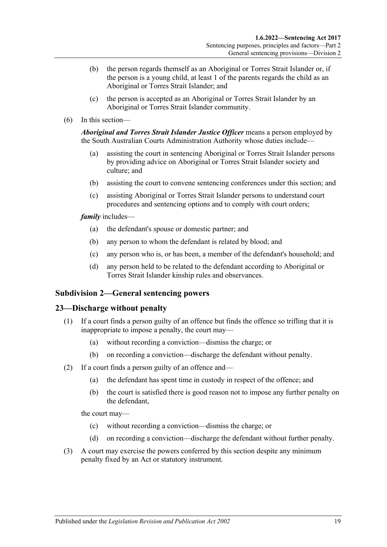- (b) the person regards themself as an Aboriginal or Torres Strait Islander or, if the person is a young child, at least 1 of the parents regards the child as an Aboriginal or Torres Strait Islander; and
- (c) the person is accepted as an Aboriginal or Torres Strait Islander by an Aboriginal or Torres Strait Islander community.
- (6) In this section—

*Aboriginal and Torres Strait Islander Justice Officer* means a person employed by the South Australian Courts Administration Authority whose duties include—

- (a) assisting the court in sentencing Aboriginal or Torres Strait Islander persons by providing advice on Aboriginal or Torres Strait Islander society and culture; and
- (b) assisting the court to convene sentencing conferences under this section; and
- (c) assisting Aboriginal or Torres Strait Islander persons to understand court procedures and sentencing options and to comply with court orders;

*family* includes—

- (a) the defendant's spouse or domestic partner; and
- (b) any person to whom the defendant is related by blood; and
- (c) any person who is, or has been, a member of the defendant's household; and
- (d) any person held to be related to the defendant according to Aboriginal or Torres Strait Islander kinship rules and observances.

### <span id="page-18-0"></span>**Subdivision 2—General sentencing powers**

### <span id="page-18-1"></span>**23—Discharge without penalty**

- (1) If a court finds a person guilty of an offence but finds the offence so trifling that it is inappropriate to impose a penalty, the court may—
	- (a) without recording a conviction—dismiss the charge; or
	- (b) on recording a conviction—discharge the defendant without penalty.
- (2) If a court finds a person guilty of an offence and—
	- (a) the defendant has spent time in custody in respect of the offence; and
	- (b) the court is satisfied there is good reason not to impose any further penalty on the defendant,

the court may—

- (c) without recording a conviction—dismiss the charge; or
- (d) on recording a conviction—discharge the defendant without further penalty.
- (3) A court may exercise the powers conferred by this section despite any minimum penalty fixed by an Act or statutory instrument.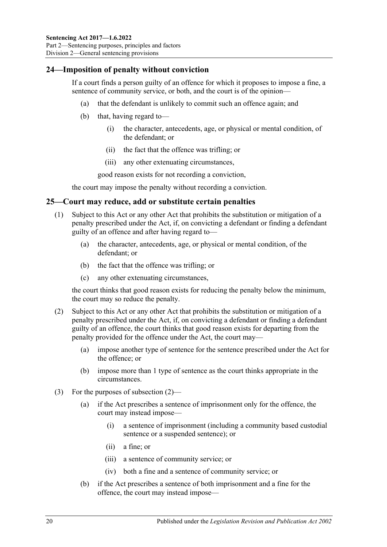### <span id="page-19-0"></span>**24—Imposition of penalty without conviction**

If a court finds a person guilty of an offence for which it proposes to impose a fine, a sentence of community service, or both, and the court is of the opinion—

- (a) that the defendant is unlikely to commit such an offence again; and
- (b) that, having regard to—
	- (i) the character, antecedents, age, or physical or mental condition, of the defendant; or
	- (ii) the fact that the offence was trifling; or
	- (iii) any other extenuating circumstances,

good reason exists for not recording a conviction,

the court may impose the penalty without recording a conviction.

### <span id="page-19-1"></span>**25—Court may reduce, add or substitute certain penalties**

- (1) Subject to this Act or any other Act that prohibits the substitution or mitigation of a penalty prescribed under the Act, if, on convicting a defendant or finding a defendant guilty of an offence and after having regard to—
	- (a) the character, antecedents, age, or physical or mental condition, of the defendant; or
	- (b) the fact that the offence was trifling; or
	- (c) any other extenuating circumstances,

the court thinks that good reason exists for reducing the penalty below the minimum, the court may so reduce the penalty.

- <span id="page-19-2"></span>(2) Subject to this Act or any other Act that prohibits the substitution or mitigation of a penalty prescribed under the Act, if, on convicting a defendant or finding a defendant guilty of an offence, the court thinks that good reason exists for departing from the penalty provided for the offence under the Act, the court may—
	- (a) impose another type of sentence for the sentence prescribed under the Act for the offence; or
	- (b) impose more than 1 type of sentence as the court thinks appropriate in the circumstances.
- (3) For the purposes of [subsection](#page-19-2) (2)—
	- (a) if the Act prescribes a sentence of imprisonment only for the offence, the court may instead impose—
		- (i) a sentence of imprisonment (including a community based custodial sentence or a suspended sentence); or
		- (ii) a fine; or
		- (iii) a sentence of community service; or
		- (iv) both a fine and a sentence of community service; or
	- (b) if the Act prescribes a sentence of both imprisonment and a fine for the offence, the court may instead impose—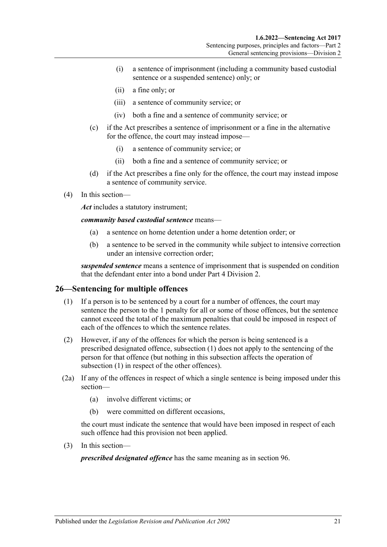- (i) a sentence of imprisonment (including a community based custodial sentence or a suspended sentence) only; or
- (ii) a fine only; or
- (iii) a sentence of community service; or
- (iv) both a fine and a sentence of community service; or
- (c) if the Act prescribes a sentence of imprisonment or a fine in the alternative for the offence, the court may instead impose—
	- (i) a sentence of community service; or
	- (ii) both a fine and a sentence of community service; or
- (d) if the Act prescribes a fine only for the offence, the court may instead impose a sentence of community service.
- (4) In this section—

*Act* includes a statutory instrument;

*community based custodial sentence* means—

- (a) a sentence on home detention under a home detention order; or
- (b) a sentence to be served in the community while subject to intensive correction under an intensive correction order;

*suspended sentence* means a sentence of imprisonment that is suspended on condition that the defendant enter into a bond under Part [4 Division](#page-79-0) 2.

### <span id="page-20-1"></span><span id="page-20-0"></span>**26—Sentencing for multiple offences**

- (1) If a person is to be sentenced by a court for a number of offences, the court may sentence the person to the 1 penalty for all or some of those offences, but the sentence cannot exceed the total of the maximum penalties that could be imposed in respect of each of the offences to which the sentence relates.
- (2) However, if any of the offences for which the person is being sentenced is a prescribed designated offence, [subsection](#page-20-1) (1) does not apply to the sentencing of the person for that offence (but nothing in this subsection affects the operation of [subsection](#page-20-1) (1) in respect of the other offences).
- (2a) If any of the offences in respect of which a single sentence is being imposed under this section—
	- (a) involve different victims; or
	- (b) were committed on different occasions,

the court must indicate the sentence that would have been imposed in respect of each such offence had this provision not been applied.

(3) In this section—

*prescribed designated offence* has the same meaning as in [section](#page-79-1) 96.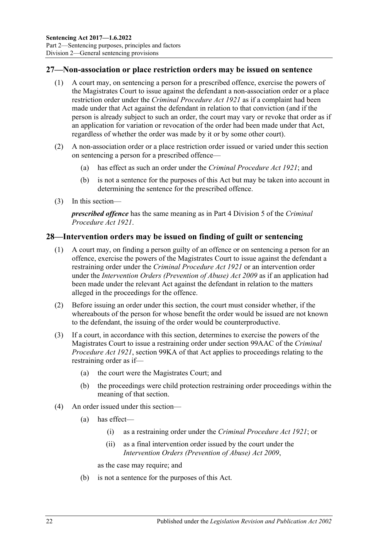### <span id="page-21-0"></span>**27—Non-association or place restriction orders may be issued on sentence**

- (1) A court may, on sentencing a person for a prescribed offence, exercise the powers of the Magistrates Court to issue against the defendant a non-association order or a place restriction order under the *[Criminal Procedure Act](http://www.legislation.sa.gov.au/index.aspx?action=legref&type=act&legtitle=Criminal%20Procedure%20Act%201921) 1921* as if a complaint had been made under that Act against the defendant in relation to that conviction (and if the person is already subject to such an order, the court may vary or revoke that order as if an application for variation or revocation of the order had been made under that Act, regardless of whether the order was made by it or by some other court).
- (2) A non-association order or a place restriction order issued or varied under this section on sentencing a person for a prescribed offence—
	- (a) has effect as such an order under the *[Criminal Procedure Act](http://www.legislation.sa.gov.au/index.aspx?action=legref&type=act&legtitle=Criminal%20Procedure%20Act%201921) 1921*; and
	- (b) is not a sentence for the purposes of this Act but may be taken into account in determining the sentence for the prescribed offence.
- (3) In this section—

*prescribed offence* has the same meaning as in Part 4 Division 5 of the *[Criminal](http://www.legislation.sa.gov.au/index.aspx?action=legref&type=act&legtitle=Criminal%20Procedure%20Act%201921)  [Procedure Act](http://www.legislation.sa.gov.au/index.aspx?action=legref&type=act&legtitle=Criminal%20Procedure%20Act%201921) 1921*.

### <span id="page-21-1"></span>**28—Intervention orders may be issued on finding of guilt or sentencing**

- (1) A court may, on finding a person guilty of an offence or on sentencing a person for an offence, exercise the powers of the Magistrates Court to issue against the defendant a restraining order under the *[Criminal Procedure Act](http://www.legislation.sa.gov.au/index.aspx?action=legref&type=act&legtitle=Criminal%20Procedure%20Act%201921) 1921* or an intervention order under the *[Intervention Orders \(Prevention of Abuse\) Act](http://www.legislation.sa.gov.au/index.aspx?action=legref&type=act&legtitle=Intervention%20Orders%20(Prevention%20of%20Abuse)%20Act%202009) 2009* as if an application had been made under the relevant Act against the defendant in relation to the matters alleged in the proceedings for the offence.
- (2) Before issuing an order under this section, the court must consider whether, if the whereabouts of the person for whose benefit the order would be issued are not known to the defendant, the issuing of the order would be counterproductive.
- (3) If a court, in accordance with this section, determines to exercise the powers of the Magistrates Court to issue a restraining order under section 99AAC of the *[Criminal](http://www.legislation.sa.gov.au/index.aspx?action=legref&type=act&legtitle=Criminal%20Procedure%20Act%201921)  [Procedure Act](http://www.legislation.sa.gov.au/index.aspx?action=legref&type=act&legtitle=Criminal%20Procedure%20Act%201921) 1921*, section 99KA of that Act applies to proceedings relating to the restraining order as if—
	- (a) the court were the Magistrates Court; and
	- (b) the proceedings were child protection restraining order proceedings within the meaning of that section.
- (4) An order issued under this section—
	- (a) has effect—
		- (i) as a restraining order under the *[Criminal Procedure Act](http://www.legislation.sa.gov.au/index.aspx?action=legref&type=act&legtitle=Criminal%20Procedure%20Act%201921) 1921*; or
		- (ii) as a final intervention order issued by the court under the *[Intervention Orders \(Prevention of Abuse\) Act](http://www.legislation.sa.gov.au/index.aspx?action=legref&type=act&legtitle=Intervention%20Orders%20(Prevention%20of%20Abuse)%20Act%202009) 2009*,

as the case may require; and

(b) is not a sentence for the purposes of this Act.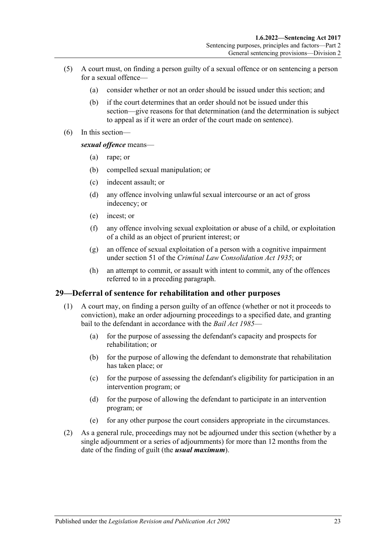- (5) A court must, on finding a person guilty of a sexual offence or on sentencing a person for a sexual offence—
	- (a) consider whether or not an order should be issued under this section; and
	- (b) if the court determines that an order should not be issued under this section—give reasons for that determination (and the determination is subject to appeal as if it were an order of the court made on sentence).
- (6) In this section—

*sexual offence* means—

- (a) rape; or
- (b) compelled sexual manipulation; or
- (c) indecent assault; or
- (d) any offence involving unlawful sexual intercourse or an act of gross indecency; or
- (e) incest; or
- (f) any offence involving sexual exploitation or abuse of a child, or exploitation of a child as an object of prurient interest; or
- (g) an offence of sexual exploitation of a person with a cognitive impairment under section 51 of the *[Criminal Law Consolidation Act](http://www.legislation.sa.gov.au/index.aspx?action=legref&type=act&legtitle=Criminal%20Law%20Consolidation%20Act%201935) 1935*; or
- (h) an attempt to commit, or assault with intent to commit, any of the offences referred to in a preceding paragraph.

### <span id="page-22-0"></span>**29—Deferral of sentence for rehabilitation and other purposes**

- (1) A court may, on finding a person guilty of an offence (whether or not it proceeds to conviction), make an order adjourning proceedings to a specified date, and granting bail to the defendant in accordance with the *[Bail Act](http://www.legislation.sa.gov.au/index.aspx?action=legref&type=act&legtitle=Bail%20Act%201985) 1985*—
	- (a) for the purpose of assessing the defendant's capacity and prospects for rehabilitation; or
	- (b) for the purpose of allowing the defendant to demonstrate that rehabilitation has taken place; or
	- (c) for the purpose of assessing the defendant's eligibility for participation in an intervention program; or
	- (d) for the purpose of allowing the defendant to participate in an intervention program; or
	- (e) for any other purpose the court considers appropriate in the circumstances.
- (2) As a general rule, proceedings may not be adjourned under this section (whether by a single adjournment or a series of adjournments) for more than 12 months from the date of the finding of guilt (the *usual maximum*).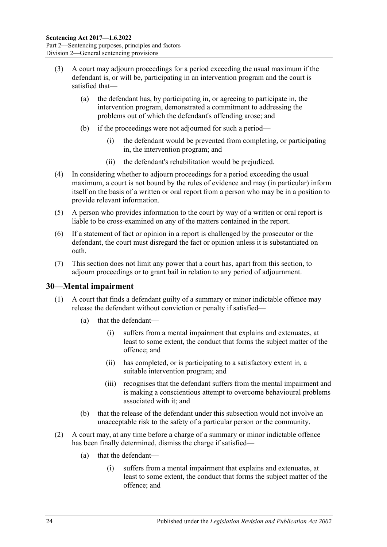- (3) A court may adjourn proceedings for a period exceeding the usual maximum if the defendant is, or will be, participating in an intervention program and the court is satisfied that—
	- (a) the defendant has, by participating in, or agreeing to participate in, the intervention program, demonstrated a commitment to addressing the problems out of which the defendant's offending arose; and
	- (b) if the proceedings were not adjourned for such a period—
		- (i) the defendant would be prevented from completing, or participating in, the intervention program; and
		- (ii) the defendant's rehabilitation would be prejudiced.
- (4) In considering whether to adjourn proceedings for a period exceeding the usual maximum, a court is not bound by the rules of evidence and may (in particular) inform itself on the basis of a written or oral report from a person who may be in a position to provide relevant information.
- (5) A person who provides information to the court by way of a written or oral report is liable to be cross-examined on any of the matters contained in the report.
- (6) If a statement of fact or opinion in a report is challenged by the prosecutor or the defendant, the court must disregard the fact or opinion unless it is substantiated on oath.
- (7) This section does not limit any power that a court has, apart from this section, to adjourn proceedings or to grant bail in relation to any period of adjournment.

### <span id="page-23-0"></span>**30—Mental impairment**

- (1) A court that finds a defendant guilty of a summary or minor indictable offence may release the defendant without conviction or penalty if satisfied—
	- (a) that the defendant—
		- (i) suffers from a mental impairment that explains and extenuates, at least to some extent, the conduct that forms the subject matter of the offence; and
		- (ii) has completed, or is participating to a satisfactory extent in, a suitable intervention program; and
		- (iii) recognises that the defendant suffers from the mental impairment and is making a conscientious attempt to overcome behavioural problems associated with it; and
	- (b) that the release of the defendant under this subsection would not involve an unacceptable risk to the safety of a particular person or the community.
- <span id="page-23-1"></span>(2) A court may, at any time before a charge of a summary or minor indictable offence has been finally determined, dismiss the charge if satisfied—
	- (a) that the defendant—
		- (i) suffers from a mental impairment that explains and extenuates, at least to some extent, the conduct that forms the subject matter of the offence; and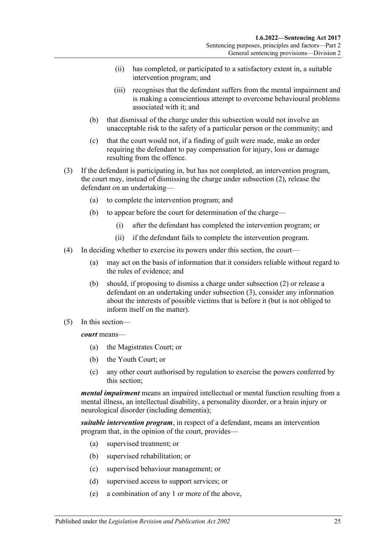- (ii) has completed, or participated to a satisfactory extent in, a suitable intervention program; and
- (iii) recognises that the defendant suffers from the mental impairment and is making a conscientious attempt to overcome behavioural problems associated with it; and
- (b) that dismissal of the charge under this subsection would not involve an unacceptable risk to the safety of a particular person or the community; and
- (c) that the court would not, if a finding of guilt were made, make an order requiring the defendant to pay compensation for injury, loss or damage resulting from the offence.
- <span id="page-24-0"></span>(3) If the defendant is participating in, but has not completed, an intervention program, the court may, instead of dismissing the charge under [subsection](#page-23-1) (2), release the defendant on an undertaking—
	- (a) to complete the intervention program; and
	- (b) to appear before the court for determination of the charge—
		- (i) after the defendant has completed the intervention program; or
		- (ii) if the defendant fails to complete the intervention program.
- (4) In deciding whether to exercise its powers under this section, the court—
	- (a) may act on the basis of information that it considers reliable without regard to the rules of evidence; and
	- (b) should, if proposing to dismiss a charge under [subsection](#page-23-1) (2) or release a defendant on an undertaking under [subsection](#page-24-0) (3), consider any information about the interests of possible victims that is before it (but is not obliged to inform itself on the matter).
- (5) In this section—

*court* means—

- (a) the Magistrates Court; or
- (b) the Youth Court; or
- (c) any other court authorised by regulation to exercise the powers conferred by this section;

*mental impairment* means an impaired intellectual or mental function resulting from a mental illness, an intellectual disability, a personality disorder, or a brain injury or neurological disorder (including dementia);

*suitable intervention program*, in respect of a defendant, means an intervention program that, in the opinion of the court, provides—

- (a) supervised treatment; or
- (b) supervised rehabilitation; or
- (c) supervised behaviour management; or
- (d) supervised access to support services; or
- (e) a combination of any 1 or more of the above,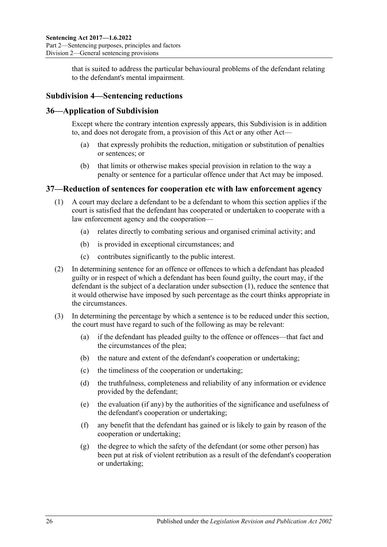that is suited to address the particular behavioural problems of the defendant relating to the defendant's mental impairment.

### <span id="page-25-0"></span>**Subdivision 4—Sentencing reductions**

### <span id="page-25-1"></span>**36—Application of Subdivision**

Except where the contrary intention expressly appears, this Subdivision is in addition to, and does not derogate from, a provision of this Act or any other Act—

- (a) that expressly prohibits the reduction, mitigation or substitution of penalties or sentences; or
- (b) that limits or otherwise makes special provision in relation to the way a penalty or sentence for a particular offence under that Act may be imposed.

### <span id="page-25-3"></span><span id="page-25-2"></span>**37—Reduction of sentences for cooperation etc with law enforcement agency**

- (1) A court may declare a defendant to be a defendant to whom this section applies if the court is satisfied that the defendant has cooperated or undertaken to cooperate with a law enforcement agency and the cooperation—
	- (a) relates directly to combating serious and organised criminal activity; and
	- (b) is provided in exceptional circumstances; and
	- (c) contributes significantly to the public interest.
- (2) In determining sentence for an offence or offences to which a defendant has pleaded guilty or in respect of which a defendant has been found guilty, the court may, if the defendant is the subject of a declaration under [subsection](#page-25-3) (1), reduce the sentence that it would otherwise have imposed by such percentage as the court thinks appropriate in the circumstances.
- (3) In determining the percentage by which a sentence is to be reduced under this section, the court must have regard to such of the following as may be relevant:
	- (a) if the defendant has pleaded guilty to the offence or offences—that fact and the circumstances of the plea;
	- (b) the nature and extent of the defendant's cooperation or undertaking;
	- (c) the timeliness of the cooperation or undertaking;
	- (d) the truthfulness, completeness and reliability of any information or evidence provided by the defendant;
	- (e) the evaluation (if any) by the authorities of the significance and usefulness of the defendant's cooperation or undertaking;
	- (f) any benefit that the defendant has gained or is likely to gain by reason of the cooperation or undertaking;
	- (g) the degree to which the safety of the defendant (or some other person) has been put at risk of violent retribution as a result of the defendant's cooperation or undertaking;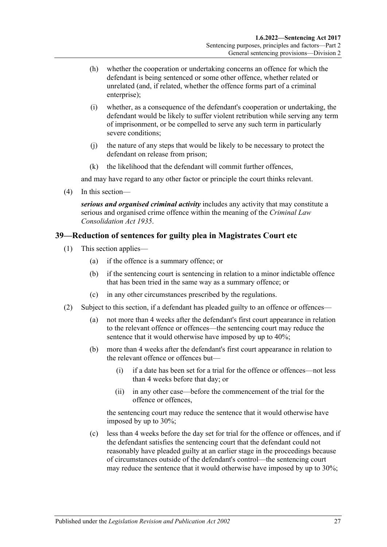- (h) whether the cooperation or undertaking concerns an offence for which the defendant is being sentenced or some other offence, whether related or unrelated (and, if related, whether the offence forms part of a criminal enterprise);
- (i) whether, as a consequence of the defendant's cooperation or undertaking, the defendant would be likely to suffer violent retribution while serving any term of imprisonment, or be compelled to serve any such term in particularly severe conditions:
- (j) the nature of any steps that would be likely to be necessary to protect the defendant on release from prison;
- (k) the likelihood that the defendant will commit further offences,

and may have regard to any other factor or principle the court thinks relevant.

(4) In this section—

*serious and organised criminal activity* includes any activity that may constitute a serious and organised crime offence within the meaning of the *[Criminal Law](http://www.legislation.sa.gov.au/index.aspx?action=legref&type=act&legtitle=Criminal%20Law%20Consolidation%20Act%201935)  [Consolidation Act](http://www.legislation.sa.gov.au/index.aspx?action=legref&type=act&legtitle=Criminal%20Law%20Consolidation%20Act%201935) 1935*.

### <span id="page-26-3"></span><span id="page-26-0"></span>**39—Reduction of sentences for guilty plea in Magistrates Court etc**

- (1) This section applies—
	- (a) if the offence is a summary offence; or
	- (b) if the sentencing court is sentencing in relation to a minor indictable offence that has been tried in the same way as a summary offence; or
	- (c) in any other circumstances prescribed by the regulations.
- <span id="page-26-2"></span><span id="page-26-1"></span>(2) Subject to this section, if a defendant has pleaded guilty to an offence or offences—
	- (a) not more than 4 weeks after the defendant's first court appearance in relation to the relevant offence or offences—the sentencing court may reduce the sentence that it would otherwise have imposed by up to 40%;
	- (b) more than 4 weeks after the defendant's first court appearance in relation to the relevant offence or offences but—
		- (i) if a date has been set for a trial for the offence or offences—not less than 4 weeks before that day; or
		- (ii) in any other case—before the commencement of the trial for the offence or offences,

the sentencing court may reduce the sentence that it would otherwise have imposed by up to 30%;

(c) less than 4 weeks before the day set for trial for the offence or offences, and if the defendant satisfies the sentencing court that the defendant could not reasonably have pleaded guilty at an earlier stage in the proceedings because of circumstances outside of the defendant's control—the sentencing court may reduce the sentence that it would otherwise have imposed by up to 30%;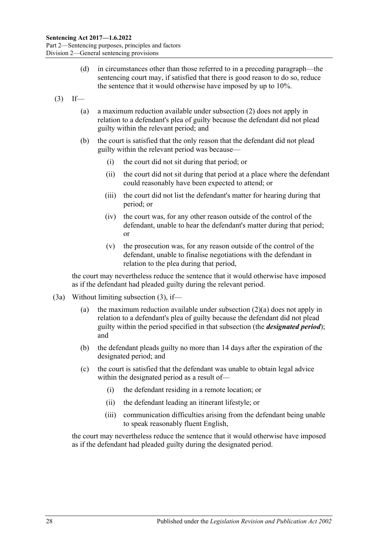- (d) in circumstances other than those referred to in a preceding paragraph—the sentencing court may, if satisfied that there is good reason to do so, reduce the sentence that it would otherwise have imposed by up to 10%.
- <span id="page-27-0"></span> $(3)$  If—
	- (a) a maximum reduction available under [subsection](#page-26-1) (2) does not apply in relation to a defendant's plea of guilty because the defendant did not plead guilty within the relevant period; and
	- (b) the court is satisfied that the only reason that the defendant did not plead guilty within the relevant period was because—
		- (i) the court did not sit during that period; or
		- (ii) the court did not sit during that period at a place where the defendant could reasonably have been expected to attend; or
		- (iii) the court did not list the defendant's matter for hearing during that period; or
		- (iv) the court was, for any other reason outside of the control of the defendant, unable to hear the defendant's matter during that period; or
		- (v) the prosecution was, for any reason outside of the control of the defendant, unable to finalise negotiations with the defendant in relation to the plea during that period,

the court may nevertheless reduce the sentence that it would otherwise have imposed as if the defendant had pleaded guilty during the relevant period.

- (3a) Without limiting [subsection](#page-27-0) (3), if—
	- (a) the maximum reduction available under [subsection](#page-26-2) (2)(a) does not apply in relation to a defendant's plea of guilty because the defendant did not plead guilty within the period specified in that subsection (the *designated period*); and
	- (b) the defendant pleads guilty no more than 14 days after the expiration of the designated period; and
	- (c) the court is satisfied that the defendant was unable to obtain legal advice within the designated period as a result of—
		- (i) the defendant residing in a remote location; or
		- (ii) the defendant leading an itinerant lifestyle; or
		- (iii) communication difficulties arising from the defendant being unable to speak reasonably fluent English,

the court may nevertheless reduce the sentence that it would otherwise have imposed as if the defendant had pleaded guilty during the designated period.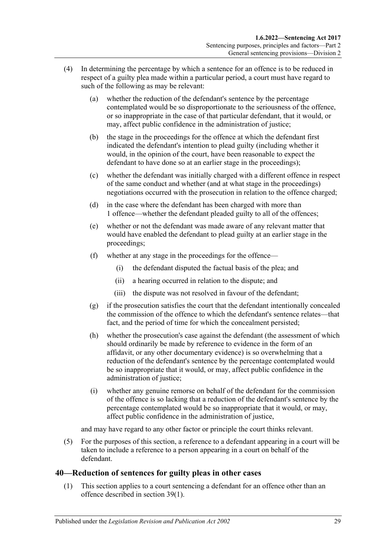- (4) In determining the percentage by which a sentence for an offence is to be reduced in respect of a guilty plea made within a particular period, a court must have regard to such of the following as may be relevant:
	- (a) whether the reduction of the defendant's sentence by the percentage contemplated would be so disproportionate to the seriousness of the offence, or so inappropriate in the case of that particular defendant, that it would, or may, affect public confidence in the administration of justice;
	- (b) the stage in the proceedings for the offence at which the defendant first indicated the defendant's intention to plead guilty (including whether it would, in the opinion of the court, have been reasonable to expect the defendant to have done so at an earlier stage in the proceedings);
	- (c) whether the defendant was initially charged with a different offence in respect of the same conduct and whether (and at what stage in the proceedings) negotiations occurred with the prosecution in relation to the offence charged;
	- (d) in the case where the defendant has been charged with more than 1 offence—whether the defendant pleaded guilty to all of the offences;
	- (e) whether or not the defendant was made aware of any relevant matter that would have enabled the defendant to plead guilty at an earlier stage in the proceedings;
	- (f) whether at any stage in the proceedings for the offence—
		- (i) the defendant disputed the factual basis of the plea; and
		- (ii) a hearing occurred in relation to the dispute; and
		- (iii) the dispute was not resolved in favour of the defendant;
	- (g) if the prosecution satisfies the court that the defendant intentionally concealed the commission of the offence to which the defendant's sentence relates—that fact, and the period of time for which the concealment persisted;
	- (h) whether the prosecution's case against the defendant (the assessment of which should ordinarily be made by reference to evidence in the form of an affidavit, or any other documentary evidence) is so overwhelming that a reduction of the defendant's sentence by the percentage contemplated would be so inappropriate that it would, or may, affect public confidence in the administration of justice;
	- (i) whether any genuine remorse on behalf of the defendant for the commission of the offence is so lacking that a reduction of the defendant's sentence by the percentage contemplated would be so inappropriate that it would, or may, affect public confidence in the administration of justice,

and may have regard to any other factor or principle the court thinks relevant.

(5) For the purposes of this section, a reference to a defendant appearing in a court will be taken to include a reference to a person appearing in a court on behalf of the defendant.

### <span id="page-28-0"></span>**40—Reduction of sentences for guilty pleas in other cases**

(1) This section applies to a court sentencing a defendant for an offence other than an offence described in [section](#page-26-3) 39(1).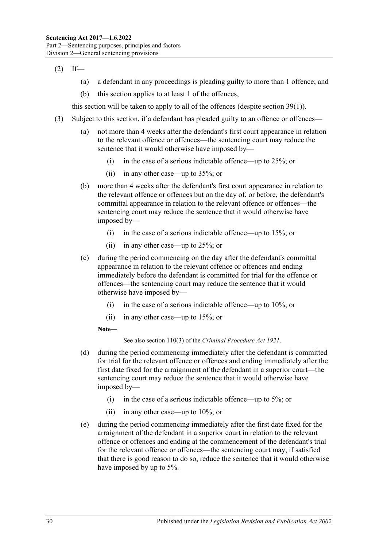$(2)$  If—

- (a) a defendant in any proceedings is pleading guilty to more than 1 offence; and
- (b) this section applies to at least 1 of the offences,

this section will be taken to apply to all of the offences (despite [section](#page-26-3) 39(1)).

- <span id="page-29-0"></span>(3) Subject to this section, if a defendant has pleaded guilty to an offence or offences—
	- (a) not more than 4 weeks after the defendant's first court appearance in relation to the relevant offence or offences—the sentencing court may reduce the sentence that it would otherwise have imposed by—
		- (i) in the case of a serious indictable offence—up to 25%; or
		- (ii) in any other case—up to 35%; or
	- (b) more than 4 weeks after the defendant's first court appearance in relation to the relevant offence or offences but on the day of, or before, the defendant's committal appearance in relation to the relevant offence or offences—the sentencing court may reduce the sentence that it would otherwise have imposed by—
		- (i) in the case of a serious indictable offence—up to 15%; or
		- (ii) in any other case—up to 25%; or
	- (c) during the period commencing on the day after the defendant's committal appearance in relation to the relevant offence or offences and ending immediately before the defendant is committed for trial for the offence or offences—the sentencing court may reduce the sentence that it would otherwise have imposed by—
		- (i) in the case of a serious indictable offence—up to 10%; or
		- (ii) in any other case—up to 15%; or

**Note—**

See also section 110(3) of the *[Criminal Procedure Act](http://www.legislation.sa.gov.au/index.aspx?action=legref&type=act&legtitle=Criminal%20Procedure%20Act%201921) 1921*.

- (d) during the period commencing immediately after the defendant is committed for trial for the relevant offence or offences and ending immediately after the first date fixed for the arraignment of the defendant in a superior court—the sentencing court may reduce the sentence that it would otherwise have imposed by—
	- (i) in the case of a serious indictable offence—up to 5%; or
	- (ii) in any other case—up to 10%; or
- (e) during the period commencing immediately after the first date fixed for the arraignment of the defendant in a superior court in relation to the relevant offence or offences and ending at the commencement of the defendant's trial for the relevant offence or offences—the sentencing court may, if satisfied that there is good reason to do so, reduce the sentence that it would otherwise have imposed by up to 5%.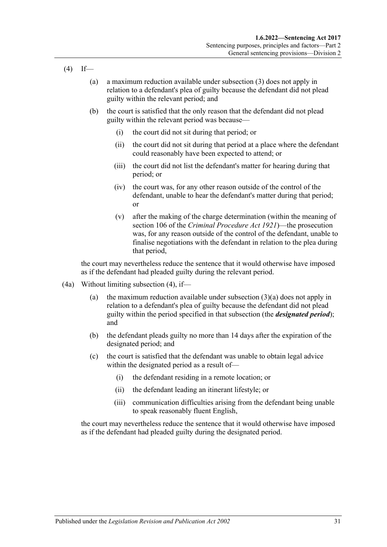- <span id="page-30-0"></span> $(4)$  If—
	- (a) a maximum reduction available under subsection (3) does not apply in relation to a defendant's plea of guilty because the defendant did not plead guilty within the relevant period; and
	- (b) the court is satisfied that the only reason that the defendant did not plead guilty within the relevant period was because—
		- (i) the court did not sit during that period; or
		- (ii) the court did not sit during that period at a place where the defendant could reasonably have been expected to attend; or
		- (iii) the court did not list the defendant's matter for hearing during that period; or
		- (iv) the court was, for any other reason outside of the control of the defendant, unable to hear the defendant's matter during that period; or
		- (v) after the making of the charge determination (within the meaning of section 106 of the *[Criminal Procedure Act](http://www.legislation.sa.gov.au/index.aspx?action=legref&type=act&legtitle=Criminal%20Procedure%20Act%201921) 1921*)—the prosecution was, for any reason outside of the control of the defendant, unable to finalise negotiations with the defendant in relation to the plea during that period,

the court may nevertheless reduce the sentence that it would otherwise have imposed as if the defendant had pleaded guilty during the relevant period.

- (4a) Without limiting [subsection](#page-30-0) (4), if
	- (a) the maximum reduction available under [subsection](#page-29-0)  $(3)(a)$  does not apply in relation to a defendant's plea of guilty because the defendant did not plead guilty within the period specified in that subsection (the *designated period*); and
	- (b) the defendant pleads guilty no more than 14 days after the expiration of the designated period; and
	- (c) the court is satisfied that the defendant was unable to obtain legal advice within the designated period as a result of—
		- (i) the defendant residing in a remote location; or
		- (ii) the defendant leading an itinerant lifestyle; or
		- (iii) communication difficulties arising from the defendant being unable to speak reasonably fluent English,

the court may nevertheless reduce the sentence that it would otherwise have imposed as if the defendant had pleaded guilty during the designated period.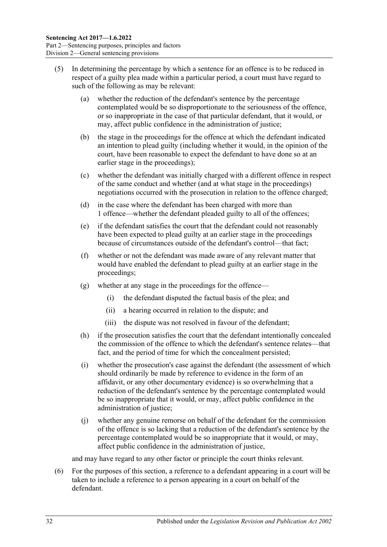- (5) In determining the percentage by which a sentence for an offence is to be reduced in respect of a guilty plea made within a particular period, a court must have regard to such of the following as may be relevant:
	- (a) whether the reduction of the defendant's sentence by the percentage contemplated would be so disproportionate to the seriousness of the offence, or so inappropriate in the case of that particular defendant, that it would, or may, affect public confidence in the administration of justice;
	- (b) the stage in the proceedings for the offence at which the defendant indicated an intention to plead guilty (including whether it would, in the opinion of the court, have been reasonable to expect the defendant to have done so at an earlier stage in the proceedings);
	- (c) whether the defendant was initially charged with a different offence in respect of the same conduct and whether (and at what stage in the proceedings) negotiations occurred with the prosecution in relation to the offence charged;
	- (d) in the case where the defendant has been charged with more than 1 offence—whether the defendant pleaded guilty to all of the offences;
	- (e) if the defendant satisfies the court that the defendant could not reasonably have been expected to plead guilty at an earlier stage in the proceedings because of circumstances outside of the defendant's control—that fact;
	- (f) whether or not the defendant was made aware of any relevant matter that would have enabled the defendant to plead guilty at an earlier stage in the proceedings;
	- (g) whether at any stage in the proceedings for the offence—
		- (i) the defendant disputed the factual basis of the plea; and
		- (ii) a hearing occurred in relation to the dispute; and
		- (iii) the dispute was not resolved in favour of the defendant;
	- (h) if the prosecution satisfies the court that the defendant intentionally concealed the commission of the offence to which the defendant's sentence relates—that fact, and the period of time for which the concealment persisted;
	- (i) whether the prosecution's case against the defendant (the assessment of which should ordinarily be made by reference to evidence in the form of an affidavit, or any other documentary evidence) is so overwhelming that a reduction of the defendant's sentence by the percentage contemplated would be so inappropriate that it would, or may, affect public confidence in the administration of justice;
	- (j) whether any genuine remorse on behalf of the defendant for the commission of the offence is so lacking that a reduction of the defendant's sentence by the percentage contemplated would be so inappropriate that it would, or may, affect public confidence in the administration of justice,

and may have regard to any other factor or principle the court thinks relevant.

(6) For the purposes of this section, a reference to a defendant appearing in a court will be taken to include a reference to a person appearing in a court on behalf of the defendant.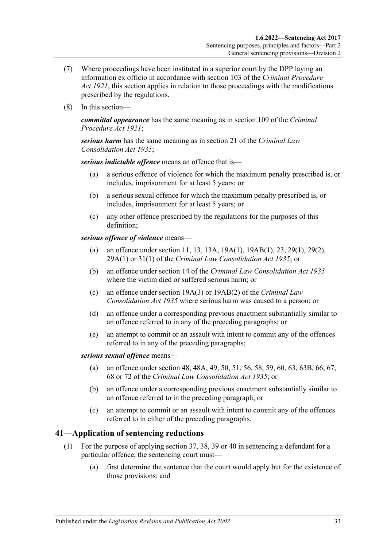- (7) Where proceedings have been instituted in a superior court by the DPP laying an information ex officio in accordance with section 103 of the *[Criminal Procedure](http://www.legislation.sa.gov.au/index.aspx?action=legref&type=act&legtitle=Criminal%20Procedure%20Act%201921)  Act [1921](http://www.legislation.sa.gov.au/index.aspx?action=legref&type=act&legtitle=Criminal%20Procedure%20Act%201921)*, this section applies in relation to those proceedings with the modifications prescribed by the regulations.
- (8) In this section—

*committal appearance* has the same meaning as in section 109 of the *[Criminal](http://www.legislation.sa.gov.au/index.aspx?action=legref&type=act&legtitle=Criminal%20Procedure%20Act%201921)  [Procedure Act](http://www.legislation.sa.gov.au/index.aspx?action=legref&type=act&legtitle=Criminal%20Procedure%20Act%201921) 1921*;

*serious harm* has the same meaning as in section 21 of the *[Criminal Law](http://www.legislation.sa.gov.au/index.aspx?action=legref&type=act&legtitle=Criminal%20Law%20Consolidation%20Act%201935)  [Consolidation Act](http://www.legislation.sa.gov.au/index.aspx?action=legref&type=act&legtitle=Criminal%20Law%20Consolidation%20Act%201935) 1935*;

*serious indictable offence* means an offence that is—

- (a) a serious offence of violence for which the maximum penalty prescribed is, or includes, imprisonment for at least 5 years; or
- (b) a serious sexual offence for which the maximum penalty prescribed is, or includes, imprisonment for at least 5 years; or
- (c) any other offence prescribed by the regulations for the purposes of this definition;

*serious offence of violence* means—

- (a) an offence under section 11, 13, 13A, 19A(1), 19AB(1), 23, 29(1), 29(2), 29A(1) or 31(1) of the *[Criminal Law Consolidation Act](http://www.legislation.sa.gov.au/index.aspx?action=legref&type=act&legtitle=Criminal%20Law%20Consolidation%20Act%201935) 1935*; or
- (b) an offence under section 14 of the *[Criminal Law Consolidation Act](http://www.legislation.sa.gov.au/index.aspx?action=legref&type=act&legtitle=Criminal%20Law%20Consolidation%20Act%201935) 1935* where the victim died or suffered serious harm; or
- (c) an offence under section 19A(3) or 19AB(2) of the *[Criminal Law](http://www.legislation.sa.gov.au/index.aspx?action=legref&type=act&legtitle=Criminal%20Law%20Consolidation%20Act%201935)  [Consolidation Act](http://www.legislation.sa.gov.au/index.aspx?action=legref&type=act&legtitle=Criminal%20Law%20Consolidation%20Act%201935) 1935* where serious harm was caused to a person; or
- (d) an offence under a corresponding previous enactment substantially similar to an offence referred to in any of the preceding paragraphs; or
- (e) an attempt to commit or an assault with intent to commit any of the offences referred to in any of the preceding paragraphs;

*serious sexual offence* means—

- (a) an offence under section 48, 48A, 49, 50, 51, 56, 58, 59, 60, 63, 63B, 66, 67, 68 or 72 of the *[Criminal Law Consolidation Act](http://www.legislation.sa.gov.au/index.aspx?action=legref&type=act&legtitle=Criminal%20Law%20Consolidation%20Act%201935) 1935*; or
- (b) an offence under a corresponding previous enactment substantially similar to an offence referred to in the preceding paragraph; or
- (c) an attempt to commit or an assault with intent to commit any of the offences referred to in either of the preceding paragraphs.

### <span id="page-32-2"></span><span id="page-32-0"></span>**41—Application of sentencing reductions**

- <span id="page-32-1"></span>(1) For the purpose of applying [section](#page-25-2) 37, 38, [39](#page-26-0) or [40](#page-28-0) in sentencing a defendant for a particular offence, the sentencing court must—
	- (a) first determine the sentence that the court would apply but for the existence of those provisions; and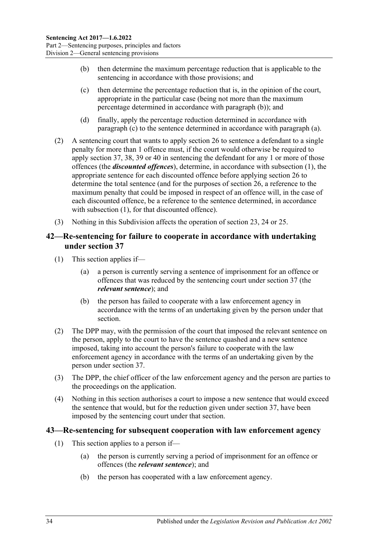- <span id="page-33-2"></span>(b) then determine the maximum percentage reduction that is applicable to the sentencing in accordance with those provisions; and
- <span id="page-33-3"></span>(c) then determine the percentage reduction that is, in the opinion of the court, appropriate in the particular case (being not more than the maximum percentage determined in accordance with [paragraph](#page-33-2) (b)); and
- (d) finally, apply the percentage reduction determined in accordance with [paragraph](#page-33-3) (c) to the sentence determined in accordance with [paragraph](#page-32-1) (a).
- (2) A sentencing court that wants to apply [section](#page-20-0) 26 to sentence a defendant to a single penalty for more than 1 offence must, if the court would otherwise be required to apply [section](#page-25-2) 37, 38, [39](#page-26-0) or [40](#page-28-0) in sentencing the defendant for any 1 or more of those offences (the *discounted offences*), determine, in accordance with [subsection](#page-32-2) (1), the appropriate sentence for each discounted offence before applying [section](#page-20-0) 26 to determine the total sentence (and for the purposes of [section](#page-20-0) 26, a reference to the maximum penalty that could be imposed in respect of an offence will, in the case of each discounted offence, be a reference to the sentence determined, in accordance with [subsection](#page-32-2) (1), for that discounted offence).
- (3) Nothing in this Subdivision affects the operation of [section 23,](#page-18-1) [24](#page-19-0) or [25.](#page-19-1)

### <span id="page-33-0"></span>**42—Re-sentencing for failure to cooperate in accordance with undertaking under [section](#page-25-2) 37**

- (1) This section applies if—
	- (a) a person is currently serving a sentence of imprisonment for an offence or offences that was reduced by the sentencing court under [section](#page-25-2) 37 (the *relevant sentence*); and
	- (b) the person has failed to cooperate with a law enforcement agency in accordance with the terms of an undertaking given by the person under that section.
- (2) The DPP may, with the permission of the court that imposed the relevant sentence on the person, apply to the court to have the sentence quashed and a new sentence imposed, taking into account the person's failure to cooperate with the law enforcement agency in accordance with the terms of an undertaking given by the person under [section](#page-25-2) 37.
- (3) The DPP, the chief officer of the law enforcement agency and the person are parties to the proceedings on the application.
- (4) Nothing in this section authorises a court to impose a new sentence that would exceed the sentence that would, but for the reduction given under [section](#page-25-2) 37, have been imposed by the sentencing court under that section.

### <span id="page-33-1"></span>**43—Re-sentencing for subsequent cooperation with law enforcement agency**

- (1) This section applies to a person if—
	- (a) the person is currently serving a period of imprisonment for an offence or offences (the *relevant sentence*); and
	- (b) the person has cooperated with a law enforcement agency.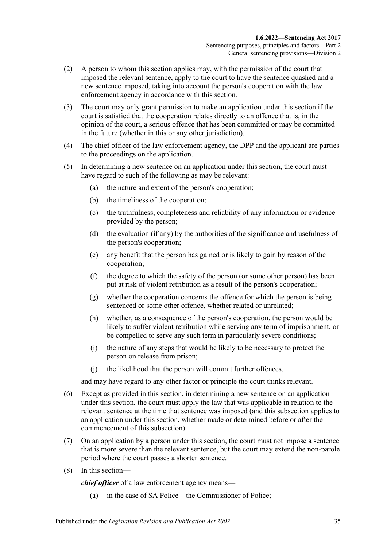- (2) A person to whom this section applies may, with the permission of the court that imposed the relevant sentence, apply to the court to have the sentence quashed and a new sentence imposed, taking into account the person's cooperation with the law enforcement agency in accordance with this section.
- (3) The court may only grant permission to make an application under this section if the court is satisfied that the cooperation relates directly to an offence that is, in the opinion of the court, a serious offence that has been committed or may be committed in the future (whether in this or any other jurisdiction).
- (4) The chief officer of the law enforcement agency, the DPP and the applicant are parties to the proceedings on the application.
- (5) In determining a new sentence on an application under this section, the court must have regard to such of the following as may be relevant:
	- (a) the nature and extent of the person's cooperation;
	- (b) the timeliness of the cooperation;
	- (c) the truthfulness, completeness and reliability of any information or evidence provided by the person;
	- (d) the evaluation (if any) by the authorities of the significance and usefulness of the person's cooperation;
	- (e) any benefit that the person has gained or is likely to gain by reason of the cooperation;
	- (f) the degree to which the safety of the person (or some other person) has been put at risk of violent retribution as a result of the person's cooperation;
	- (g) whether the cooperation concerns the offence for which the person is being sentenced or some other offence, whether related or unrelated;
	- (h) whether, as a consequence of the person's cooperation, the person would be likely to suffer violent retribution while serving any term of imprisonment, or be compelled to serve any such term in particularly severe conditions;
	- (i) the nature of any steps that would be likely to be necessary to protect the person on release from prison;
	- (j) the likelihood that the person will commit further offences,

and may have regard to any other factor or principle the court thinks relevant.

- (6) Except as provided in this section, in determining a new sentence on an application under this section, the court must apply the law that was applicable in relation to the relevant sentence at the time that sentence was imposed (and this subsection applies to an application under this section, whether made or determined before or after the commencement of this subsection).
- (7) On an application by a person under this section, the court must not impose a sentence that is more severe than the relevant sentence, but the court may extend the non-parole period where the court passes a shorter sentence.
- (8) In this section—

*chief officer* of a law enforcement agency means—

(a) in the case of SA Police—the Commissioner of Police;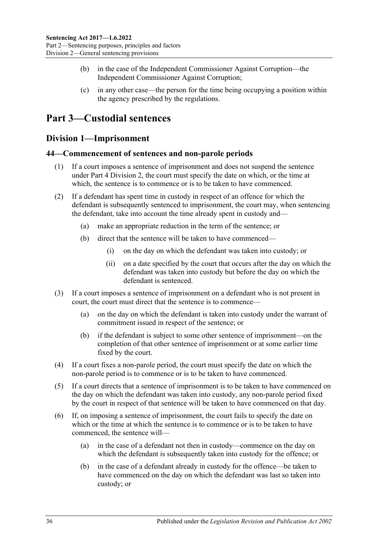- (b) in the case of the Independent Commissioner Against Corruption—the Independent Commissioner Against Corruption;
- (c) in any other case—the person for the time being occupying a position within the agency prescribed by the regulations.

## <span id="page-35-0"></span>**Part 3—Custodial sentences**

### <span id="page-35-1"></span>**Division 1—Imprisonment**

### <span id="page-35-2"></span>**44—Commencement of sentences and non-parole periods**

- (1) If a court imposes a sentence of imprisonment and does not suspend the sentence under Part [4 Division](#page-79-0) 2, the court must specify the date on which, or the time at which, the sentence is to commence or is to be taken to have commenced.
- (2) If a defendant has spent time in custody in respect of an offence for which the defendant is subsequently sentenced to imprisonment, the court may, when sentencing the defendant, take into account the time already spent in custody and—
	- (a) make an appropriate reduction in the term of the sentence; or
	- (b) direct that the sentence will be taken to have commenced—
		- (i) on the day on which the defendant was taken into custody; or
		- (ii) on a date specified by the court that occurs after the day on which the defendant was taken into custody but before the day on which the defendant is sentenced.
- (3) If a court imposes a sentence of imprisonment on a defendant who is not present in court, the court must direct that the sentence is to commence—
	- (a) on the day on which the defendant is taken into custody under the warrant of commitment issued in respect of the sentence; or
	- (b) if the defendant is subject to some other sentence of imprisonment—on the completion of that other sentence of imprisonment or at some earlier time fixed by the court.
- (4) If a court fixes a non-parole period, the court must specify the date on which the non-parole period is to commence or is to be taken to have commenced.
- (5) If a court directs that a sentence of imprisonment is to be taken to have commenced on the day on which the defendant was taken into custody, any non-parole period fixed by the court in respect of that sentence will be taken to have commenced on that day.
- (6) If, on imposing a sentence of imprisonment, the court fails to specify the date on which or the time at which the sentence is to commence or is to be taken to have commenced, the sentence will—
	- (a) in the case of a defendant not then in custody—commence on the day on which the defendant is subsequently taken into custody for the offence; or
	- (b) in the case of a defendant already in custody for the offence—be taken to have commenced on the day on which the defendant was last so taken into custody; or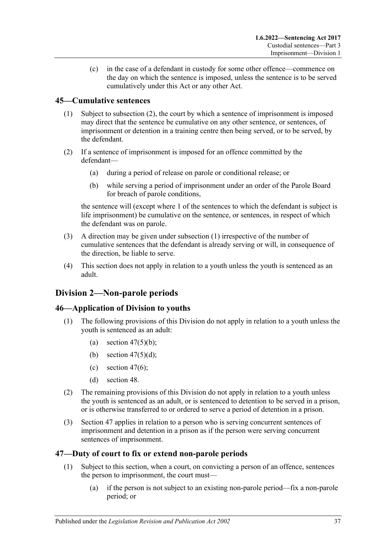(c) in the case of a defendant in custody for some other offence—commence on the day on which the sentence is imposed, unless the sentence is to be served cumulatively under this Act or any other Act.

### <span id="page-36-1"></span>**45—Cumulative sentences**

- (1) Subject to [subsection](#page-36-0) (2), the court by which a sentence of imprisonment is imposed may direct that the sentence be cumulative on any other sentence, or sentences, of imprisonment or detention in a training centre then being served, or to be served, by the defendant.
- <span id="page-36-0"></span>(2) If a sentence of imprisonment is imposed for an offence committed by the defendant—
	- (a) during a period of release on parole or conditional release; or
	- (b) while serving a period of imprisonment under an order of the Parole Board for breach of parole conditions,

the sentence will (except where 1 of the sentences to which the defendant is subject is life imprisonment) be cumulative on the sentence, or sentences, in respect of which the defendant was on parole.

- (3) A direction may be given under [subsection](#page-36-1) (1) irrespective of the number of cumulative sentences that the defendant is already serving or will, in consequence of the direction, be liable to serve.
- (4) This section does not apply in relation to a youth unless the youth is sentenced as an adult.

# **Division 2—Non-parole periods**

#### **46—Application of Division to youths**

- (1) The following provisions of this Division do not apply in relation to a youth unless the youth is sentenced as an adult:
	- (a) section  $47(5)(b)$ ;
	- (b) section  $47(5)(d)$ ;
	- (c) [section](#page-38-0)  $47(6)$ ;
	- (d) [section](#page-40-0) 48.
- (2) The remaining provisions of this Division do not apply in relation to a youth unless the youth is sentenced as an adult, or is sentenced to detention to be served in a prison, or is otherwise transferred to or ordered to serve a period of detention in a prison.
- (3) [Section](#page-36-2) 47 applies in relation to a person who is serving concurrent sentences of imprisonment and detention in a prison as if the person were serving concurrent sentences of imprisonment.

#### <span id="page-36-2"></span>**47—Duty of court to fix or extend non-parole periods**

- <span id="page-36-3"></span>(1) Subject to this section, when a court, on convicting a person of an offence, sentences the person to imprisonment, the court must—
	- (a) if the person is not subject to an existing non-parole period—fix a non-parole period; or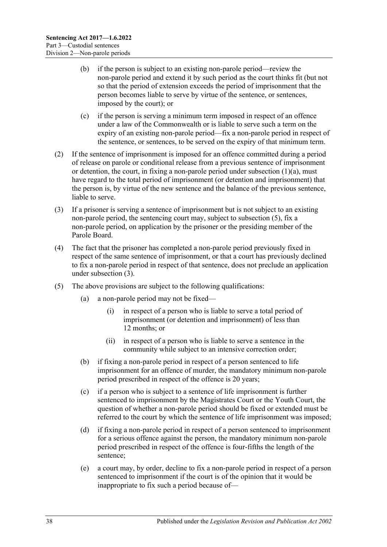- (b) if the person is subject to an existing non-parole period—review the non-parole period and extend it by such period as the court thinks fit (but not so that the period of extension exceeds the period of imprisonment that the person becomes liable to serve by virtue of the sentence, or sentences, imposed by the court); or
- (c) if the person is serving a minimum term imposed in respect of an offence under a law of the Commonwealth or is liable to serve such a term on the expiry of an existing non-parole period—fix a non-parole period in respect of the sentence, or sentences, to be served on the expiry of that minimum term.
- (2) If the sentence of imprisonment is imposed for an offence committed during a period of release on parole or conditional release from a previous sentence of imprisonment or detention, the court, in fixing a non-parole period under [subsection](#page-36-3)  $(1)(a)$ , must have regard to the total period of imprisonment (or detention and imprisonment) that the person is, by virtue of the new sentence and the balance of the previous sentence, liable to serve.
- <span id="page-37-3"></span>(3) If a prisoner is serving a sentence of imprisonment but is not subject to an existing non-parole period, the sentencing court may, subject to [subsection](#page-37-2) (5), fix a non-parole period, on application by the prisoner or the presiding member of the Parole Board.
- (4) The fact that the prisoner has completed a non-parole period previously fixed in respect of the same sentence of imprisonment, or that a court has previously declined to fix a non-parole period in respect of that sentence, does not preclude an application under [subsection](#page-37-3) (3).
- <span id="page-37-2"></span><span id="page-37-1"></span><span id="page-37-0"></span>(5) The above provisions are subject to the following qualifications:
	- (a) a non-parole period may not be fixed—
		- (i) in respect of a person who is liable to serve a total period of imprisonment (or detention and imprisonment) of less than 12 months; or
		- (ii) in respect of a person who is liable to serve a sentence in the community while subject to an intensive correction order;
	- (b) if fixing a non-parole period in respect of a person sentenced to life imprisonment for an offence of murder, the mandatory minimum non-parole period prescribed in respect of the offence is 20 years;
	- (c) if a person who is subject to a sentence of life imprisonment is further sentenced to imprisonment by the Magistrates Court or the Youth Court, the question of whether a non-parole period should be fixed or extended must be referred to the court by which the sentence of life imprisonment was imposed;
	- (d) if fixing a non-parole period in respect of a person sentenced to imprisonment for a serious offence against the person, the mandatory minimum non-parole period prescribed in respect of the offence is four-fifths the length of the sentence;
	- (e) a court may, by order, decline to fix a non-parole period in respect of a person sentenced to imprisonment if the court is of the opinion that it would be inappropriate to fix such a period because of—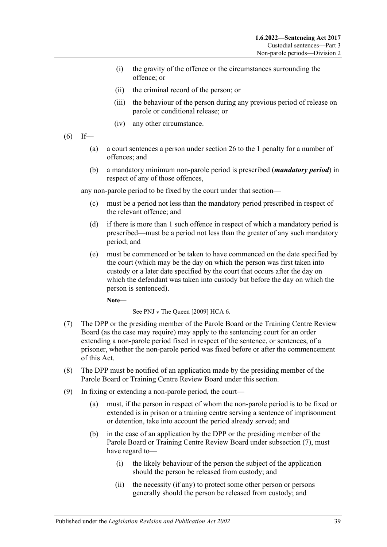- (i) the gravity of the offence or the circumstances surrounding the offence; or
- (ii) the criminal record of the person; or
- (iii) the behaviour of the person during any previous period of release on parole or conditional release; or
- (iv) any other circumstance.
- <span id="page-38-0"></span> $(6)$  If—
	- (a) a court sentences a person under [section](#page-20-0) 26 to the 1 penalty for a number of offences; and
	- (b) a mandatory minimum non-parole period is prescribed (*mandatory period*) in respect of any of those offences,

any non-parole period to be fixed by the court under that section—

- (c) must be a period not less than the mandatory period prescribed in respect of the relevant offence; and
- (d) if there is more than 1 such offence in respect of which a mandatory period is prescribed—must be a period not less than the greater of any such mandatory period; and
- (e) must be commenced or be taken to have commenced on the date specified by the court (which may be the day on which the person was first taken into custody or a later date specified by the court that occurs after the day on which the defendant was taken into custody but before the day on which the person is sentenced).

**Note—**

See PNJ v The Queen [2009] HCA 6.

- <span id="page-38-1"></span>(7) The DPP or the presiding member of the Parole Board or the Training Centre Review Board (as the case may require) may apply to the sentencing court for an order extending a non-parole period fixed in respect of the sentence, or sentences, of a prisoner, whether the non-parole period was fixed before or after the commencement of this Act.
- (8) The DPP must be notified of an application made by the presiding member of the Parole Board or Training Centre Review Board under this section.
- (9) In fixing or extending a non-parole period, the court—
	- (a) must, if the person in respect of whom the non-parole period is to be fixed or extended is in prison or a training centre serving a sentence of imprisonment or detention, take into account the period already served; and
	- (b) in the case of an application by the DPP or the presiding member of the Parole Board or Training Centre Review Board under [subsection](#page-38-1) (7), must have regard to—
		- (i) the likely behaviour of the person the subject of the application should the person be released from custody; and
		- (ii) the necessity (if any) to protect some other person or persons generally should the person be released from custody; and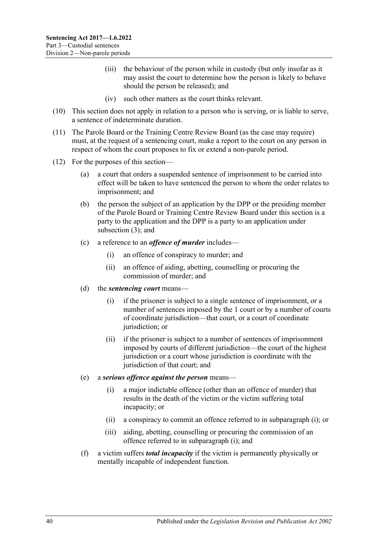- (iii) the behaviour of the person while in custody (but only insofar as it may assist the court to determine how the person is likely to behave should the person be released); and
- (iv) such other matters as the court thinks relevant.
- (10) This section does not apply in relation to a person who is serving, or is liable to serve, a sentence of indeterminate duration.
- (11) The Parole Board or the Training Centre Review Board (as the case may require) must, at the request of a sentencing court, make a report to the court on any person in respect of whom the court proposes to fix or extend a non-parole period.
- <span id="page-39-0"></span>(12) For the purposes of this section—
	- (a) a court that orders a suspended sentence of imprisonment to be carried into effect will be taken to have sentenced the person to whom the order relates to imprisonment; and
	- (b) the person the subject of an application by the DPP or the presiding member of the Parole Board or Training Centre Review Board under this section is a party to the application and the DPP is a party to an application under [subsection](#page-37-3) (3); and
	- (c) a reference to an *offence of murder* includes—
		- (i) an offence of conspiracy to murder; and
		- (ii) an offence of aiding, abetting, counselling or procuring the commission of murder; and
	- (d) the *sentencing court* means—
		- (i) if the prisoner is subject to a single sentence of imprisonment, or a number of sentences imposed by the 1 court or by a number of courts of coordinate jurisdiction—that court, or a court of coordinate jurisdiction; or
		- (ii) if the prisoner is subject to a number of sentences of imprisonment imposed by courts of different jurisdiction—the court of the highest jurisdiction or a court whose jurisdiction is coordinate with the jurisdiction of that court; and
	- (e) a *serious offence against the person* means—
		- (i) a major indictable offence (other than an offence of murder) that results in the death of the victim or the victim suffering total incapacity; or
		- (ii) a conspiracy to commit an offence referred to in [subparagraph](#page-39-0) (i); or
		- (iii) aiding, abetting, counselling or procuring the commission of an offence referred to in [subparagraph](#page-39-0) (i); and
	- (f) a victim suffers *total incapacity* if the victim is permanently physically or mentally incapable of independent function.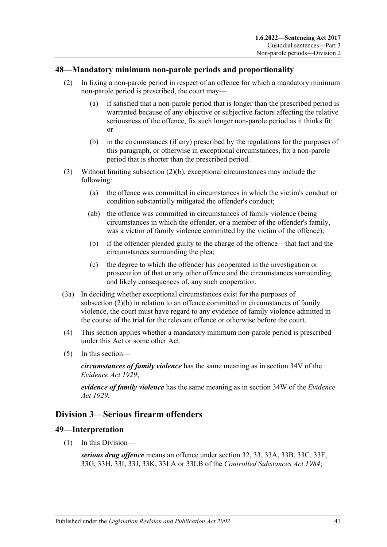### <span id="page-40-0"></span>**48—Mandatory minimum non-parole periods and proportionality**

- (2) In fixing a non-parole period in respect of an offence for which a mandatory minimum non-parole period is prescribed, the court may—
	- (a) if satisfied that a non-parole period that is longer than the prescribed period is warranted because of any objective or subjective factors affecting the relative seriousness of the offence, fix such longer non-parole period as it thinks fit; or
	- (b) in the circumstances (if any) prescribed by the regulations for the purposes of this paragraph, or otherwise in exceptional circumstances, fix a non-parole period that is shorter than the prescribed period.
- <span id="page-40-1"></span>(3) Without limiting [subsection](#page-40-1) (2)(b), exceptional circumstances may include the following:
	- (a) the offence was committed in circumstances in which the victim's conduct or condition substantially mitigated the offender's conduct;
	- (ab) the offence was committed in circumstances of family violence (being circumstances in which the offender, or a member of the offender's family, was a victim of family violence committed by the victim of the offence);
	- (b) if the offender pleaded guilty to the charge of the offence—that fact and the circumstances surrounding the plea;
	- (c) the degree to which the offender has cooperated in the investigation or prosecution of that or any other offence and the circumstances surrounding, and likely consequences of, any such cooperation.
- (3a) In deciding whether exceptional circumstances exist for the purposes of [subsection](#page-40-1) (2)(b) in relation to an offence committed in circumstances of family violence, the court must have regard to any evidence of family violence admitted in the course of the trial for the relevant offence or otherwise before the court.
- (4) This section applies whether a mandatory minimum non-parole period is prescribed under this Act or some other Act.
- (5) In this section—

*circumstances of family violence* has the same meaning as in section 34V of the *[Evidence Act](http://www.legislation.sa.gov.au/index.aspx?action=legref&type=act&legtitle=Evidence%20Act%201929) 1929*;

*evidence of family violence* has the same meaning as in section 34W of the *[Evidence](http://www.legislation.sa.gov.au/index.aspx?action=legref&type=act&legtitle=Evidence%20Act%201929)  Act [1929](http://www.legislation.sa.gov.au/index.aspx?action=legref&type=act&legtitle=Evidence%20Act%201929)*.

# **Division 3—Serious firearm offenders**

#### **49—Interpretation**

(1) In this Division—

*serious drug offence* means an offence under section 32, 33, 33A, 33B, 33C, 33F, 33G, 33H, 33I, 33J, 33K, 33LA or 33LB of the *[Controlled Substances Act](http://www.legislation.sa.gov.au/index.aspx?action=legref&type=act&legtitle=Controlled%20Substances%20Act%201984) 1984*;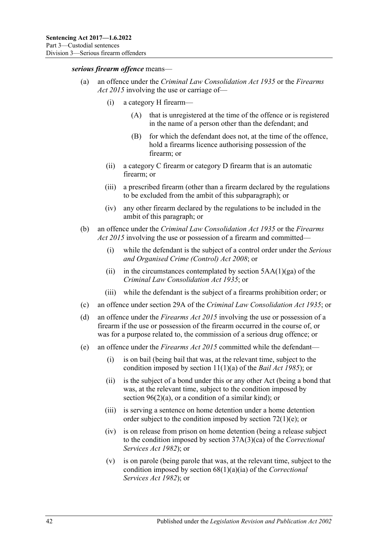#### *serious firearm offence* means—

- (a) an offence under the *[Criminal Law Consolidation Act](http://www.legislation.sa.gov.au/index.aspx?action=legref&type=act&legtitle=Criminal%20Law%20Consolidation%20Act%201935) 1935* or the *[Firearms](http://www.legislation.sa.gov.au/index.aspx?action=legref&type=act&legtitle=Firearms%20Act%202015)  Act [2015](http://www.legislation.sa.gov.au/index.aspx?action=legref&type=act&legtitle=Firearms%20Act%202015)* involving the use or carriage of—
	- (i) a category H firearm—
		- (A) that is unregistered at the time of the offence or is registered in the name of a person other than the defendant; and
		- (B) for which the defendant does not, at the time of the offence, hold a firearms licence authorising possession of the firearm; or
	- (ii) a category C firearm or category D firearm that is an automatic firearm; or
	- (iii) a prescribed firearm (other than a firearm declared by the regulations to be excluded from the ambit of this subparagraph); or
	- (iv) any other firearm declared by the regulations to be included in the ambit of this paragraph; or
- (b) an offence under the *[Criminal Law Consolidation Act](http://www.legislation.sa.gov.au/index.aspx?action=legref&type=act&legtitle=Criminal%20Law%20Consolidation%20Act%201935) 1935* or the *[Firearms](http://www.legislation.sa.gov.au/index.aspx?action=legref&type=act&legtitle=Firearms%20Act%202015)  Act [2015](http://www.legislation.sa.gov.au/index.aspx?action=legref&type=act&legtitle=Firearms%20Act%202015)* involving the use or possession of a firearm and committed—
	- (i) while the defendant is the subject of a control order under the *[Serious](http://www.legislation.sa.gov.au/index.aspx?action=legref&type=act&legtitle=Serious%20and%20Organised%20Crime%20(Control)%20Act%202008)  [and Organised Crime \(Control\) Act](http://www.legislation.sa.gov.au/index.aspx?action=legref&type=act&legtitle=Serious%20and%20Organised%20Crime%20(Control)%20Act%202008) 2008*; or
	- (ii) in the circumstances contemplated by section  $5AA(1)(ga)$  of the *[Criminal Law Consolidation Act](http://www.legislation.sa.gov.au/index.aspx?action=legref&type=act&legtitle=Criminal%20Law%20Consolidation%20Act%201935) 1935*; or
	- (iii) while the defendant is the subject of a firearms prohibition order; or
- (c) an offence under section 29A of the *[Criminal Law Consolidation Act](http://www.legislation.sa.gov.au/index.aspx?action=legref&type=act&legtitle=Criminal%20Law%20Consolidation%20Act%201935) 1935*; or
- (d) an offence under the *[Firearms Act](http://www.legislation.sa.gov.au/index.aspx?action=legref&type=act&legtitle=Firearms%20Act%202015) 2015* involving the use or possession of a firearm if the use or possession of the firearm occurred in the course of, or was for a purpose related to, the commission of a serious drug offence; or
- (e) an offence under the *[Firearms Act](http://www.legislation.sa.gov.au/index.aspx?action=legref&type=act&legtitle=Firearms%20Act%202015) 2015* committed while the defendant—
	- (i) is on bail (being bail that was, at the relevant time, subject to the condition imposed by section 11(1)(a) of the *[Bail Act](http://www.legislation.sa.gov.au/index.aspx?action=legref&type=act&legtitle=Bail%20Act%201985) 1985*); or
	- (ii) is the subject of a bond under this or any other Act (being a bond that was, at the relevant time, subject to the condition imposed by section  $96(2)(a)$ , or a condition of a similar kind); or
	- (iii) is serving a sentence on home detention under a home detention order subject to the condition imposed by section [72\(1\)\(e\);](#page-61-0) or
	- (iv) is on release from prison on home detention (being a release subject to the condition imposed by section 37A(3)(ca) of the *[Correctional](http://www.legislation.sa.gov.au/index.aspx?action=legref&type=act&legtitle=Correctional%20Services%20Act%201982)  [Services Act](http://www.legislation.sa.gov.au/index.aspx?action=legref&type=act&legtitle=Correctional%20Services%20Act%201982) 1982*); or
	- (v) is on parole (being parole that was, at the relevant time, subject to the condition imposed by section 68(1)(a)(ia) of the *[Correctional](http://www.legislation.sa.gov.au/index.aspx?action=legref&type=act&legtitle=Correctional%20Services%20Act%201982)  [Services Act](http://www.legislation.sa.gov.au/index.aspx?action=legref&type=act&legtitle=Correctional%20Services%20Act%201982) 1982*); or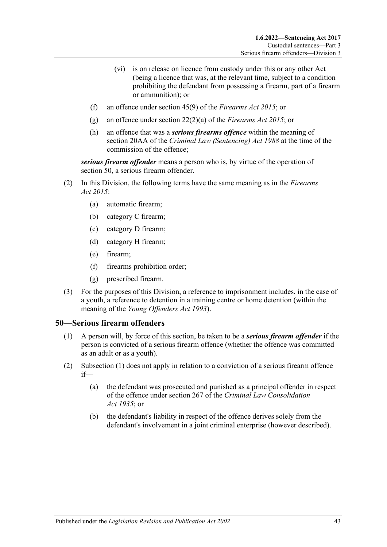- (vi) is on release on licence from custody under this or any other Act (being a licence that was, at the relevant time, subject to a condition prohibiting the defendant from possessing a firearm, part of a firearm or ammunition); or
- (f) an offence under section 45(9) of the *[Firearms Act](http://www.legislation.sa.gov.au/index.aspx?action=legref&type=act&legtitle=Firearms%20Act%202015) 2015*; or
- (g) an offence under section 22(2)(a) of the *[Firearms Act](http://www.legislation.sa.gov.au/index.aspx?action=legref&type=act&legtitle=Firearms%20Act%202015) 2015*; or
- (h) an offence that was a *serious firearms offence* within the meaning of section 20AA of the *[Criminal Law \(Sentencing\) Act](http://www.legislation.sa.gov.au/index.aspx?action=legref&type=act&legtitle=Criminal%20Law%20(Sentencing)%20Act%201988) 1988* at the time of the commission of the offence;

*serious firearm offender* means a person who is, by virtue of the operation of [section](#page-42-0) 50, a serious firearm offender.

- (2) In this Division, the following terms have the same meaning as in the *[Firearms](http://www.legislation.sa.gov.au/index.aspx?action=legref&type=act&legtitle=Firearms%20Act%202015)  Act [2015](http://www.legislation.sa.gov.au/index.aspx?action=legref&type=act&legtitle=Firearms%20Act%202015)*:
	- (a) automatic firearm;
	- (b) category C firearm;
	- (c) category D firearm;
	- (d) category H firearm;
	- (e) firearm;
	- (f) firearms prohibition order;
	- (g) prescribed firearm.
- (3) For the purposes of this Division, a reference to imprisonment includes, in the case of a youth, a reference to detention in a training centre or home detention (within the meaning of the *[Young Offenders Act](http://www.legislation.sa.gov.au/index.aspx?action=legref&type=act&legtitle=Young%20Offenders%20Act%201993) 1993*).

#### <span id="page-42-1"></span><span id="page-42-0"></span>**50—Serious firearm offenders**

- (1) A person will, by force of this section, be taken to be a *serious firearm offender* if the person is convicted of a serious firearm offence (whether the offence was committed as an adult or as a youth).
- (2) [Subsection](#page-42-1) (1) does not apply in relation to a conviction of a serious firearm offence if—
	- (a) the defendant was prosecuted and punished as a principal offender in respect of the offence under section 267 of the *[Criminal Law Consolidation](http://www.legislation.sa.gov.au/index.aspx?action=legref&type=act&legtitle=Criminal%20Law%20Consolidation%20Act%201935)  Act [1935](http://www.legislation.sa.gov.au/index.aspx?action=legref&type=act&legtitle=Criminal%20Law%20Consolidation%20Act%201935)*; or
	- (b) the defendant's liability in respect of the offence derives solely from the defendant's involvement in a joint criminal enterprise (however described).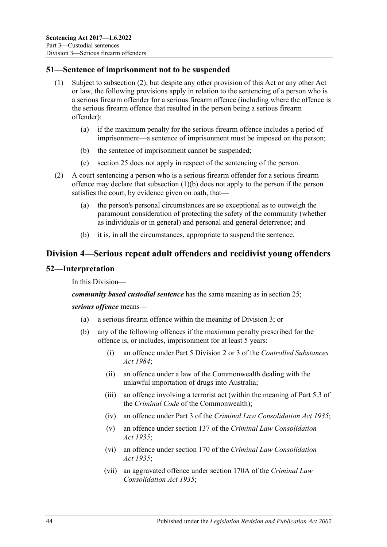#### **51—Sentence of imprisonment not to be suspended**

- (1) Subject to [subsection](#page-43-0) (2), but despite any other provision of this Act or any other Act or law, the following provisions apply in relation to the sentencing of a person who is a serious firearm offender for a serious firearm offence (including where the offence is the serious firearm offence that resulted in the person being a serious firearm offender):
	- (a) if the maximum penalty for the serious firearm offence includes a period of imprisonment—a sentence of imprisonment must be imposed on the person;
	- (b) the sentence of imprisonment cannot be suspended;
	- (c) [section](#page-19-0) 25 does not apply in respect of the sentencing of the person.
- <span id="page-43-1"></span><span id="page-43-0"></span>(2) A court sentencing a person who is a serious firearm offender for a serious firearm offence may declare that [subsection](#page-43-1)  $(1)(b)$  does not apply to the person if the person satisfies the court, by evidence given on oath, that—
	- (a) the person's personal circumstances are so exceptional as to outweigh the paramount consideration of protecting the safety of the community (whether as individuals or in general) and personal and general deterrence; and
	- (b) it is, in all the circumstances, appropriate to suspend the sentence.

# **Division 4—Serious repeat adult offenders and recidivist young offenders**

#### **52—Interpretation**

In this Division—

*community based custodial sentence* has the same meaning as in section 25;

#### <span id="page-43-3"></span><span id="page-43-2"></span>*serious offence* means—

- (a) a serious firearm offence within the meaning of Division 3; or
- (b) any of the following offences if the maximum penalty prescribed for the offence is, or includes, imprisonment for at least 5 years:
	- (i) an offence under Part 5 Division 2 or 3 of the *[Controlled Substances](http://www.legislation.sa.gov.au/index.aspx?action=legref&type=act&legtitle=Controlled%20Substances%20Act%201984)  Act [1984](http://www.legislation.sa.gov.au/index.aspx?action=legref&type=act&legtitle=Controlled%20Substances%20Act%201984)*;
	- (ii) an offence under a law of the Commonwealth dealing with the unlawful importation of drugs into Australia;
	- (iii) an offence involving a terrorist act (within the meaning of Part 5.3 of the *Criminal Code* of the Commonwealth);
	- (iv) an offence under Part 3 of the *[Criminal Law Consolidation Act](http://www.legislation.sa.gov.au/index.aspx?action=legref&type=act&legtitle=Criminal%20Law%20Consolidation%20Act%201935) 1935*;
	- (v) an offence under section 137 of the *[Criminal Law Consolidation](http://www.legislation.sa.gov.au/index.aspx?action=legref&type=act&legtitle=Criminal%20Law%20Consolidation%20Act%201935)  Act [1935](http://www.legislation.sa.gov.au/index.aspx?action=legref&type=act&legtitle=Criminal%20Law%20Consolidation%20Act%201935)*;
	- (vi) an offence under section 170 of the *[Criminal Law Consolidation](http://www.legislation.sa.gov.au/index.aspx?action=legref&type=act&legtitle=Criminal%20Law%20Consolidation%20Act%201935)  Act [1935](http://www.legislation.sa.gov.au/index.aspx?action=legref&type=act&legtitle=Criminal%20Law%20Consolidation%20Act%201935)*;
	- (vii) an aggravated offence under section 170A of the *[Criminal Law](http://www.legislation.sa.gov.au/index.aspx?action=legref&type=act&legtitle=Criminal%20Law%20Consolidation%20Act%201935)  [Consolidation Act](http://www.legislation.sa.gov.au/index.aspx?action=legref&type=act&legtitle=Criminal%20Law%20Consolidation%20Act%201935) 1935*;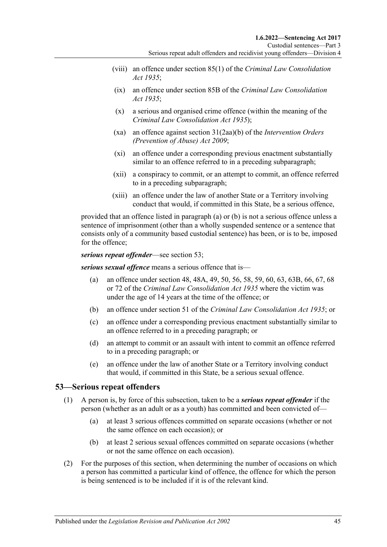- (viii) an offence under section 85(1) of the *[Criminal Law Consolidation](http://www.legislation.sa.gov.au/index.aspx?action=legref&type=act&legtitle=Criminal%20Law%20Consolidation%20Act%201935)  Act [1935](http://www.legislation.sa.gov.au/index.aspx?action=legref&type=act&legtitle=Criminal%20Law%20Consolidation%20Act%201935)*;
- (ix) an offence under section 85B of the *[Criminal Law Consolidation](http://www.legislation.sa.gov.au/index.aspx?action=legref&type=act&legtitle=Criminal%20Law%20Consolidation%20Act%201935)  Act [1935](http://www.legislation.sa.gov.au/index.aspx?action=legref&type=act&legtitle=Criminal%20Law%20Consolidation%20Act%201935)*;
- (x) a serious and organised crime offence (within the meaning of the *[Criminal Law Consolidation Act](http://www.legislation.sa.gov.au/index.aspx?action=legref&type=act&legtitle=Criminal%20Law%20Consolidation%20Act%201935) 1935*);
- (xa) an offence against section 31(2aa)(b) of the *[Intervention Orders](http://www.legislation.sa.gov.au/index.aspx?action=legref&type=act&legtitle=Intervention%20Orders%20(Prevention%20of%20Abuse)%20Act%202009)  [\(Prevention of Abuse\) Act](http://www.legislation.sa.gov.au/index.aspx?action=legref&type=act&legtitle=Intervention%20Orders%20(Prevention%20of%20Abuse)%20Act%202009) 2009*;
- (xi) an offence under a corresponding previous enactment substantially similar to an offence referred to in a preceding subparagraph;
- (xii) a conspiracy to commit, or an attempt to commit, an offence referred to in a preceding subparagraph;
- (xiii) an offence under the law of another State or a Territory involving conduct that would, if committed in this State, be a serious offence,

provided that an offence listed in [paragraph](#page-43-2) (a) or [\(b\)](#page-43-3) is not a serious offence unless a sentence of imprisonment (other than a wholly suspended sentence or a sentence that consists only of a community based custodial sentence) has been, or is to be, imposed for the offence;

*serious repeat offender*—see [section](#page-44-0) 53;

*serious sexual offence* means a serious offence that is—

- (a) an offence under section 48, 48A, 49, 50, 56, 58, 59, 60, 63, 63B, 66, 67, 68 or 72 of the *[Criminal Law Consolidation Act](http://www.legislation.sa.gov.au/index.aspx?action=legref&type=act&legtitle=Criminal%20Law%20Consolidation%20Act%201935) 1935* where the victim was under the age of 14 years at the time of the offence; or
- (b) an offence under section 51 of the *[Criminal Law Consolidation Act](http://www.legislation.sa.gov.au/index.aspx?action=legref&type=act&legtitle=Criminal%20Law%20Consolidation%20Act%201935) 1935*; or
- (c) an offence under a corresponding previous enactment substantially similar to an offence referred to in a preceding paragraph; or
- (d) an attempt to commit or an assault with intent to commit an offence referred to in a preceding paragraph; or
- (e) an offence under the law of another State or a Territory involving conduct that would, if committed in this State, be a serious sexual offence.

#### <span id="page-44-0"></span>**53—Serious repeat offenders**

- (1) A person is, by force of this subsection, taken to be a *serious repeat offender* if the person (whether as an adult or as a youth) has committed and been convicted of—
	- (a) at least 3 serious offences committed on separate occasions (whether or not the same offence on each occasion); or
	- (b) at least 2 serious sexual offences committed on separate occasions (whether or not the same offence on each occasion).
- (2) For the purposes of this section, when determining the number of occasions on which a person has committed a particular kind of offence, the offence for which the person is being sentenced is to be included if it is of the relevant kind.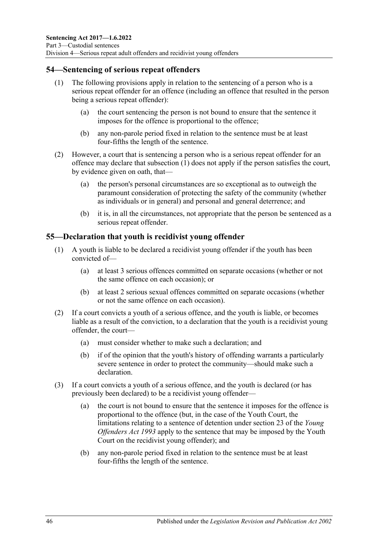### <span id="page-45-0"></span>**54—Sentencing of serious repeat offenders**

- (1) The following provisions apply in relation to the sentencing of a person who is a serious repeat offender for an offence (including an offence that resulted in the person being a serious repeat offender):
	- (a) the court sentencing the person is not bound to ensure that the sentence it imposes for the offence is proportional to the offence;
	- (b) any non-parole period fixed in relation to the sentence must be at least four-fifths the length of the sentence.
- (2) However, a court that is sentencing a person who is a serious repeat offender for an offence may declare that [subsection](#page-45-0) (1) does not apply if the person satisfies the court, by evidence given on oath, that—
	- (a) the person's personal circumstances are so exceptional as to outweigh the paramount consideration of protecting the safety of the community (whether as individuals or in general) and personal and general deterrence; and
	- (b) it is, in all the circumstances, not appropriate that the person be sentenced as a serious repeat offender.

### **55—Declaration that youth is recidivist young offender**

- (1) A youth is liable to be declared a recidivist young offender if the youth has been convicted of—
	- (a) at least 3 serious offences committed on separate occasions (whether or not the same offence on each occasion); or
	- (b) at least 2 serious sexual offences committed on separate occasions (whether or not the same offence on each occasion).
- (2) If a court convicts a youth of a serious offence, and the youth is liable, or becomes liable as a result of the conviction, to a declaration that the youth is a recidivist young offender, the court—
	- (a) must consider whether to make such a declaration; and
	- (b) if of the opinion that the youth's history of offending warrants a particularly severe sentence in order to protect the community—should make such a declaration.
- (3) If a court convicts a youth of a serious offence, and the youth is declared (or has previously been declared) to be a recidivist young offender—
	- (a) the court is not bound to ensure that the sentence it imposes for the offence is proportional to the offence (but, in the case of the Youth Court, the limitations relating to a sentence of detention under section 23 of the *[Young](http://www.legislation.sa.gov.au/index.aspx?action=legref&type=act&legtitle=Young%20Offenders%20Act%201993)  [Offenders Act](http://www.legislation.sa.gov.au/index.aspx?action=legref&type=act&legtitle=Young%20Offenders%20Act%201993) 1993* apply to the sentence that may be imposed by the Youth Court on the recidivist young offender); and
	- (b) any non-parole period fixed in relation to the sentence must be at least four-fifths the length of the sentence.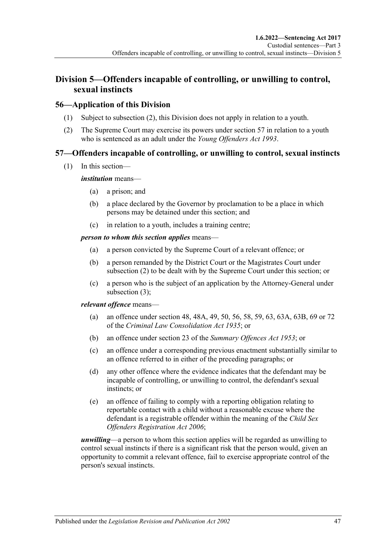# **Division 5—Offenders incapable of controlling, or unwilling to control, sexual instincts**

### **56—Application of this Division**

- (1) Subject to [subsection](#page-46-0) (2), this Division does not apply in relation to a youth.
- <span id="page-46-0"></span>(2) The Supreme Court may exercise its powers under [section](#page-46-1) 57 in relation to a youth who is sentenced as an adult under the *[Young Offenders Act](http://www.legislation.sa.gov.au/index.aspx?action=legref&type=act&legtitle=Young%20Offenders%20Act%201993) 1993*.

# <span id="page-46-1"></span>**57—Offenders incapable of controlling, or unwilling to control, sexual instincts**

(1) In this section—

#### *institution* means—

- (a) a prison; and
- (b) a place declared by the Governor by proclamation to be a place in which persons may be detained under this section; and
- (c) in relation to a youth, includes a training centre;

#### *person to whom this section applies* means—

- (a) a person convicted by the Supreme Court of a relevant offence; or
- (b) a person remanded by the District Court or the Magistrates Court under [subsection](#page-47-0) (2) to be dealt with by the Supreme Court under this section; or
- (c) a person who is the subject of an application by the Attorney-General under [subsection](#page-47-1) (3);

#### *relevant offence* means—

- (a) an offence under section 48, 48A, 49, 50, 56, 58, 59, 63, 63A, 63B, 69 or 72 of the *[Criminal Law Consolidation Act](http://www.legislation.sa.gov.au/index.aspx?action=legref&type=act&legtitle=Criminal%20Law%20Consolidation%20Act%201935) 1935*; or
- (b) an offence under section 23 of the *[Summary Offences Act](http://www.legislation.sa.gov.au/index.aspx?action=legref&type=act&legtitle=Summary%20Offences%20Act%201953) 1953*; or
- (c) an offence under a corresponding previous enactment substantially similar to an offence referred to in either of the preceding paragraphs; or
- (d) any other offence where the evidence indicates that the defendant may be incapable of controlling, or unwilling to control, the defendant's sexual instincts; or
- (e) an offence of failing to comply with a reporting obligation relating to reportable contact with a child without a reasonable excuse where the defendant is a registrable offender within the meaning of the *[Child Sex](http://www.legislation.sa.gov.au/index.aspx?action=legref&type=act&legtitle=Child%20Sex%20Offenders%20Registration%20Act%202006)  [Offenders Registration Act](http://www.legislation.sa.gov.au/index.aspx?action=legref&type=act&legtitle=Child%20Sex%20Offenders%20Registration%20Act%202006) 2006*;

*unwilling*—a person to whom this section applies will be regarded as unwilling to control sexual instincts if there is a significant risk that the person would, given an opportunity to commit a relevant offence, fail to exercise appropriate control of the person's sexual instincts.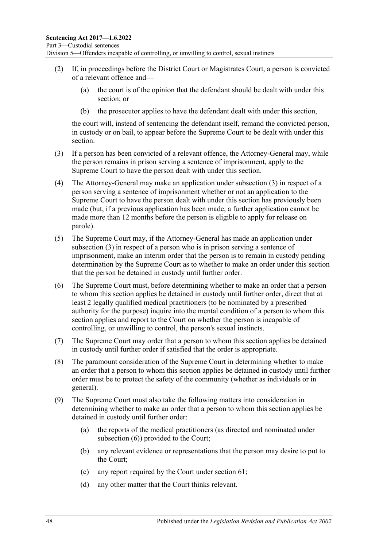- <span id="page-47-0"></span>(2) If, in proceedings before the District Court or Magistrates Court, a person is convicted of a relevant offence and—
	- (a) the court is of the opinion that the defendant should be dealt with under this section; or
	- (b) the prosecutor applies to have the defendant dealt with under this section,

the court will, instead of sentencing the defendant itself, remand the convicted person, in custody or on bail, to appear before the Supreme Court to be dealt with under this section.

- <span id="page-47-1"></span>(3) If a person has been convicted of a relevant offence, the Attorney-General may, while the person remains in prison serving a sentence of imprisonment, apply to the Supreme Court to have the person dealt with under this section.
- (4) The Attorney-General may make an application under [subsection](#page-47-1) (3) in respect of a person serving a sentence of imprisonment whether or not an application to the Supreme Court to have the person dealt with under this section has previously been made (but, if a previous application has been made, a further application cannot be made more than 12 months before the person is eligible to apply for release on parole).
- (5) The Supreme Court may, if the Attorney-General has made an application under [subsection](#page-47-1) (3) in respect of a person who is in prison serving a sentence of imprisonment, make an interim order that the person is to remain in custody pending determination by the Supreme Court as to whether to make an order under this section that the person be detained in custody until further order.
- <span id="page-47-2"></span>(6) The Supreme Court must, before determining whether to make an order that a person to whom this section applies be detained in custody until further order, direct that at least 2 legally qualified medical practitioners (to be nominated by a prescribed authority for the purpose) inquire into the mental condition of a person to whom this section applies and report to the Court on whether the person is incapable of controlling, or unwilling to control, the person's sexual instincts.
- (7) The Supreme Court may order that a person to whom this section applies be detained in custody until further order if satisfied that the order is appropriate.
- (8) The paramount consideration of the Supreme Court in determining whether to make an order that a person to whom this section applies be detained in custody until further order must be to protect the safety of the community (whether as individuals or in general).
- <span id="page-47-3"></span>(9) The Supreme Court must also take the following matters into consideration in determining whether to make an order that a person to whom this section applies be detained in custody until further order:
	- (a) the reports of the medical practitioners (as directed and nominated under [subsection](#page-47-2) (6)) provided to the Court;
	- (b) any relevant evidence or representations that the person may desire to put to the Court;
	- (c) any report required by the Court under [section](#page-53-0) 61;
	- (d) any other matter that the Court thinks relevant.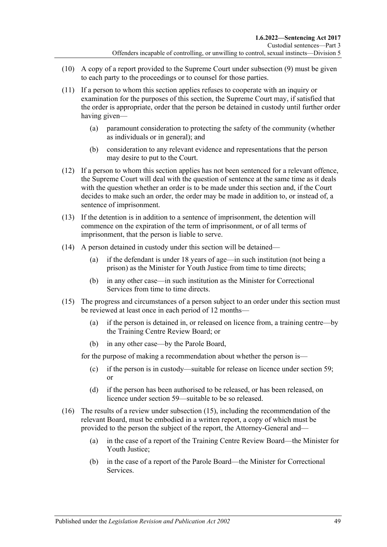- (10) A copy of a report provided to the Supreme Court under [subsection](#page-47-3) (9) must be given to each party to the proceedings or to counsel for those parties.
- (11) If a person to whom this section applies refuses to cooperate with an inquiry or examination for the purposes of this section, the Supreme Court may, if satisfied that the order is appropriate, order that the person be detained in custody until further order having given—
	- (a) paramount consideration to protecting the safety of the community (whether as individuals or in general); and
	- (b) consideration to any relevant evidence and representations that the person may desire to put to the Court.
- (12) If a person to whom this section applies has not been sentenced for a relevant offence, the Supreme Court will deal with the question of sentence at the same time as it deals with the question whether an order is to be made under this section and, if the Court decides to make such an order, the order may be made in addition to, or instead of, a sentence of imprisonment.
- (13) If the detention is in addition to a sentence of imprisonment, the detention will commence on the expiration of the term of imprisonment, or of all terms of imprisonment, that the person is liable to serve.
- (14) A person detained in custody under this section will be detained—
	- (a) if the defendant is under 18 years of age—in such institution (not being a prison) as the Minister for Youth Justice from time to time directs;
	- (b) in any other case—in such institution as the Minister for Correctional Services from time to time directs.
- <span id="page-48-0"></span>(15) The progress and circumstances of a person subject to an order under this section must be reviewed at least once in each period of 12 months—
	- (a) if the person is detained in, or released on licence from, a training centre—by the Training Centre Review Board; or
	- (b) in any other case—by the Parole Board,

for the purpose of making a recommendation about whether the person is—

- (c) if the person is in custody—suitable for release on licence under [section](#page-50-0) 59; or
- (d) if the person has been authorised to be released, or has been released, on licence under [section](#page-50-0) 59—suitable to be so released.
- (16) The results of a review under [subsection](#page-48-0) (15), including the recommendation of the relevant Board, must be embodied in a written report, a copy of which must be provided to the person the subject of the report, the Attorney-General and—
	- (a) in the case of a report of the Training Centre Review Board—the Minister for Youth Justice;
	- (b) in the case of a report of the Parole Board—the Minister for Correctional Services.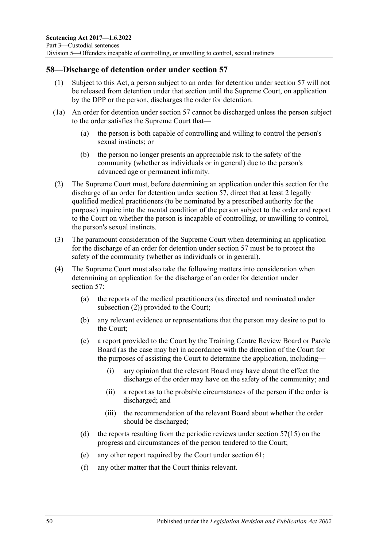## **58—Discharge of detention order under [section](#page-46-1) 57**

- (1) Subject to this Act, a person subject to an order for detention under [section](#page-46-1) 57 will not be released from detention under that section until the Supreme Court, on application by the DPP or the person, discharges the order for detention.
- (1a) An order for detention under [section](#page-46-1) 57 cannot be discharged unless the person subject to the order satisfies the Supreme Court that—
	- (a) the person is both capable of controlling and willing to control the person's sexual instincts; or
	- (b) the person no longer presents an appreciable risk to the safety of the community (whether as individuals or in general) due to the person's advanced age or permanent infirmity.
- <span id="page-49-0"></span>(2) The Supreme Court must, before determining an application under this section for the discharge of an order for detention under [section](#page-46-1) 57, direct that at least 2 legally qualified medical practitioners (to be nominated by a prescribed authority for the purpose) inquire into the mental condition of the person subject to the order and report to the Court on whether the person is incapable of controlling, or unwilling to control, the person's sexual instincts.
- (3) The paramount consideration of the Supreme Court when determining an application for the discharge of an order for detention under [section](#page-46-1) 57 must be to protect the safety of the community (whether as individuals or in general).
- <span id="page-49-1"></span>(4) The Supreme Court must also take the following matters into consideration when determining an application for the discharge of an order for detention under [section](#page-46-1) 57:
	- (a) the reports of the medical practitioners (as directed and nominated under [subsection](#page-49-0) (2)) provided to the Court;
	- (b) any relevant evidence or representations that the person may desire to put to the Court;
	- (c) a report provided to the Court by the Training Centre Review Board or Parole Board (as the case may be) in accordance with the direction of the Court for the purposes of assisting the Court to determine the application, including—
		- (i) any opinion that the relevant Board may have about the effect the discharge of the order may have on the safety of the community; and
		- (ii) a report as to the probable circumstances of the person if the order is discharged; and
		- (iii) the recommendation of the relevant Board about whether the order should be discharged;
	- (d) the reports resulting from the periodic reviews under [section](#page-48-0)  $57(15)$  on the progress and circumstances of the person tendered to the Court;
	- (e) any other report required by the Court under [section](#page-53-0) 61;
	- (f) any other matter that the Court thinks relevant.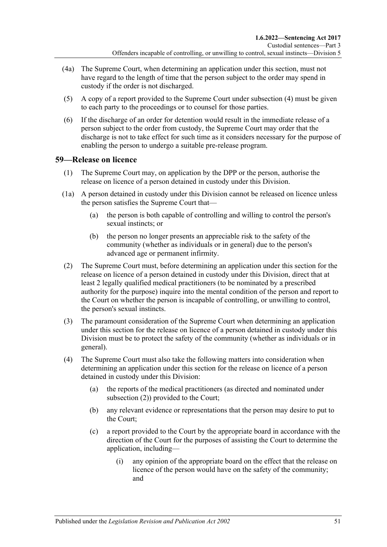- (4a) The Supreme Court, when determining an application under this section, must not have regard to the length of time that the person subject to the order may spend in custody if the order is not discharged.
- (5) A copy of a report provided to the Supreme Court under [subsection](#page-49-1) (4) must be given to each party to the proceedings or to counsel for those parties.
- (6) If the discharge of an order for detention would result in the immediate release of a person subject to the order from custody, the Supreme Court may order that the discharge is not to take effect for such time as it considers necessary for the purpose of enabling the person to undergo a suitable pre-release program.

### <span id="page-50-3"></span><span id="page-50-0"></span>**59—Release on licence**

- (1) The Supreme Court may, on application by the DPP or the person, authorise the release on licence of a person detained in custody under this Division.
- (1a) A person detained in custody under this Division cannot be released on licence unless the person satisfies the Supreme Court that—
	- (a) the person is both capable of controlling and willing to control the person's sexual instincts; or
	- (b) the person no longer presents an appreciable risk to the safety of the community (whether as individuals or in general) due to the person's advanced age or permanent infirmity.
- <span id="page-50-4"></span><span id="page-50-1"></span>(2) The Supreme Court must, before determining an application under this section for the release on licence of a person detained in custody under this Division, direct that at least 2 legally qualified medical practitioners (to be nominated by a prescribed authority for the purpose) inquire into the mental condition of the person and report to the Court on whether the person is incapable of controlling, or unwilling to control, the person's sexual instincts.
- (3) The paramount consideration of the Supreme Court when determining an application under this section for the release on licence of a person detained in custody under this Division must be to protect the safety of the community (whether as individuals or in general).
- <span id="page-50-2"></span>(4) The Supreme Court must also take the following matters into consideration when determining an application under this section for the release on licence of a person detained in custody under this Division:
	- (a) the reports of the medical practitioners (as directed and nominated under [subsection](#page-50-1) (2)) provided to the Court;
	- (b) any relevant evidence or representations that the person may desire to put to the Court;
	- (c) a report provided to the Court by the appropriate board in accordance with the direction of the Court for the purposes of assisting the Court to determine the application, including—
		- (i) any opinion of the appropriate board on the effect that the release on licence of the person would have on the safety of the community; and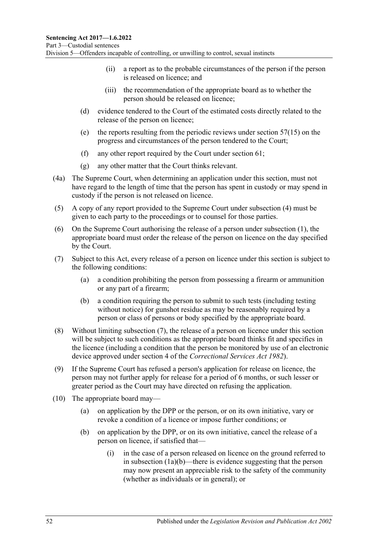- (ii) a report as to the probable circumstances of the person if the person is released on licence; and
- (iii) the recommendation of the appropriate board as to whether the person should be released on licence;
- (d) evidence tendered to the Court of the estimated costs directly related to the release of the person on licence;
- (e) the reports resulting from the periodic reviews under [section](#page-48-0) 57(15) on the progress and circumstances of the person tendered to the Court;
- (f) any other report required by the Court under [section](#page-53-0) 61;
- (g) any other matter that the Court thinks relevant.
- (4a) The Supreme Court, when determining an application under this section, must not have regard to the length of time that the person has spent in custody or may spend in custody if the person is not released on licence.
- (5) A copy of any report provided to the Supreme Court under [subsection](#page-50-2) (4) must be given to each party to the proceedings or to counsel for those parties.
- (6) On the Supreme Court authorising the release of a person under [subsection](#page-50-3) (1), the appropriate board must order the release of the person on licence on the day specified by the Court.
- <span id="page-51-2"></span><span id="page-51-0"></span>(7) Subject to this Act, every release of a person on licence under this section is subject to the following conditions:
	- (a) a condition prohibiting the person from possessing a firearm or ammunition or any part of a firearm;
	- (b) a condition requiring the person to submit to such tests (including testing without notice) for gunshot residue as may be reasonably required by a person or class of persons or body specified by the appropriate board.
- (8) Without limiting [subsection](#page-51-0) (7), the release of a person on licence under this section will be subject to such conditions as the appropriate board thinks fit and specifies in the licence (including a condition that the person be monitored by use of an electronic device approved under section 4 of the *[Correctional Services Act](http://www.legislation.sa.gov.au/index.aspx?action=legref&type=act&legtitle=Correctional%20Services%20Act%201982) 1982*).
- (9) If the Supreme Court has refused a person's application for release on licence, the person may not further apply for release for a period of 6 months, or such lesser or greater period as the Court may have directed on refusing the application.
- <span id="page-51-1"></span>(10) The appropriate board may—
	- (a) on application by the DPP or the person, or on its own initiative, vary or revoke a condition of a licence or impose further conditions; or
	- (b) on application by the DPP, or on its own initiative, cancel the release of a person on licence, if satisfied that—
		- (i) in the case of a person released on licence on the ground referred to in [subsection](#page-50-4) (1a)(b)—there is evidence suggesting that the person may now present an appreciable risk to the safety of the community (whether as individuals or in general); or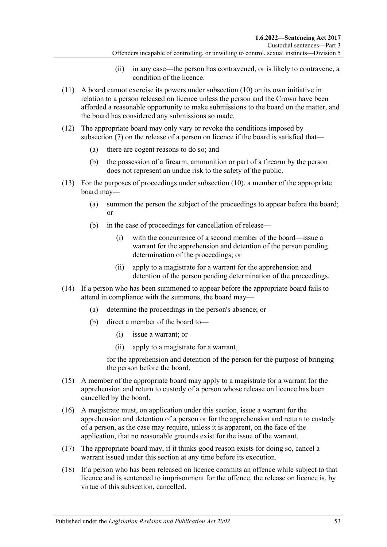- (ii) in any case—the person has contravened, or is likely to contravene, a condition of the licence.
- (11) A board cannot exercise its powers under [subsection](#page-51-1) (10) on its own initiative in relation to a person released on licence unless the person and the Crown have been afforded a reasonable opportunity to make submissions to the board on the matter, and the board has considered any submissions so made.
- (12) The appropriate board may only vary or revoke the conditions imposed by [subsection](#page-51-0) (7) on the release of a person on licence if the board is satisfied that—
	- (a) there are cogent reasons to do so; and
	- (b) the possession of a firearm, ammunition or part of a firearm by the person does not represent an undue risk to the safety of the public.
- (13) For the purposes of proceedings under [subsection](#page-51-1) (10), a member of the appropriate board may—
	- (a) summon the person the subject of the proceedings to appear before the board; or
	- (b) in the case of proceedings for cancellation of release—
		- (i) with the concurrence of a second member of the board—issue a warrant for the apprehension and detention of the person pending determination of the proceedings; or
		- (ii) apply to a magistrate for a warrant for the apprehension and detention of the person pending determination of the proceedings.
- (14) If a person who has been summoned to appear before the appropriate board fails to attend in compliance with the summons, the board may—
	- (a) determine the proceedings in the person's absence; or
	- (b) direct a member of the board to—
		- (i) issue a warrant; or
		- (ii) apply to a magistrate for a warrant,

for the apprehension and detention of the person for the purpose of bringing the person before the board.

- (15) A member of the appropriate board may apply to a magistrate for a warrant for the apprehension and return to custody of a person whose release on licence has been cancelled by the board.
- (16) A magistrate must, on application under this section, issue a warrant for the apprehension and detention of a person or for the apprehension and return to custody of a person, as the case may require, unless it is apparent, on the face of the application, that no reasonable grounds exist for the issue of the warrant.
- (17) The appropriate board may, if it thinks good reason exists for doing so, cancel a warrant issued under this section at any time before its execution.
- (18) If a person who has been released on licence commits an offence while subject to that licence and is sentenced to imprisonment for the offence, the release on licence is, by virtue of this subsection, cancelled.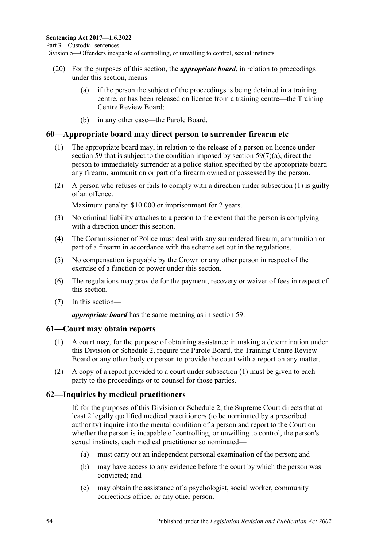- (20) For the purposes of this section, the *appropriate board*, in relation to proceedings under this section, means—
	- (a) if the person the subject of the proceedings is being detained in a training centre, or has been released on licence from a training centre—the Training Centre Review Board;
	- (b) in any other case—the Parole Board.

#### <span id="page-53-1"></span>**60—Appropriate board may direct person to surrender firearm etc**

- (1) The appropriate board may, in relation to the release of a person on licence under [section](#page-50-0) 59 that is subject to the condition imposed by section  $59(7)(a)$ , direct the person to immediately surrender at a police station specified by the appropriate board any firearm, ammunition or part of a firearm owned or possessed by the person.
- (2) A person who refuses or fails to comply with a direction under [subsection](#page-53-1) (1) is guilty of an offence.

Maximum penalty: \$10 000 or imprisonment for 2 years.

- (3) No criminal liability attaches to a person to the extent that the person is complying with a direction under this section.
- (4) The Commissioner of Police must deal with any surrendered firearm, ammunition or part of a firearm in accordance with the scheme set out in the regulations.
- (5) No compensation is payable by the Crown or any other person in respect of the exercise of a function or power under this section.
- (6) The regulations may provide for the payment, recovery or waiver of fees in respect of this section.
- (7) In this section—

*appropriate board* has the same meaning as in [section](#page-50-0) 59.

#### <span id="page-53-2"></span><span id="page-53-0"></span>**61—Court may obtain reports**

- (1) A court may, for the purpose of obtaining assistance in making a determination under this Division or [Schedule 2,](#page-103-0) require the Parole Board, the Training Centre Review Board or any other body or person to provide the court with a report on any matter.
- (2) A copy of a report provided to a court under [subsection](#page-53-2) (1) must be given to each party to the proceedings or to counsel for those parties.

#### **62—Inquiries by medical practitioners**

If, for the purposes of this Division or [Schedule 2,](#page-103-0) the Supreme Court directs that at least 2 legally qualified medical practitioners (to be nominated by a prescribed authority) inquire into the mental condition of a person and report to the Court on whether the person is incapable of controlling, or unwilling to control, the person's sexual instincts, each medical practitioner so nominated—

- (a) must carry out an independent personal examination of the person; and
- (b) may have access to any evidence before the court by which the person was convicted; and
- (c) may obtain the assistance of a psychologist, social worker, community corrections officer or any other person.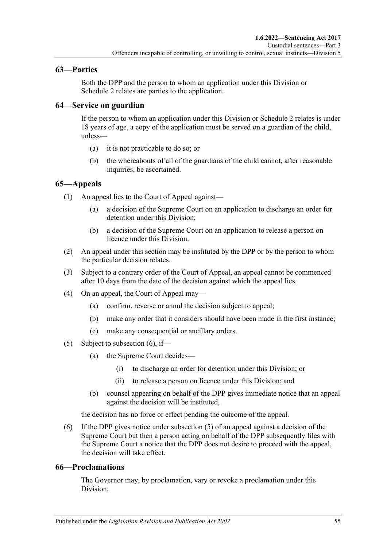### **63—Parties**

Both the DPP and the person to whom an application under this Division or [Schedule](#page-103-0) 2 relates are parties to the application.

### **64—Service on guardian**

If the person to whom an application under this Division or [Schedule 2](#page-103-0) relates is under 18 years of age, a copy of the application must be served on a guardian of the child, unless—

- (a) it is not practicable to do so; or
- (b) the whereabouts of all of the guardians of the child cannot, after reasonable inquiries, be ascertained.

# **65—Appeals**

(1) An appeal lies to the Court of Appeal against—

- (a) a decision of the Supreme Court on an application to discharge an order for detention under this Division;
- (b) a decision of the Supreme Court on an application to release a person on licence under this Division.
- (2) An appeal under this section may be instituted by the DPP or by the person to whom the particular decision relates.
- (3) Subject to a contrary order of the Court of Appeal, an appeal cannot be commenced after 10 days from the date of the decision against which the appeal lies.
- (4) On an appeal, the Court of Appeal may—
	- (a) confirm, reverse or annul the decision subject to appeal;
	- (b) make any order that it considers should have been made in the first instance;
	- (c) make any consequential or ancillary orders.
- <span id="page-54-1"></span>(5) Subject to [subsection](#page-54-0)  $(6)$ , if—
	- (a) the Supreme Court decides—
		- (i) to discharge an order for detention under this Division; or
		- (ii) to release a person on licence under this Division; and
	- (b) counsel appearing on behalf of the DPP gives immediate notice that an appeal against the decision will be instituted,

the decision has no force or effect pending the outcome of the appeal.

<span id="page-54-0"></span>(6) If the DPP gives notice under [subsection](#page-54-1) (5) of an appeal against a decision of the Supreme Court but then a person acting on behalf of the DPP subsequently files with the Supreme Court a notice that the DPP does not desire to proceed with the appeal, the decision will take effect.

#### **66—Proclamations**

The Governor may, by proclamation, vary or revoke a proclamation under this Division.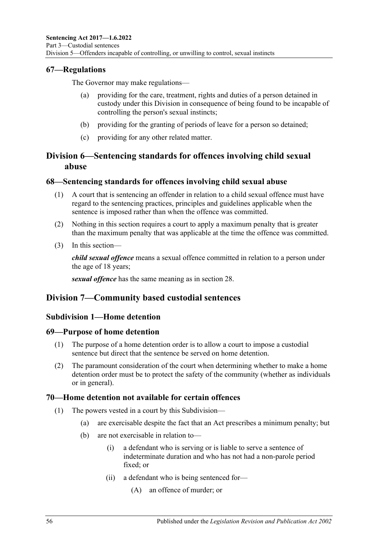### **67—Regulations**

The Governor may make regulations—

- providing for the care, treatment, rights and duties of a person detained in custody under this Division in consequence of being found to be incapable of controlling the person's sexual instincts;
- (b) providing for the granting of periods of leave for a person so detained;
- (c) providing for any other related matter.

# **Division 6—Sentencing standards for offences involving child sexual abuse**

#### **68—Sentencing standards for offences involving child sexual abuse**

- (1) A court that is sentencing an offender in relation to a child sexual offence must have regard to the sentencing practices, principles and guidelines applicable when the sentence is imposed rather than when the offence was committed.
- (2) Nothing in this section requires a court to apply a maximum penalty that is greater than the maximum penalty that was applicable at the time the offence was committed.
- (3) In this section—

*child sexual offence* means a sexual offence committed in relation to a person under the age of 18 years;

*sexual offence* has the same meaning as in [section](#page-21-0) 28.

# **Division 7—Community based custodial sentences**

# **Subdivision 1—Home detention**

#### **69—Purpose of home detention**

- (1) The purpose of a home detention order is to allow a court to impose a custodial sentence but direct that the sentence be served on home detention.
- (2) The paramount consideration of the court when determining whether to make a home detention order must be to protect the safety of the community (whether as individuals or in general).

#### **70—Home detention not available for certain offences**

- (1) The powers vested in a court by this Subdivision—
	- (a) are exercisable despite the fact that an Act prescribes a minimum penalty; but
	- (b) are not exercisable in relation to—
		- (i) a defendant who is serving or is liable to serve a sentence of indeterminate duration and who has not had a non-parole period fixed; or
		- (ii) a defendant who is being sentenced for—
			- (A) an offence of murder; or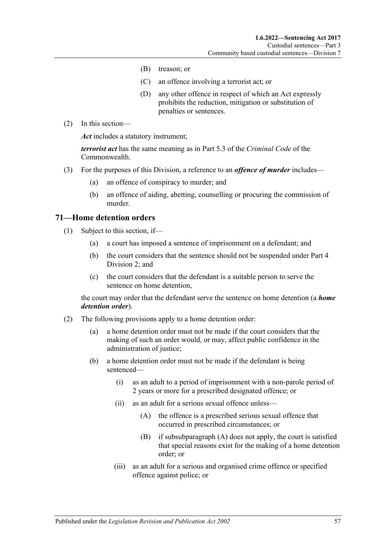- (B) treason; or
- (C) an offence involving a terrorist act; or
- (D) any other offence in respect of which an Act expressly prohibits the reduction, mitigation or substitution of penalties or sentences.
- (2) In this section—

*Act* includes a statutory instrument;

*terrorist act* has the same meaning as in Part 5.3 of the *Criminal Code* of the Commonwealth.

- (3) For the purposes of this Division, a reference to an *offence of murder* includes—
	- (a) an offence of conspiracy to murder; and
	- (b) an offence of aiding, abetting, counselling or procuring the commission of murder.

#### **71—Home detention orders**

- (1) Subject to this section, if—
	- (a) a court has imposed a sentence of imprisonment on a defendant; and
	- (b) the court considers that the sentence should not be suspended under [Part](#page-79-1) 4 [Division](#page-79-1) 2; and
	- (c) the court considers that the defendant is a suitable person to serve the sentence on home detention,

the court may order that the defendant serve the sentence on home detention (a *home detention order*).

- <span id="page-56-1"></span><span id="page-56-0"></span>(2) The following provisions apply to a home detention order:
	- (a) a home detention order must not be made if the court considers that the making of such an order would, or may, affect public confidence in the administration of justice;
	- (b) a home detention order must not be made if the defendant is being sentenced—
		- (i) as an adult to a period of imprisonment with a non-parole period of 2 years or more for a prescribed designated offence; or
		- (ii) as an adult for a serious sexual offence unless—
			- (A) the offence is a prescribed serious sexual offence that occurred in prescribed circumstances; or
			- (B) if [subsubparagraph](#page-56-0) (A) does not apply, the court is satisfied that special reasons exist for the making of a home detention order; or
		- (iii) as an adult for a serious and organised crime offence or specified offence against police; or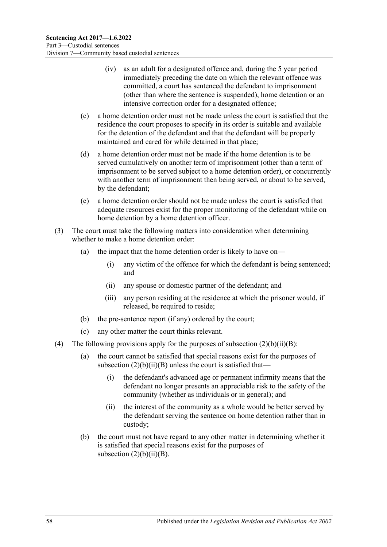- (iv) as an adult for a designated offence and, during the 5 year period immediately preceding the date on which the relevant offence was committed, a court has sentenced the defendant to imprisonment (other than where the sentence is suspended), home detention or an intensive correction order for a designated offence;
- (c) a home detention order must not be made unless the court is satisfied that the residence the court proposes to specify in its order is suitable and available for the detention of the defendant and that the defendant will be properly maintained and cared for while detained in that place;
- (d) a home detention order must not be made if the home detention is to be served cumulatively on another term of imprisonment (other than a term of imprisonment to be served subject to a home detention order), or concurrently with another term of imprisonment then being served, or about to be served, by the defendant;
- (e) a home detention order should not be made unless the court is satisfied that adequate resources exist for the proper monitoring of the defendant while on home detention by a home detention officer.
- (3) The court must take the following matters into consideration when determining whether to make a home detention order:
	- (a) the impact that the home detention order is likely to have on—
		- (i) any victim of the offence for which the defendant is being sentenced; and
		- (ii) any spouse or domestic partner of the defendant; and
		- (iii) any person residing at the residence at which the prisoner would, if released, be required to reside;
	- (b) the pre-sentence report (if any) ordered by the court;
	- (c) any other matter the court thinks relevant.
- (4) The following provisions apply for the purposes of subsection  $(2)(b)(ii)(B)$ :
	- (a) the court cannot be satisfied that special reasons exist for the purposes of subsection  $(2)(b)(ii)(B)$  unless the court is satisfied that—
		- (i) the defendant's advanced age or permanent infirmity means that the defendant no longer presents an appreciable risk to the safety of the community (whether as individuals or in general); and
		- (ii) the interest of the community as a whole would be better served by the defendant serving the sentence on home detention rather than in custody;
	- (b) the court must not have regard to any other matter in determining whether it is satisfied that special reasons exist for the purposes of subsection  $(2)(b)(ii)(B)$ .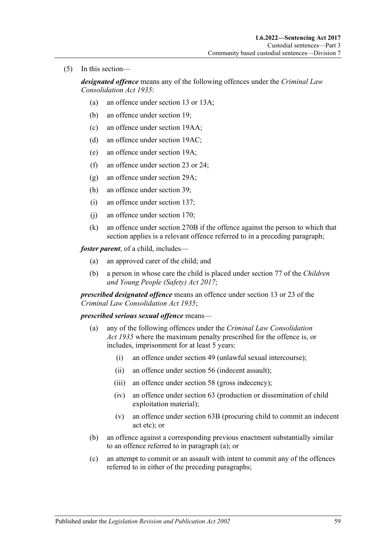(5) In this section—

*designated offence* means any of the following offences under the *[Criminal Law](http://www.legislation.sa.gov.au/index.aspx?action=legref&type=act&legtitle=Criminal%20Law%20Consolidation%20Act%201935)  [Consolidation Act](http://www.legislation.sa.gov.au/index.aspx?action=legref&type=act&legtitle=Criminal%20Law%20Consolidation%20Act%201935) 1935*:

- (a) an offence under section 13 or 13A;
- (b) an offence under section 19;
- (c) an offence under section 19AA;
- (d) an offence under section 19AC;
- (e) an offence under section 19A;
- (f) an offence under section 23 or 24;
- (g) an offence under section 29A;
- (h) an offence under section 39;
- (i) an offence under section 137;
- (j) an offence under section 170;
- (k) an offence under section 270B if the offence against the person to which that section applies is a relevant offence referred to in a preceding paragraph;

*foster parent*, of a child, includes—

- (a) an approved carer of the child; and
- (b) a person in whose care the child is placed under section 77 of the *[Children](http://www.legislation.sa.gov.au/index.aspx?action=legref&type=act&legtitle=Children%20and%20Young%20People%20(Safety)%20Act%202017)  [and Young People \(Safety\) Act](http://www.legislation.sa.gov.au/index.aspx?action=legref&type=act&legtitle=Children%20and%20Young%20People%20(Safety)%20Act%202017) 2017*;

*prescribed designated offence* means an offence under section 13 or 23 of the *[Criminal Law Consolidation Act](http://www.legislation.sa.gov.au/index.aspx?action=legref&type=act&legtitle=Criminal%20Law%20Consolidation%20Act%201935) 1935*;

#### *prescribed serious sexual offence* means—

- (a) any of the following offences under the *[Criminal Law Consolidation](http://www.legislation.sa.gov.au/index.aspx?action=legref&type=act&legtitle=Criminal%20Law%20Consolidation%20Act%201935)  Act [1935](http://www.legislation.sa.gov.au/index.aspx?action=legref&type=act&legtitle=Criminal%20Law%20Consolidation%20Act%201935)* where the maximum penalty prescribed for the offence is, or includes, imprisonment for at least 5 years:
	- (i) an offence under section 49 (unlawful sexual intercourse);
	- (ii) an offence under section 56 (indecent assault);
	- (iii) an offence under section 58 (gross indecency);
	- (iv) an offence under section 63 (production or dissemination of child exploitation material);
	- (v) an offence under section 63B (procuring child to commit an indecent act etc); or
- (b) an offence against a corresponding previous enactment substantially similar to an offence referred to in paragraph (a); or
- (c) an attempt to commit or an assault with intent to commit any of the offences referred to in either of the preceding paragraphs;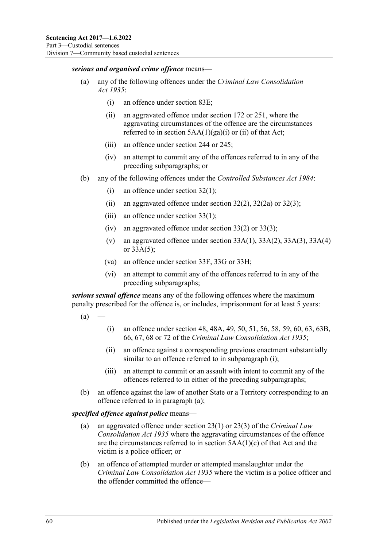#### *serious and organised crime offence* means—

- (a) any of the following offences under the *[Criminal Law Consolidation](http://www.legislation.sa.gov.au/index.aspx?action=legref&type=act&legtitle=Criminal%20Law%20Consolidation%20Act%201935)  Act [1935](http://www.legislation.sa.gov.au/index.aspx?action=legref&type=act&legtitle=Criminal%20Law%20Consolidation%20Act%201935)*:
	- (i) an offence under section 83E;
	- (ii) an aggravated offence under section 172 or 251, where the aggravating circumstances of the offence are the circumstances referred to in section  $5AA(1)(ga)(i)$  or (ii) of that Act;
	- (iii) an offence under section 244 or 245;
	- (iv) an attempt to commit any of the offences referred to in any of the preceding subparagraphs; or
- (b) any of the following offences under the *[Controlled Substances Act](http://www.legislation.sa.gov.au/index.aspx?action=legref&type=act&legtitle=Controlled%20Substances%20Act%201984) 1984*:
	- (i) an offence under section 32(1);
	- (ii) an aggravated offence under section  $32(2)$ ,  $32(2a)$  or  $32(3)$ ;
	- (iii) an offence under section  $33(1)$ ;
	- (iv) an aggravated offence under section 33(2) or 33(3);
	- (v) an aggravated offence under section  $33A(1)$ ,  $33A(2)$ ,  $33A(3)$ ,  $33A(4)$ or 33A(5);
	- (va) an offence under section 33F, 33G or 33H;
	- (vi) an attempt to commit any of the offences referred to in any of the preceding subparagraphs;

<span id="page-59-1"></span>*serious sexual offence* means any of the following offences where the maximum penalty prescribed for the offence is, or includes, imprisonment for at least 5 years:

- <span id="page-59-0"></span> $(a)$
- (i) an offence under section 48, 48A, 49, 50, 51, 56, 58, 59, 60, 63, 63B, 66, 67, 68 or 72 of the *[Criminal Law Consolidation Act](http://www.legislation.sa.gov.au/index.aspx?action=legref&type=act&legtitle=Criminal%20Law%20Consolidation%20Act%201935) 1935*;
- (ii) an offence against a corresponding previous enactment substantially similar to an offence referred to in [subparagraph](#page-59-0) (i);
- (iii) an attempt to commit or an assault with intent to commit any of the offences referred to in either of the preceding subparagraphs;
- (b) an offence against the law of another State or a Territory corresponding to an offence referred to in [paragraph](#page-59-1) (a);

#### *specified offence against police* means—

- (a) an aggravated offence under section 23(1) or 23(3) of the *[Criminal Law](http://www.legislation.sa.gov.au/index.aspx?action=legref&type=act&legtitle=Criminal%20Law%20Consolidation%20Act%201935)  [Consolidation Act](http://www.legislation.sa.gov.au/index.aspx?action=legref&type=act&legtitle=Criminal%20Law%20Consolidation%20Act%201935) 1935* where the aggravating circumstances of the offence are the circumstances referred to in section 5AA(1)(c) of that Act and the victim is a police officer; or
- (b) an offence of attempted murder or attempted manslaughter under the *[Criminal Law Consolidation Act](http://www.legislation.sa.gov.au/index.aspx?action=legref&type=act&legtitle=Criminal%20Law%20Consolidation%20Act%201935) 1935* where the victim is a police officer and the offender committed the offence—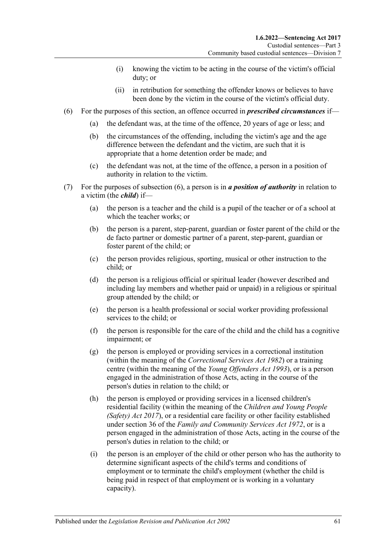- (i) knowing the victim to be acting in the course of the victim's official duty; or
- (ii) in retribution for something the offender knows or believes to have been done by the victim in the course of the victim's official duty.
- <span id="page-60-0"></span>(6) For the purposes of this section, an offence occurred in *prescribed circumstances* if—
	- (a) the defendant was, at the time of the offence, 20 years of age or less; and
	- (b) the circumstances of the offending, including the victim's age and the age difference between the defendant and the victim, are such that it is appropriate that a home detention order be made; and
	- (c) the defendant was not, at the time of the offence, a person in a position of authority in relation to the victim.
- (7) For the purposes of [subsection](#page-60-0) (6), a person is in *a position of authority* in relation to a victim (the *child*) if—
	- (a) the person is a teacher and the child is a pupil of the teacher or of a school at which the teacher works; or
	- (b) the person is a parent, step-parent, guardian or foster parent of the child or the de facto partner or domestic partner of a parent, step-parent, guardian or foster parent of the child; or
	- (c) the person provides religious, sporting, musical or other instruction to the child; or
	- (d) the person is a religious official or spiritual leader (however described and including lay members and whether paid or unpaid) in a religious or spiritual group attended by the child; or
	- (e) the person is a health professional or social worker providing professional services to the child; or
	- (f) the person is responsible for the care of the child and the child has a cognitive impairment; or
	- (g) the person is employed or providing services in a correctional institution (within the meaning of the *[Correctional Services Act](http://www.legislation.sa.gov.au/index.aspx?action=legref&type=act&legtitle=Correctional%20Services%20Act%201982) 1982*) or a training centre (within the meaning of the *[Young Offenders Act](http://www.legislation.sa.gov.au/index.aspx?action=legref&type=act&legtitle=Young%20Offenders%20Act%201993) 1993*), or is a person engaged in the administration of those Acts, acting in the course of the person's duties in relation to the child; or
	- (h) the person is employed or providing services in a licensed children's residential facility (within the meaning of the *[Children and Young People](http://www.legislation.sa.gov.au/index.aspx?action=legref&type=act&legtitle=Children%20and%20Young%20People%20(Safety)%20Act%202017)  [\(Safety\) Act](http://www.legislation.sa.gov.au/index.aspx?action=legref&type=act&legtitle=Children%20and%20Young%20People%20(Safety)%20Act%202017) 2017*), or a residential care facility or other facility established under section 36 of the *[Family and Community Services Act](http://www.legislation.sa.gov.au/index.aspx?action=legref&type=act&legtitle=Family%20and%20Community%20Services%20Act%201972) 1972*, or is a person engaged in the administration of those Acts, acting in the course of the person's duties in relation to the child; or
	- (i) the person is an employer of the child or other person who has the authority to determine significant aspects of the child's terms and conditions of employment or to terminate the child's employment (whether the child is being paid in respect of that employment or is working in a voluntary capacity).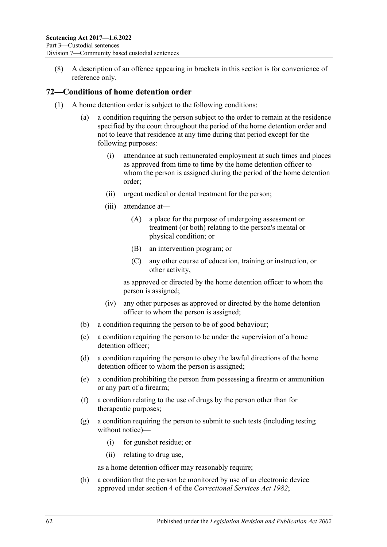(8) A description of an offence appearing in brackets in this section is for convenience of reference only.

#### **72—Conditions of home detention order**

- (1) A home detention order is subject to the following conditions:
	- (a) a condition requiring the person subject to the order to remain at the residence specified by the court throughout the period of the home detention order and not to leave that residence at any time during that period except for the following purposes:
		- (i) attendance at such remunerated employment at such times and places as approved from time to time by the home detention officer to whom the person is assigned during the period of the home detention order;
		- (ii) urgent medical or dental treatment for the person;
		- (iii) attendance at—
			- (A) a place for the purpose of undergoing assessment or treatment (or both) relating to the person's mental or physical condition; or
			- (B) an intervention program; or
			- (C) any other course of education, training or instruction, or other activity,

as approved or directed by the home detention officer to whom the person is assigned;

- (iv) any other purposes as approved or directed by the home detention officer to whom the person is assigned;
- (b) a condition requiring the person to be of good behaviour;
- (c) a condition requiring the person to be under the supervision of a home detention officer;
- (d) a condition requiring the person to obey the lawful directions of the home detention officer to whom the person is assigned;
- <span id="page-61-0"></span>(e) a condition prohibiting the person from possessing a firearm or ammunition or any part of a firearm;
- (f) a condition relating to the use of drugs by the person other than for therapeutic purposes;
- <span id="page-61-1"></span>(g) a condition requiring the person to submit to such tests (including testing without notice)—
	- (i) for gunshot residue; or
	- (ii) relating to drug use,

as a home detention officer may reasonably require;

<span id="page-61-2"></span>(h) a condition that the person be monitored by use of an electronic device approved under section 4 of the *[Correctional Services Act](http://www.legislation.sa.gov.au/index.aspx?action=legref&type=act&legtitle=Correctional%20Services%20Act%201982) 1982*;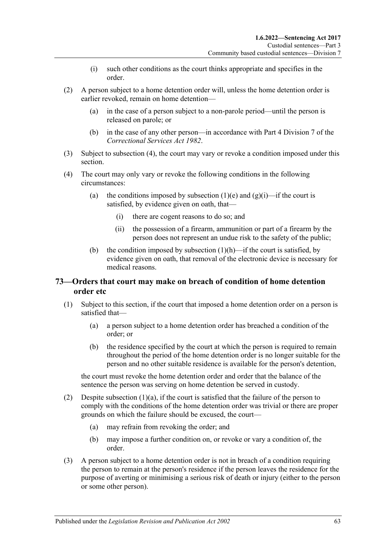- (i) such other conditions as the court thinks appropriate and specifies in the order.
- (2) A person subject to a home detention order will, unless the home detention order is earlier revoked, remain on home detention—
	- (a) in the case of a person subject to a non-parole period—until the person is released on parole; or
	- (b) in the case of any other person—in accordance with Part 4 Division 7 of the *[Correctional Services Act](http://www.legislation.sa.gov.au/index.aspx?action=legref&type=act&legtitle=Correctional%20Services%20Act%201982) 1982*.
- (3) Subject to [subsection](#page-62-0) (4), the court may vary or revoke a condition imposed under this section.
- <span id="page-62-0"></span>(4) The court may only vary or revoke the following conditions in the following circumstances:
	- (a) the conditions imposed by [subsection](#page-61-0) (1)(e) and [\(g\)\(i\)—](#page-61-1)if the court is satisfied, by evidence given on oath, that—
		- (i) there are cogent reasons to do so; and
		- (ii) the possession of a firearm, ammunition or part of a firearm by the person does not represent an undue risk to the safety of the public;
	- (b) the condition imposed by [subsection](#page-61-2)  $(1)(h)$ —if the court is satisfied, by evidence given on oath, that removal of the electronic device is necessary for medical reasons.

### <span id="page-62-3"></span>**73—Orders that court may make on breach of condition of home detention order etc**

- <span id="page-62-2"></span><span id="page-62-1"></span>(1) Subject to this section, if the court that imposed a home detention order on a person is satisfied that—
	- (a) a person subject to a home detention order has breached a condition of the order; or
	- (b) the residence specified by the court at which the person is required to remain throughout the period of the home detention order is no longer suitable for the person and no other suitable residence is available for the person's detention,

the court must revoke the home detention order and order that the balance of the sentence the person was serving on home detention be served in custody.

- (2) Despite [subsection](#page-62-1)  $(1)(a)$ , if the court is satisfied that the failure of the person to comply with the conditions of the home detention order was trivial or there are proper grounds on which the failure should be excused, the court—
	- (a) may refrain from revoking the order; and
	- (b) may impose a further condition on, or revoke or vary a condition of, the order.
- (3) A person subject to a home detention order is not in breach of a condition requiring the person to remain at the person's residence if the person leaves the residence for the purpose of averting or minimising a serious risk of death or injury (either to the person or some other person).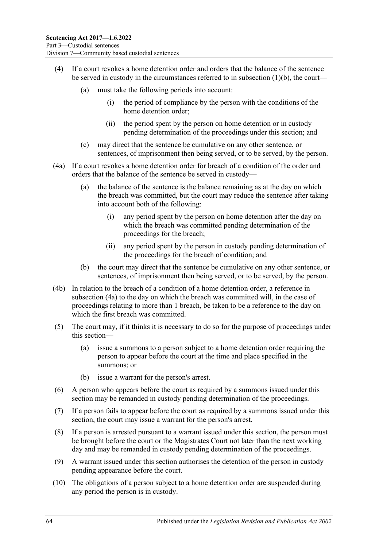- (4) If a court revokes a home detention order and orders that the balance of the sentence be served in custody in the circumstances referred to in [subsection](#page-62-2) (1)(b), the court—
	- (a) must take the following periods into account:
		- (i) the period of compliance by the person with the conditions of the home detention order;
		- (ii) the period spent by the person on home detention or in custody pending determination of the proceedings under this section; and
	- (c) may direct that the sentence be cumulative on any other sentence, or sentences, of imprisonment then being served, or to be served, by the person.
- <span id="page-63-0"></span>(4a) If a court revokes a home detention order for breach of a condition of the order and orders that the balance of the sentence be served in custody—
	- (a) the balance of the sentence is the balance remaining as at the day on which the breach was committed, but the court may reduce the sentence after taking into account both of the following:
		- (i) any period spent by the person on home detention after the day on which the breach was committed pending determination of the proceedings for the breach;
		- (ii) any period spent by the person in custody pending determination of the proceedings for the breach of condition; and
	- (b) the court may direct that the sentence be cumulative on any other sentence, or sentences, of imprisonment then being served, or to be served, by the person.
- (4b) In relation to the breach of a condition of a home detention order, a reference in [subsection](#page-63-0) (4a) to the day on which the breach was committed will, in the case of proceedings relating to more than 1 breach, be taken to be a reference to the day on which the first breach was committed.
- (5) The court may, if it thinks it is necessary to do so for the purpose of proceedings under this section—
	- (a) issue a summons to a person subject to a home detention order requiring the person to appear before the court at the time and place specified in the summons; or
	- (b) issue a warrant for the person's arrest.
- (6) A person who appears before the court as required by a summons issued under this section may be remanded in custody pending determination of the proceedings.
- (7) If a person fails to appear before the court as required by a summons issued under this section, the court may issue a warrant for the person's arrest.
- <span id="page-63-1"></span>(8) If a person is arrested pursuant to a warrant issued under this section, the person must be brought before the court or the Magistrates Court not later than the next working day and may be remanded in custody pending determination of the proceedings.
- (9) A warrant issued under this section authorises the detention of the person in custody pending appearance before the court.
- <span id="page-63-2"></span>(10) The obligations of a person subject to a home detention order are suspended during any period the person is in custody.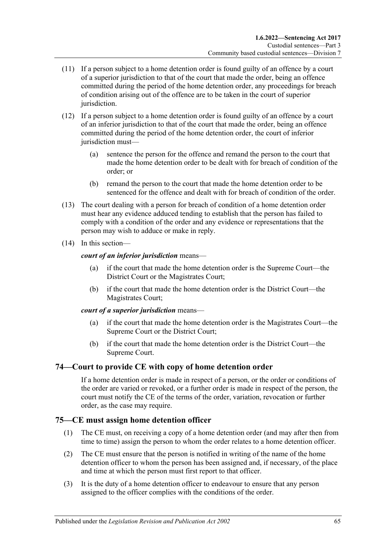- (11) If a person subject to a home detention order is found guilty of an offence by a court of a superior jurisdiction to that of the court that made the order, being an offence committed during the period of the home detention order, any proceedings for breach of condition arising out of the offence are to be taken in the court of superior jurisdiction.
- (12) If a person subject to a home detention order is found guilty of an offence by a court of an inferior jurisdiction to that of the court that made the order, being an offence committed during the period of the home detention order, the court of inferior jurisdiction must—
	- (a) sentence the person for the offence and remand the person to the court that made the home detention order to be dealt with for breach of condition of the order; or
	- (b) remand the person to the court that made the home detention order to be sentenced for the offence and dealt with for breach of condition of the order.
- (13) The court dealing with a person for breach of condition of a home detention order must hear any evidence adduced tending to establish that the person has failed to comply with a condition of the order and any evidence or representations that the person may wish to adduce or make in reply.
- (14) In this section—

#### *court of an inferior jurisdiction* means—

- (a) if the court that made the home detention order is the Supreme Court—the District Court or the Magistrates Court;
- (b) if the court that made the home detention order is the District Court—the Magistrates Court;

#### *court of a superior jurisdiction* means—

- (a) if the court that made the home detention order is the Magistrates Court—the Supreme Court or the District Court;
- (b) if the court that made the home detention order is the District Court—the Supreme Court.

#### **74—Court to provide CE with copy of home detention order**

If a home detention order is made in respect of a person, or the order or conditions of the order are varied or revoked, or a further order is made in respect of the person, the court must notify the CE of the terms of the order, variation, revocation or further order, as the case may require.

# **75—CE must assign home detention officer**

- (1) The CE must, on receiving a copy of a home detention order (and may after then from time to time) assign the person to whom the order relates to a home detention officer.
- (2) The CE must ensure that the person is notified in writing of the name of the home detention officer to whom the person has been assigned and, if necessary, of the place and time at which the person must first report to that officer.
- (3) It is the duty of a home detention officer to endeavour to ensure that any person assigned to the officer complies with the conditions of the order.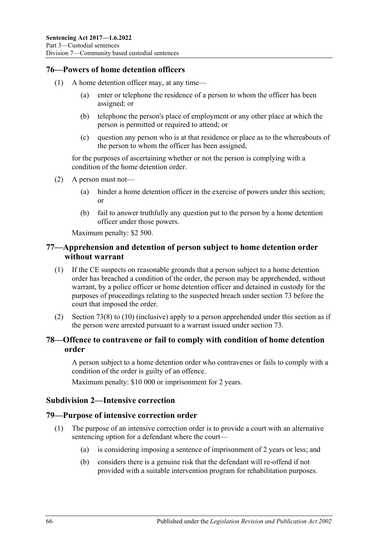### **76—Powers of home detention officers**

- (1) A home detention officer may, at any time—
	- (a) enter or telephone the residence of a person to whom the officer has been assigned; or
	- (b) telephone the person's place of employment or any other place at which the person is permitted or required to attend; or
	- (c) question any person who is at that residence or place as to the whereabouts of the person to whom the officer has been assigned,

for the purposes of ascertaining whether or not the person is complying with a condition of the home detention order.

- (2) A person must not—
	- (a) hinder a home detention officer in the exercise of powers under this section; or
	- (b) fail to answer truthfully any question put to the person by a home detention officer under those powers.

Maximum penalty: \$2 500.

## **77—Apprehension and detention of person subject to home detention order without warrant**

- (1) If the CE suspects on reasonable grounds that a person subject to a home detention order has breached a condition of the order, the person may be apprehended, without warrant, by a police officer or home detention officer and detained in custody for the purposes of proceedings relating to the suspected breach under [section](#page-62-3) 73 before the court that imposed the order.
- (2) [Section](#page-63-1) 73(8) to [\(10\)](#page-63-2) (inclusive) apply to a person apprehended under this section as if the person were arrested pursuant to a warrant issued under [section](#page-62-3) 73.

### **78—Offence to contravene or fail to comply with condition of home detention order**

A person subject to a home detention order who contravenes or fails to comply with a condition of the order is guilty of an offence.

Maximum penalty: \$10 000 or imprisonment for 2 years.

#### **Subdivision 2—Intensive correction**

#### **79—Purpose of intensive correction order**

- (1) The purpose of an intensive correction order is to provide a court with an alternative sentencing option for a defendant where the court—
	- (a) is considering imposing a sentence of imprisonment of 2 years or less; and
	- (b) considers there is a genuine risk that the defendant will re-offend if not provided with a suitable intervention program for rehabilitation purposes.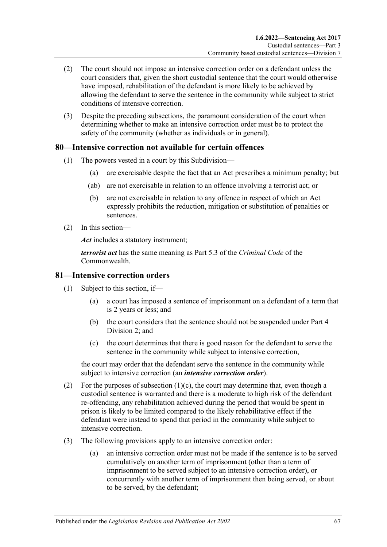- (2) The court should not impose an intensive correction order on a defendant unless the court considers that, given the short custodial sentence that the court would otherwise have imposed, rehabilitation of the defendant is more likely to be achieved by allowing the defendant to serve the sentence in the community while subject to strict conditions of intensive correction.
- (3) Despite the preceding subsections, the paramount consideration of the court when determining whether to make an intensive correction order must be to protect the safety of the community (whether as individuals or in general).

### **80—Intensive correction not available for certain offences**

- (1) The powers vested in a court by this Subdivision—
	- (a) are exercisable despite the fact that an Act prescribes a minimum penalty; but
	- (ab) are not exercisable in relation to an offence involving a terrorist act; or
	- (b) are not exercisable in relation to any offence in respect of which an Act expressly prohibits the reduction, mitigation or substitution of penalties or sentences.
- (2) In this section—

*Act* includes a statutory instrument;

*terrorist act* has the same meaning as Part 5.3 of the *Criminal Code* of the Commonwealth.

#### **81—Intensive correction orders**

- (1) Subject to this section, if—
	- (a) a court has imposed a sentence of imprisonment on a defendant of a term that is 2 years or less; and
	- (b) the court considers that the sentence should not be suspended under [Part](#page-79-1) 4 [Division](#page-79-1) 2; and
	- (c) the court determines that there is good reason for the defendant to serve the sentence in the community while subject to intensive correction,

<span id="page-66-0"></span>the court may order that the defendant serve the sentence in the community while subject to intensive correction (an *intensive correction order*).

- (2) For the purposes of [subsection](#page-66-0)  $(1)(c)$ , the court may determine that, even though a custodial sentence is warranted and there is a moderate to high risk of the defendant re-offending, any rehabilitation achieved during the period that would be spent in prison is likely to be limited compared to the likely rehabilitative effect if the defendant were instead to spend that period in the community while subject to intensive correction.
- (3) The following provisions apply to an intensive correction order:
	- (a) an intensive correction order must not be made if the sentence is to be served cumulatively on another term of imprisonment (other than a term of imprisonment to be served subject to an intensive correction order), or concurrently with another term of imprisonment then being served, or about to be served, by the defendant;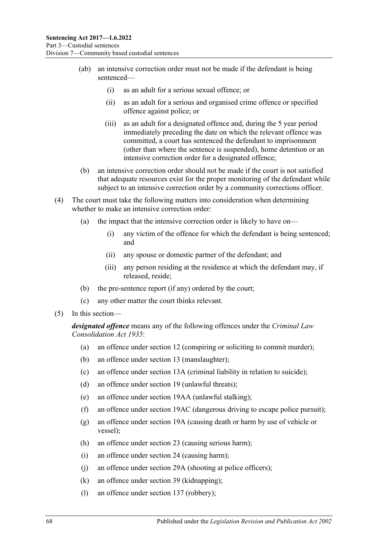- (ab) an intensive correction order must not be made if the defendant is being sentenced—
	- (i) as an adult for a serious sexual offence; or
	- (ii) as an adult for a serious and organised crime offence or specified offence against police; or
	- (iii) as an adult for a designated offence and, during the 5 year period immediately preceding the date on which the relevant offence was committed, a court has sentenced the defendant to imprisonment (other than where the sentence is suspended), home detention or an intensive correction order for a designated offence;
- (b) an intensive correction order should not be made if the court is not satisfied that adequate resources exist for the proper monitoring of the defendant while subject to an intensive correction order by a community corrections officer.
- (4) The court must take the following matters into consideration when determining whether to make an intensive correction order:
	- (a) the impact that the intensive correction order is likely to have on—
		- (i) any victim of the offence for which the defendant is being sentenced; and
		- (ii) any spouse or domestic partner of the defendant; and
		- (iii) any person residing at the residence at which the defendant may, if released, reside;
	- (b) the pre-sentence report (if any) ordered by the court;
	- (c) any other matter the court thinks relevant.
- (5) In this section—

*designated offence* means any of the following offences under the *[Criminal Law](http://www.legislation.sa.gov.au/index.aspx?action=legref&type=act&legtitle=Criminal%20Law%20Consolidation%20Act%201935)  [Consolidation Act](http://www.legislation.sa.gov.au/index.aspx?action=legref&type=act&legtitle=Criminal%20Law%20Consolidation%20Act%201935) 1935*:

- (a) an offence under section 12 (conspiring or soliciting to commit murder);
- (b) an offence under section 13 (manslaughter);
- (c) an offence under section 13A (criminal liability in relation to suicide);
- (d) an offence under section 19 (unlawful threats);
- (e) an offence under section 19AA (unlawful stalking);
- (f) an offence under section 19AC (dangerous driving to escape police pursuit);
- (g) an offence under section 19A (causing death or harm by use of vehicle or vessel);
- (h) an offence under section 23 (causing serious harm);
- (i) an offence under section 24 (causing harm);
- (j) an offence under section 29A (shooting at police officers);
- (k) an offence under section 39 (kidnapping);
- (l) an offence under section 137 (robbery);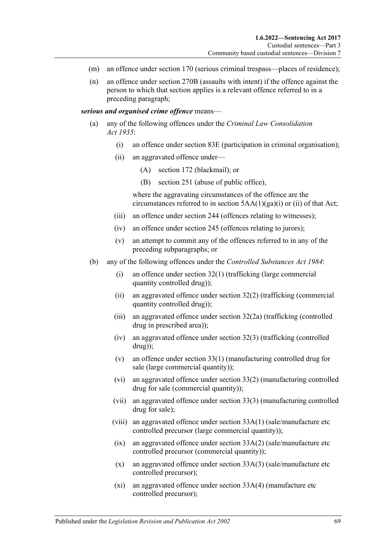- (m) an offence under section 170 (serious criminal trespass—places of residence);
- (n) an offence under section 270B (assaults with intent) if the offence against the person to which that section applies is a relevant offence referred to in a preceding paragraph;

*serious and organised crime offence* means—

- (a) any of the following offences under the *[Criminal Law Consolidation](http://www.legislation.sa.gov.au/index.aspx?action=legref&type=act&legtitle=Criminal%20Law%20Consolidation%20Act%201935)  Act [1935](http://www.legislation.sa.gov.au/index.aspx?action=legref&type=act&legtitle=Criminal%20Law%20Consolidation%20Act%201935)*:
	- (i) an offence under section 83E (participation in criminal organisation);
	- (ii) an aggravated offence under—
		- (A) section 172 (blackmail); or
		- (B) section 251 (abuse of public office),

where the aggravating circumstances of the offence are the circumstances referred to in section  $5AA(1)(ga)(i)$  or (ii) of that Act;

- (iii) an offence under section 244 (offences relating to witnesses);
- (iv) an offence under section 245 (offences relating to jurors);
- (v) an attempt to commit any of the offences referred to in any of the preceding subparagraphs; or
- (b) any of the following offences under the *[Controlled Substances Act](http://www.legislation.sa.gov.au/index.aspx?action=legref&type=act&legtitle=Controlled%20Substances%20Act%201984) 1984*:
	- (i) an offence under section 32(1) (trafficking (large commercial quantity controlled drug));
	- (ii) an aggravated offence under section 32(2) (trafficking (commercial quantity controlled drug));
	- (iii) an aggravated offence under section 32(2a) (trafficking (controlled drug in prescribed area));
	- (iv) an aggravated offence under section  $32(3)$  (trafficking (controlled drug));
	- (v) an offence under section 33(1) (manufacturing controlled drug for sale (large commercial quantity));
	- (vi) an aggravated offence under section 33(2) (manufacturing controlled drug for sale (commercial quantity));
	- (vii) an aggravated offence under section 33(3) (manufacturing controlled drug for sale);
	- (viii) an aggravated offence under section 33A(1) (sale/manufacture etc controlled precursor (large commercial quantity));
	- $(ix)$  an aggravated offence under section  $33A(2)$  (sale/manufacture etc) controlled precursor (commercial quantity));
	- (x) an aggravated offence under section 33A(3) (sale/manufacture etc controlled precursor);
	- (xi) an aggravated offence under section 33A(4) (manufacture etc controlled precursor);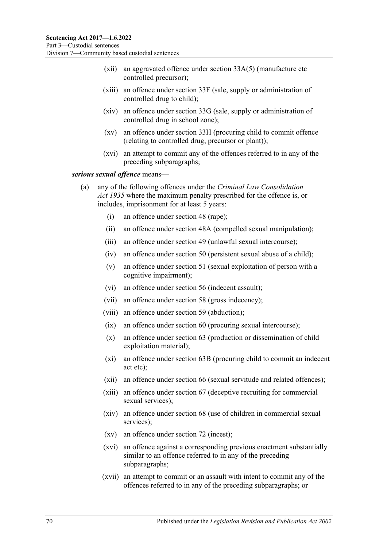- (xii) an aggravated offence under section 33A(5) (manufacture etc controlled precursor);
- (xiii) an offence under section 33F (sale, supply or administration of controlled drug to child);
- (xiv) an offence under section 33G (sale, supply or administration of controlled drug in school zone);
- (xv) an offence under section 33H (procuring child to commit offence (relating to controlled drug, precursor or plant));
- (xvi) an attempt to commit any of the offences referred to in any of the preceding subparagraphs;

<span id="page-69-0"></span>*serious sexual offence* means—

- (a) any of the following offences under the *[Criminal Law Consolidation](http://www.legislation.sa.gov.au/index.aspx?action=legref&type=act&legtitle=Criminal%20Law%20Consolidation%20Act%201935)  Act [1935](http://www.legislation.sa.gov.au/index.aspx?action=legref&type=act&legtitle=Criminal%20Law%20Consolidation%20Act%201935)* where the maximum penalty prescribed for the offence is, or includes, imprisonment for at least 5 years:
	- (i) an offence under section 48 (rape);
	- (ii) an offence under section 48A (compelled sexual manipulation);
	- (iii) an offence under section 49 (unlawful sexual intercourse);
	- (iv) an offence under section 50 (persistent sexual abuse of a child);
	- (v) an offence under section 51 (sexual exploitation of person with a cognitive impairment);
	- (vi) an offence under section 56 (indecent assault);
	- (vii) an offence under section 58 (gross indecency);
	- (viii) an offence under section 59 (abduction);
	- (ix) an offence under section 60 (procuring sexual intercourse);
	- (x) an offence under section 63 (production or dissemination of child exploitation material);
	- (xi) an offence under section 63B (procuring child to commit an indecent act etc);
	- (xii) an offence under section 66 (sexual servitude and related offences);
	- (xiii) an offence under section 67 (deceptive recruiting for commercial sexual services);
	- (xiv) an offence under section 68 (use of children in commercial sexual services);
	- (xv) an offence under section 72 (incest);
	- (xvi) an offence against a corresponding previous enactment substantially similar to an offence referred to in any of the preceding subparagraphs;
	- (xvii) an attempt to commit or an assault with intent to commit any of the offences referred to in any of the preceding subparagraphs; or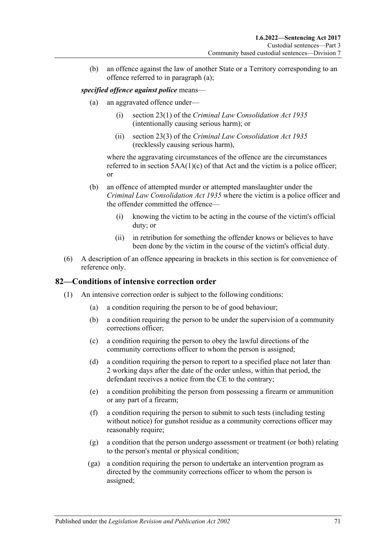(b) an offence against the law of another State or a Territory corresponding to an offence referred to in [paragraph](#page-69-0) (a);

#### *specified offence against police* means—

- (a) an aggravated offence under—
	- (i) section 23(1) of the *[Criminal Law Consolidation Act](http://www.legislation.sa.gov.au/index.aspx?action=legref&type=act&legtitle=Criminal%20Law%20Consolidation%20Act%201935) 1935* (intentionally causing serious harm); or
	- (ii) section 23(3) of the *[Criminal Law Consolidation Act](http://www.legislation.sa.gov.au/index.aspx?action=legref&type=act&legtitle=Criminal%20Law%20Consolidation%20Act%201935) 1935* (recklessly causing serious harm),

where the aggravating circumstances of the offence are the circumstances referred to in section  $5AA(1)(c)$  of that Act and the victim is a police officer; or

- (b) an offence of attempted murder or attempted manslaughter under the *[Criminal Law Consolidation Act](http://www.legislation.sa.gov.au/index.aspx?action=legref&type=act&legtitle=Criminal%20Law%20Consolidation%20Act%201935) 1935* where the victim is a police officer and the offender committed the offence—
	- (i) knowing the victim to be acting in the course of the victim's official duty; or
	- (ii) in retribution for something the offender knows or believes to have been done by the victim in the course of the victim's official duty.
- (6) A description of an offence appearing in brackets in this section is for convenience of reference only.

#### **82—Conditions of intensive correction order**

- (1) An intensive correction order is subject to the following conditions:
	- (a) a condition requiring the person to be of good behaviour;
	- (b) a condition requiring the person to be under the supervision of a community corrections officer;
	- (c) a condition requiring the person to obey the lawful directions of the community corrections officer to whom the person is assigned;
	- (d) a condition requiring the person to report to a specified place not later than 2 working days after the date of the order unless, within that period, the defendant receives a notice from the CE to the contrary;
	- (e) a condition prohibiting the person from possessing a firearm or ammunition or any part of a firearm;
	- (f) a condition requiring the person to submit to such tests (including testing without notice) for gunshot residue as a community corrections officer may reasonably require;
	- (g) a condition that the person undergo assessment or treatment (or both) relating to the person's mental or physical condition;
	- (ga) a condition requiring the person to undertake an intervention program as directed by the community corrections officer to whom the person is assigned;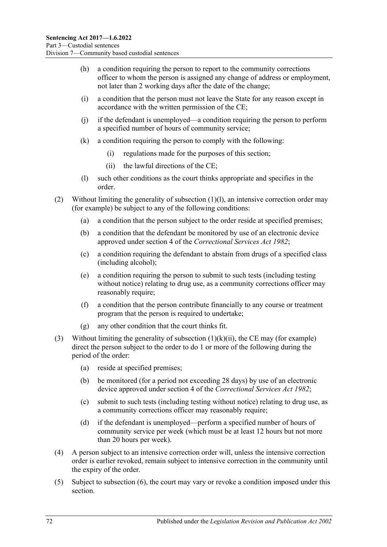- (h) a condition requiring the person to report to the community corrections officer to whom the person is assigned any change of address or employment, not later than 2 working days after the date of the change;
- (i) a condition that the person must not leave the State for any reason except in accordance with the written permission of the CE;
- (j) if the defendant is unemployed—a condition requiring the person to perform a specified number of hours of community service;
- (k) a condition requiring the person to comply with the following:
	- (i) regulations made for the purposes of this section;
	- (ii) the lawful directions of the CE;
- (l) such other conditions as the court thinks appropriate and specifies in the order.
- <span id="page-71-1"></span><span id="page-71-0"></span>(2) Without limiting the generality of [subsection](#page-71-0) (1)(l), an intensive correction order may (for example) be subject to any of the following conditions:
	- (a) a condition that the person subject to the order reside at specified premises;
	- (b) a condition that the defendant be monitored by use of an electronic device approved under section 4 of the *[Correctional Services Act](http://www.legislation.sa.gov.au/index.aspx?action=legref&type=act&legtitle=Correctional%20Services%20Act%201982) 1982*;
	- (c) a condition requiring the defendant to abstain from drugs of a specified class (including alcohol);
	- (e) a condition requiring the person to submit to such tests (including testing without notice) relating to drug use, as a community corrections officer may reasonably require;
	- (f) a condition that the person contribute financially to any course or treatment program that the person is required to undertake;
	- (g) any other condition that the court thinks fit.
- (3) Without limiting the generality of [subsection](#page-71-1)  $(1)(k)(ii)$ , the CE may (for example) direct the person subject to the order to do 1 or more of the following during the period of the order:
	- (a) reside at specified premises;
	- (b) be monitored (for a period not exceeding 28 days) by use of an electronic device approved under section 4 of the *[Correctional Services Act](http://www.legislation.sa.gov.au/index.aspx?action=legref&type=act&legtitle=Correctional%20Services%20Act%201982) 1982*;
	- (c) submit to such tests (including testing without notice) relating to drug use, as a community corrections officer may reasonably require;
	- (d) if the defendant is unemployed—perform a specified number of hours of community service per week (which must be at least 12 hours but not more than 20 hours per week).
- (4) A person subject to an intensive correction order will, unless the intensive correction order is earlier revoked, remain subject to intensive correction in the community until the expiry of the order.
- (5) Subject to [subsection](#page-72-0) (6), the court may vary or revoke a condition imposed under this section.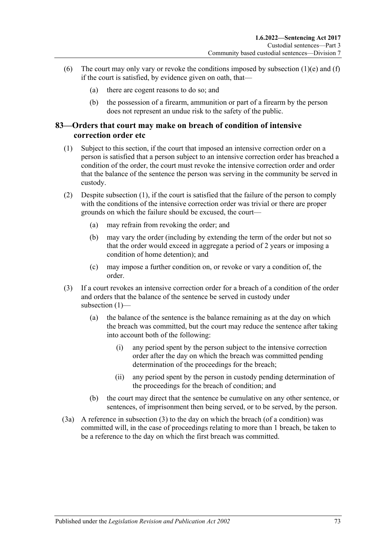- (6) The court may only vary or revoke the conditions imposed by [subsection](#page-70-0)  $(1)(e)$  and  $(f)$ if the court is satisfied, by evidence given on oath, that—
	- (a) there are cogent reasons to do so; and
	- (b) the possession of a firearm, ammunition or part of a firearm by the person does not represent an undue risk to the safety of the public.

#### <span id="page-72-1"></span>**83—Orders that court may make on breach of condition of intensive correction order etc**

- <span id="page-72-0"></span>(1) Subject to this section, if the court that imposed an intensive correction order on a person is satisfied that a person subject to an intensive correction order has breached a condition of the order, the court must revoke the intensive correction order and order that the balance of the sentence the person was serving in the community be served in custody.
- (2) Despite [subsection](#page-72-0) (1), if the court is satisfied that the failure of the person to comply with the conditions of the intensive correction order was trivial or there are proper grounds on which the failure should be excused, the court—
	- (a) may refrain from revoking the order; and
	- (b) may vary the order (including by extending the term of the order but not so that the order would exceed in aggregate a period of 2 years or imposing a condition of home detention); and
	- (c) may impose a further condition on, or revoke or vary a condition of, the order.
- (3) If a court revokes an intensive correction order for a breach of a condition of the order and orders that the balance of the sentence be served in custody under subsection (1)—
	- (a) the balance of the sentence is the balance remaining as at the day on which the breach was committed, but the court may reduce the sentence after taking into account both of the following:
		- (i) any period spent by the person subject to the intensive correction order after the day on which the breach was committed pending determination of the proceedings for the breach;
		- (ii) any period spent by the person in custody pending determination of the proceedings for the breach of condition; and
	- (b) the court may direct that the sentence be cumulative on any other sentence, or sentences, of imprisonment then being served, or to be served, by the person.
- (3a) A reference in subsection (3) to the day on which the breach (of a condition) was committed will, in the case of proceedings relating to more than 1 breach, be taken to be a reference to the day on which the first breach was committed.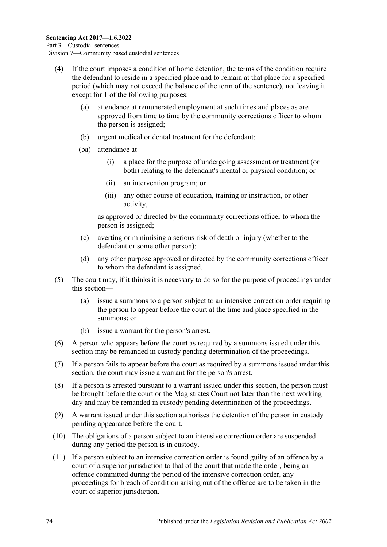- (4) If the court imposes a condition of home detention, the terms of the condition require the defendant to reside in a specified place and to remain at that place for a specified period (which may not exceed the balance of the term of the sentence), not leaving it except for 1 of the following purposes:
	- (a) attendance at remunerated employment at such times and places as are approved from time to time by the community corrections officer to whom the person is assigned;
	- (b) urgent medical or dental treatment for the defendant;
	- (ba) attendance at—
		- (i) a place for the purpose of undergoing assessment or treatment (or both) relating to the defendant's mental or physical condition; or
		- (ii) an intervention program; or
		- (iii) any other course of education, training or instruction, or other activity,

as approved or directed by the community corrections officer to whom the person is assigned;

- (c) averting or minimising a serious risk of death or injury (whether to the defendant or some other person);
- (d) any other purpose approved or directed by the community corrections officer to whom the defendant is assigned.
- (5) The court may, if it thinks it is necessary to do so for the purpose of proceedings under this section—
	- (a) issue a summons to a person subject to an intensive correction order requiring the person to appear before the court at the time and place specified in the summons; or
	- (b) issue a warrant for the person's arrest.
- (6) A person who appears before the court as required by a summons issued under this section may be remanded in custody pending determination of the proceedings.
- (7) If a person fails to appear before the court as required by a summons issued under this section, the court may issue a warrant for the person's arrest.
- (8) If a person is arrested pursuant to a warrant issued under this section, the person must be brought before the court or the Magistrates Court not later than the next working day and may be remanded in custody pending determination of the proceedings.
- <span id="page-73-0"></span>(9) A warrant issued under this section authorises the detention of the person in custody pending appearance before the court.
- (10) The obligations of a person subject to an intensive correction order are suspended during any period the person is in custody.
- <span id="page-73-1"></span>(11) If a person subject to an intensive correction order is found guilty of an offence by a court of a superior jurisdiction to that of the court that made the order, being an offence committed during the period of the intensive correction order, any proceedings for breach of condition arising out of the offence are to be taken in the court of superior jurisdiction.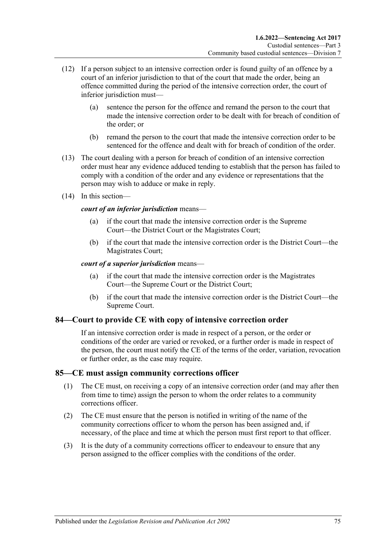- (12) If a person subject to an intensive correction order is found guilty of an offence by a court of an inferior jurisdiction to that of the court that made the order, being an offence committed during the period of the intensive correction order, the court of inferior jurisdiction must—
	- (a) sentence the person for the offence and remand the person to the court that made the intensive correction order to be dealt with for breach of condition of the order; or
	- (b) remand the person to the court that made the intensive correction order to be sentenced for the offence and dealt with for breach of condition of the order.
- (13) The court dealing with a person for breach of condition of an intensive correction order must hear any evidence adduced tending to establish that the person has failed to comply with a condition of the order and any evidence or representations that the person may wish to adduce or make in reply.
- (14) In this section—

#### *court of an inferior jurisdiction* means—

- (a) if the court that made the intensive correction order is the Supreme Court—the District Court or the Magistrates Court;
- (b) if the court that made the intensive correction order is the District Court—the Magistrates Court;

*court of a superior jurisdiction* means—

- (a) if the court that made the intensive correction order is the Magistrates Court—the Supreme Court or the District Court;
- (b) if the court that made the intensive correction order is the District Court—the Supreme Court.

#### **84—Court to provide CE with copy of intensive correction order**

If an intensive correction order is made in respect of a person, or the order or conditions of the order are varied or revoked, or a further order is made in respect of the person, the court must notify the CE of the terms of the order, variation, revocation or further order, as the case may require.

#### **85—CE must assign community corrections officer**

- (1) The CE must, on receiving a copy of an intensive correction order (and may after then from time to time) assign the person to whom the order relates to a community corrections officer.
- (2) The CE must ensure that the person is notified in writing of the name of the community corrections officer to whom the person has been assigned and, if necessary, of the place and time at which the person must first report to that officer.
- (3) It is the duty of a community corrections officer to endeavour to ensure that any person assigned to the officer complies with the conditions of the order.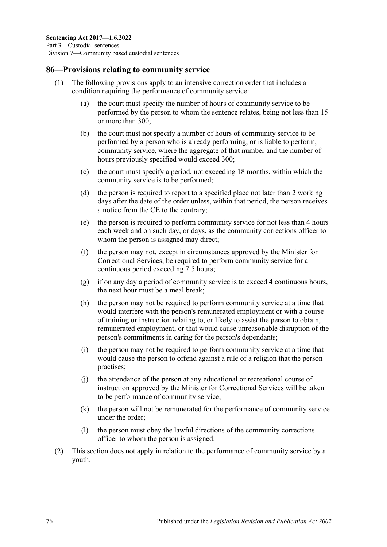### **86—Provisions relating to community service**

- (1) The following provisions apply to an intensive correction order that includes a condition requiring the performance of community service:
	- (a) the court must specify the number of hours of community service to be performed by the person to whom the sentence relates, being not less than 15 or more than 300;
	- (b) the court must not specify a number of hours of community service to be performed by a person who is already performing, or is liable to perform, community service, where the aggregate of that number and the number of hours previously specified would exceed 300;
	- (c) the court must specify a period, not exceeding 18 months, within which the community service is to be performed;
	- (d) the person is required to report to a specified place not later than 2 working days after the date of the order unless, within that period, the person receives a notice from the CE to the contrary;
	- (e) the person is required to perform community service for not less than 4 hours each week and on such day, or days, as the community corrections officer to whom the person is assigned may direct;
	- (f) the person may not, except in circumstances approved by the Minister for Correctional Services, be required to perform community service for a continuous period exceeding 7.5 hours;
	- (g) if on any day a period of community service is to exceed 4 continuous hours, the next hour must be a meal break;
	- (h) the person may not be required to perform community service at a time that would interfere with the person's remunerated employment or with a course of training or instruction relating to, or likely to assist the person to obtain, remunerated employment, or that would cause unreasonable disruption of the person's commitments in caring for the person's dependants;
	- (i) the person may not be required to perform community service at a time that would cause the person to offend against a rule of a religion that the person practises;
	- (j) the attendance of the person at any educational or recreational course of instruction approved by the Minister for Correctional Services will be taken to be performance of community service;
	- (k) the person will not be remunerated for the performance of community service under the order;
	- (l) the person must obey the lawful directions of the community corrections officer to whom the person is assigned.
- (2) This section does not apply in relation to the performance of community service by a youth.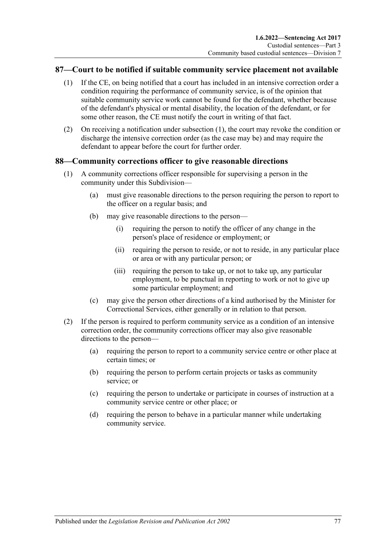## <span id="page-76-0"></span>**87—Court to be notified if suitable community service placement not available**

- (1) If the CE, on being notified that a court has included in an intensive correction order a condition requiring the performance of community service, is of the opinion that suitable community service work cannot be found for the defendant, whether because of the defendant's physical or mental disability, the location of the defendant, or for some other reason, the CE must notify the court in writing of that fact.
- (2) On receiving a notification under [subsection](#page-76-0) (1), the court may revoke the condition or discharge the intensive correction order (as the case may be) and may require the defendant to appear before the court for further order.

#### **88—Community corrections officer to give reasonable directions**

- (1) A community corrections officer responsible for supervising a person in the community under this Subdivision—
	- (a) must give reasonable directions to the person requiring the person to report to the officer on a regular basis; and
	- (b) may give reasonable directions to the person—
		- (i) requiring the person to notify the officer of any change in the person's place of residence or employment; or
		- (ii) requiring the person to reside, or not to reside, in any particular place or area or with any particular person; or
		- (iii) requiring the person to take up, or not to take up, any particular employment, to be punctual in reporting to work or not to give up some particular employment; and
	- (c) may give the person other directions of a kind authorised by the Minister for Correctional Services, either generally or in relation to that person.
- (2) If the person is required to perform community service as a condition of an intensive correction order, the community corrections officer may also give reasonable directions to the person—
	- (a) requiring the person to report to a community service centre or other place at certain times; or
	- (b) requiring the person to perform certain projects or tasks as community service; or
	- (c) requiring the person to undertake or participate in courses of instruction at a community service centre or other place; or
	- (d) requiring the person to behave in a particular manner while undertaking community service.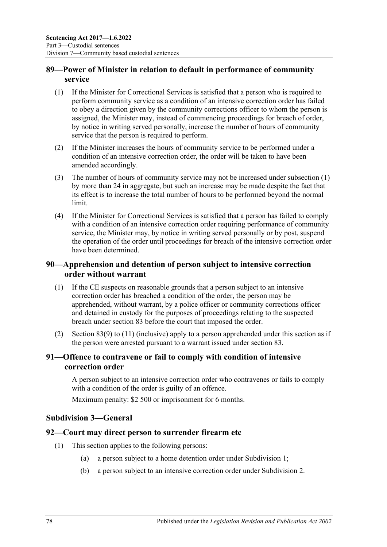## **89—Power of Minister in relation to default in performance of community service**

- <span id="page-77-0"></span>(1) If the Minister for Correctional Services is satisfied that a person who is required to perform community service as a condition of an intensive correction order has failed to obey a direction given by the community corrections officer to whom the person is assigned, the Minister may, instead of commencing proceedings for breach of order, by notice in writing served personally, increase the number of hours of community service that the person is required to perform.
- (2) If the Minister increases the hours of community service to be performed under a condition of an intensive correction order, the order will be taken to have been amended accordingly.
- (3) The number of hours of community service may not be increased under [subsection](#page-77-0) (1) by more than 24 in aggregate, but such an increase may be made despite the fact that its effect is to increase the total number of hours to be performed beyond the normal limit.
- (4) If the Minister for Correctional Services is satisfied that a person has failed to comply with a condition of an intensive correction order requiring performance of community service, the Minister may, by notice in writing served personally or by post, suspend the operation of the order until proceedings for breach of the intensive correction order have been determined.

# **90—Apprehension and detention of person subject to intensive correction order without warrant**

- (1) If the CE suspects on reasonable grounds that a person subject to an intensive correction order has breached a condition of the order, the person may be apprehended, without warrant, by a police officer or community corrections officer and detained in custody for the purposes of proceedings relating to the suspected breach under [section](#page-72-1) 83 before the court that imposed the order.
- (2) [Section](#page-73-0) 83(9) to [\(11\)](#page-73-1) (inclusive) apply to a person apprehended under this section as if the person were arrested pursuant to a warrant issued under [section](#page-72-1) 83.

## **91—Offence to contravene or fail to comply with condition of intensive correction order**

A person subject to an intensive correction order who contravenes or fails to comply with a condition of the order is guilty of an offence.

Maximum penalty: \$2 500 or imprisonment for 6 months.

#### **Subdivision 3—General**

#### **92—Court may direct person to surrender firearm etc**

- (1) This section applies to the following persons:
	- (a) a person subject to a home detention order under [Subdivision](#page-55-0) 1;
	- (b) a person subject to an intensive correction order under [Subdivision](#page-65-0) 2.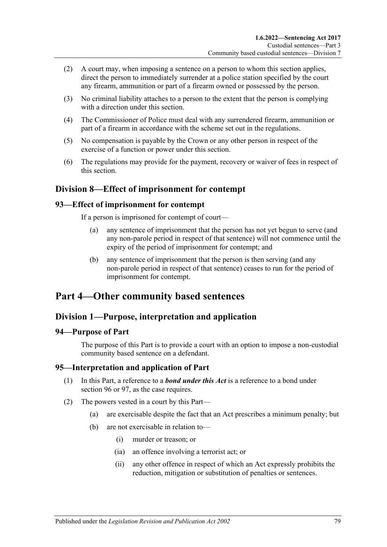- (2) A court may, when imposing a sentence on a person to whom this section applies, direct the person to immediately surrender at a police station specified by the court any firearm, ammunition or part of a firearm owned or possessed by the person.
- (3) No criminal liability attaches to a person to the extent that the person is complying with a direction under this section.
- (4) The Commissioner of Police must deal with any surrendered firearm, ammunition or part of a firearm in accordance with the scheme set out in the regulations.
- (5) No compensation is payable by the Crown or any other person in respect of the exercise of a function or power under this section.
- (6) The regulations may provide for the payment, recovery or waiver of fees in respect of this section.

# **Division 8—Effect of imprisonment for contempt**

#### **93—Effect of imprisonment for contempt**

If a person is imprisoned for contempt of court—

- (a) any sentence of imprisonment that the person has not yet begun to serve (and any non-parole period in respect of that sentence) will not commence until the expiry of the period of imprisonment for contempt; and
- (b) any sentence of imprisonment that the person is then serving (and any non-parole period in respect of that sentence) ceases to run for the period of imprisonment for contempt.

# **Part 4—Other community based sentences**

#### **Division 1—Purpose, interpretation and application**

#### **94—Purpose of Part**

The purpose of this Part is to provide a court with an option to impose a non-custodial community based sentence on a defendant.

#### **95—Interpretation and application of Part**

- (1) In this Part, a reference to a *bond under this Act* is a reference to a bond under [section](#page-79-0) 96 or [97,](#page-84-0) as the case requires.
- <span id="page-78-0"></span>(2) The powers vested in a court by this Part—
	- (a) are exercisable despite the fact that an Act prescribes a minimum penalty; but
	- (b) are not exercisable in relation to—
		- (i) murder or treason; or
		- (ia) an offence involving a terrorist act; or
		- (ii) any other offence in respect of which an Act expressly prohibits the reduction, mitigation or substitution of penalties or sentences.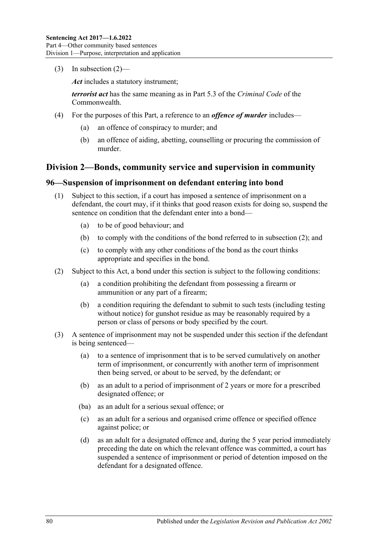(3) In [subsection](#page-78-0)  $(2)$ —

*Act* includes a statutory instrument;

*terrorist act* has the same meaning as in Part 5.3 of the *Criminal Code* of the Commonwealth.

- (4) For the purposes of this Part, a reference to an *offence of murder* includes—
	- (a) an offence of conspiracy to murder; and
	- (b) an offence of aiding, abetting, counselling or procuring the commission of murder.

## **Division 2—Bonds, community service and supervision in community**

#### <span id="page-79-3"></span><span id="page-79-0"></span>**96—Suspension of imprisonment on defendant entering into bond**

- (1) Subject to this section, if a court has imposed a sentence of imprisonment on a defendant, the court may, if it thinks that good reason exists for doing so, suspend the sentence on condition that the defendant enter into a bond—
	- (a) to be of good behaviour; and
	- (b) to comply with the conditions of the bond referred to in [subsection](#page-79-1) (2); and
	- (c) to comply with any other conditions of the bond as the court thinks appropriate and specifies in the bond.
- <span id="page-79-7"></span><span id="page-79-1"></span>(2) Subject to this Act, a bond under this section is subject to the following conditions:
	- (a) a condition prohibiting the defendant from possessing a firearm or ammunition or any part of a firearm;
	- (b) a condition requiring the defendant to submit to such tests (including testing without notice) for gunshot residue as may be reasonably required by a person or class of persons or body specified by the court.
- <span id="page-79-6"></span><span id="page-79-5"></span><span id="page-79-4"></span><span id="page-79-2"></span>(3) A sentence of imprisonment may not be suspended under this section if the defendant is being sentenced—
	- (a) to a sentence of imprisonment that is to be served cumulatively on another term of imprisonment, or concurrently with another term of imprisonment then being served, or about to be served, by the defendant; or
	- (b) as an adult to a period of imprisonment of 2 years or more for a prescribed designated offence; or
	- (ba) as an adult for a serious sexual offence; or
	- (c) as an adult for a serious and organised crime offence or specified offence against police; or
	- (d) as an adult for a designated offence and, during the 5 year period immediately preceding the date on which the relevant offence was committed, a court has suspended a sentence of imprisonment or period of detention imposed on the defendant for a designated offence.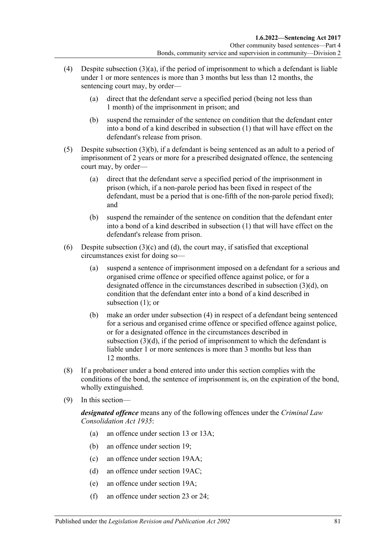- <span id="page-80-0"></span>(4) Despite [subsection](#page-79-2)  $(3)(a)$ , if the period of imprisonment to which a defendant is liable under 1 or more sentences is more than 3 months but less than 12 months, the sentencing court may, by order—
	- (a) direct that the defendant serve a specified period (being not less than 1 month) of the imprisonment in prison; and
	- (b) suspend the remainder of the sentence on condition that the defendant enter into a bond of a kind described in [subsection](#page-79-3) (1) that will have effect on the defendant's release from prison.
- <span id="page-80-1"></span>(5) Despite [subsection](#page-79-4) (3)(b), if a defendant is being sentenced as an adult to a period of imprisonment of 2 years or more for a prescribed designated offence, the sentencing court may, by order—
	- (a) direct that the defendant serve a specified period of the imprisonment in prison (which, if a non-parole period has been fixed in respect of the defendant, must be a period that is one-fifth of the non-parole period fixed); and
	- (b) suspend the remainder of the sentence on condition that the defendant enter into a bond of a kind described in [subsection](#page-79-3) (1) that will have effect on the defendant's release from prison.
- (6) Despite [subsection](#page-79-5)  $(3)(c)$  and  $(d)$ , the court may, if satisfied that exceptional circumstances exist for doing so—
	- (a) suspend a sentence of imprisonment imposed on a defendant for a serious and organised crime offence or specified offence against police, or for a designated offence in the circumstances described in [subsection](#page-79-6) (3)(d), on condition that the defendant enter into a bond of a kind described in [subsection](#page-79-3) (1); or
	- (b) make an order under [subsection](#page-80-0) (4) in respect of a defendant being sentenced for a serious and organised crime offence or specified offence against police, or for a designated offence in the circumstances described in [subsection](#page-79-6)  $(3)(d)$ , if the period of imprisonment to which the defendant is liable under 1 or more sentences is more than 3 months but less than 12 months.
- (8) If a probationer under a bond entered into under this section complies with the conditions of the bond, the sentence of imprisonment is, on the expiration of the bond, wholly extinguished.
- (9) In this section—

*designated offence* means any of the following offences under the *[Criminal Law](http://www.legislation.sa.gov.au/index.aspx?action=legref&type=act&legtitle=Criminal%20Law%20Consolidation%20Act%201935)  [Consolidation Act](http://www.legislation.sa.gov.au/index.aspx?action=legref&type=act&legtitle=Criminal%20Law%20Consolidation%20Act%201935) 1935*:

- (a) an offence under section 13 or 13A;
- (b) an offence under section 19;
- (c) an offence under section 19AA;
- (d) an offence under section 19AC;
- (e) an offence under section 19A;
- (f) an offence under section 23 or 24;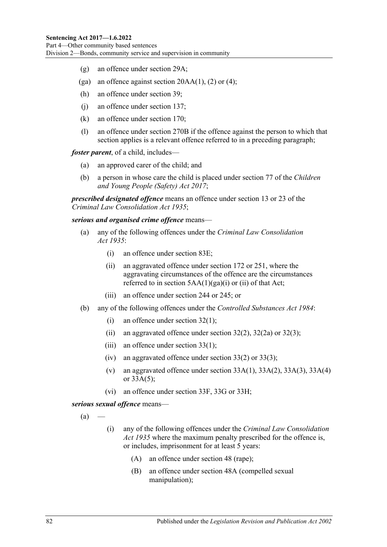- (g) an offence under section 29A;
- (ga) an offence against section  $20AA(1)$ , (2) or (4);
- (h) an offence under section 39;
- (j) an offence under section 137;
- (k) an offence under section 170;
- (l) an offence under section 270B if the offence against the person to which that section applies is a relevant offence referred to in a preceding paragraph;

*foster parent*, of a child, includes—

- (a) an approved carer of the child; and
- (b) a person in whose care the child is placed under section 77 of the *[Children](http://www.legislation.sa.gov.au/index.aspx?action=legref&type=act&legtitle=Children%20and%20Young%20People%20(Safety)%20Act%202017)  [and Young People \(Safety\) Act](http://www.legislation.sa.gov.au/index.aspx?action=legref&type=act&legtitle=Children%20and%20Young%20People%20(Safety)%20Act%202017) 2017*;

*prescribed designated offence* means an offence under section 13 or 23 of the *[Criminal Law Consolidation Act](http://www.legislation.sa.gov.au/index.aspx?action=legref&type=act&legtitle=Criminal%20Law%20Consolidation%20Act%201935) 1935*;

*serious and organised crime offence* means—

- (a) any of the following offences under the *[Criminal Law Consolidation](http://www.legislation.sa.gov.au/index.aspx?action=legref&type=act&legtitle=Criminal%20Law%20Consolidation%20Act%201935)  Act [1935](http://www.legislation.sa.gov.au/index.aspx?action=legref&type=act&legtitle=Criminal%20Law%20Consolidation%20Act%201935)*:
	- (i) an offence under section 83E;
	- (ii) an aggravated offence under section 172 or 251, where the aggravating circumstances of the offence are the circumstances referred to in section  $5AA(1)(ga)(i)$  or (ii) of that Act;
	- (iii) an offence under section 244 or 245; or
- (b) any of the following offences under the *[Controlled Substances Act](http://www.legislation.sa.gov.au/index.aspx?action=legref&type=act&legtitle=Controlled%20Substances%20Act%201984) 1984*:
	- (i) an offence under section 32(1);
	- (ii) an aggravated offence under section  $32(2)$ ,  $32(2a)$  or  $32(3)$ ;
	- (iii) an offence under section 33(1);
	- (iv) an aggravated offence under section 33(2) or 33(3);
	- (v) an aggravated offence under section  $33A(1)$ ,  $33A(2)$ ,  $33A(3)$ ,  $33A(4)$ or 33A(5);
	- (vi) an offence under section 33F, 33G or 33H;

<span id="page-81-0"></span>*serious sexual offence* means—

 $(a)$ 

- (i) any of the following offences under the *[Criminal Law Consolidation](http://www.legislation.sa.gov.au/index.aspx?action=legref&type=act&legtitle=Criminal%20Law%20Consolidation%20Act%201935)  Act [1935](http://www.legislation.sa.gov.au/index.aspx?action=legref&type=act&legtitle=Criminal%20Law%20Consolidation%20Act%201935)* where the maximum penalty prescribed for the offence is, or includes, imprisonment for at least 5 years:
	- (A) an offence under section 48 (rape);
	- (B) an offence under section 48A (compelled sexual manipulation);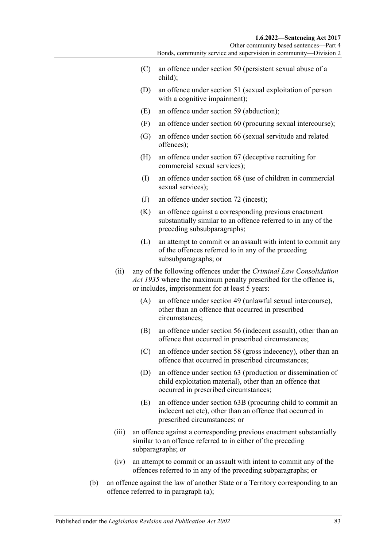- (C) an offence under section 50 (persistent sexual abuse of a child);
- (D) an offence under section 51 (sexual exploitation of person with a cognitive impairment);
- (E) an offence under section 59 (abduction);
- (F) an offence under section 60 (procuring sexual intercourse);
- (G) an offence under section 66 (sexual servitude and related offences);
- (H) an offence under section 67 (deceptive recruiting for commercial sexual services);
- (I) an offence under section 68 (use of children in commercial sexual services);
- (J) an offence under section 72 (incest);
- (K) an offence against a corresponding previous enactment substantially similar to an offence referred to in any of the preceding subsubparagraphs;
- (L) an attempt to commit or an assault with intent to commit any of the offences referred to in any of the preceding subsubparagraphs; or
- (ii) any of the following offences under the *[Criminal Law Consolidation](http://www.legislation.sa.gov.au/index.aspx?action=legref&type=act&legtitle=Criminal%20Law%20Consolidation%20Act%201935)  Act [1935](http://www.legislation.sa.gov.au/index.aspx?action=legref&type=act&legtitle=Criminal%20Law%20Consolidation%20Act%201935)* where the maximum penalty prescribed for the offence is, or includes, imprisonment for at least 5 years:
	- (A) an offence under section 49 (unlawful sexual intercourse), other than an offence that occurred in prescribed circumstances;
	- (B) an offence under section 56 (indecent assault), other than an offence that occurred in prescribed circumstances;
	- (C) an offence under section 58 (gross indecency), other than an offence that occurred in prescribed circumstances;
	- (D) an offence under section 63 (production or dissemination of child exploitation material), other than an offence that occurred in prescribed circumstances;
	- (E) an offence under section 63B (procuring child to commit an indecent act etc), other than an offence that occurred in prescribed circumstances; or
- (iii) an offence against a corresponding previous enactment substantially similar to an offence referred to in either of the preceding subparagraphs; or
- (iv) an attempt to commit or an assault with intent to commit any of the offences referred to in any of the preceding subparagraphs; or
- (b) an offence against the law of another State or a Territory corresponding to an offence referred to in [paragraph](#page-81-0) (a);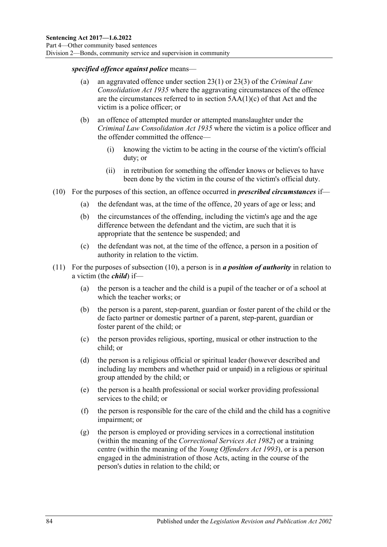#### *specified offence against police* means—

- (a) an aggravated offence under section 23(1) or 23(3) of the *[Criminal Law](http://www.legislation.sa.gov.au/index.aspx?action=legref&type=act&legtitle=Criminal%20Law%20Consolidation%20Act%201935)  [Consolidation Act](http://www.legislation.sa.gov.au/index.aspx?action=legref&type=act&legtitle=Criminal%20Law%20Consolidation%20Act%201935) 1935* where the aggravating circumstances of the offence are the circumstances referred to in section 5AA(1)(c) of that Act and the victim is a police officer; or
- (b) an offence of attempted murder or attempted manslaughter under the *[Criminal Law Consolidation Act](http://www.legislation.sa.gov.au/index.aspx?action=legref&type=act&legtitle=Criminal%20Law%20Consolidation%20Act%201935) 1935* where the victim is a police officer and the offender committed the offence—
	- (i) knowing the victim to be acting in the course of the victim's official duty; or
	- (ii) in retribution for something the offender knows or believes to have been done by the victim in the course of the victim's official duty.
- <span id="page-83-0"></span>(10) For the purposes of this section, an offence occurred in *prescribed circumstances* if—
	- (a) the defendant was, at the time of the offence, 20 years of age or less; and
	- (b) the circumstances of the offending, including the victim's age and the age difference between the defendant and the victim, are such that it is appropriate that the sentence be suspended; and
	- (c) the defendant was not, at the time of the offence, a person in a position of authority in relation to the victim.
- (11) For the purposes of [subsection](#page-83-0) (10), a person is in *a position of authority* in relation to a victim (the *child*) if—
	- (a) the person is a teacher and the child is a pupil of the teacher or of a school at which the teacher works; or
	- (b) the person is a parent, step-parent, guardian or foster parent of the child or the de facto partner or domestic partner of a parent, step-parent, guardian or foster parent of the child; or
	- (c) the person provides religious, sporting, musical or other instruction to the child; or
	- (d) the person is a religious official or spiritual leader (however described and including lay members and whether paid or unpaid) in a religious or spiritual group attended by the child; or
	- (e) the person is a health professional or social worker providing professional services to the child; or
	- (f) the person is responsible for the care of the child and the child has a cognitive impairment; or
	- (g) the person is employed or providing services in a correctional institution (within the meaning of the *[Correctional Services Act](http://www.legislation.sa.gov.au/index.aspx?action=legref&type=act&legtitle=Correctional%20Services%20Act%201982) 1982*) or a training centre (within the meaning of the *[Young Offenders Act](http://www.legislation.sa.gov.au/index.aspx?action=legref&type=act&legtitle=Young%20Offenders%20Act%201993) 1993*), or is a person engaged in the administration of those Acts, acting in the course of the person's duties in relation to the child; or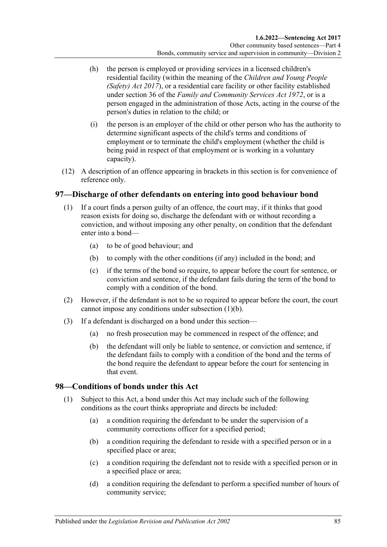- (h) the person is employed or providing services in a licensed children's residential facility (within the meaning of the *[Children and Young People](http://www.legislation.sa.gov.au/index.aspx?action=legref&type=act&legtitle=Children%20and%20Young%20People%20(Safety)%20Act%202017)  [\(Safety\) Act](http://www.legislation.sa.gov.au/index.aspx?action=legref&type=act&legtitle=Children%20and%20Young%20People%20(Safety)%20Act%202017) 2017*), or a residential care facility or other facility established under section 36 of the *[Family and Community Services Act](http://www.legislation.sa.gov.au/index.aspx?action=legref&type=act&legtitle=Family%20and%20Community%20Services%20Act%201972) 1972*, or is a person engaged in the administration of those Acts, acting in the course of the person's duties in relation to the child; or
- (i) the person is an employer of the child or other person who has the authority to determine significant aspects of the child's terms and conditions of employment or to terminate the child's employment (whether the child is being paid in respect of that employment or is working in a voluntary capacity).
- (12) A description of an offence appearing in brackets in this section is for convenience of reference only.

## <span id="page-84-0"></span>**97—Discharge of other defendants on entering into good behaviour bond**

- <span id="page-84-1"></span>(1) If a court finds a person guilty of an offence, the court may, if it thinks that good reason exists for doing so, discharge the defendant with or without recording a conviction, and without imposing any other penalty, on condition that the defendant enter into a bond—
	- (a) to be of good behaviour; and
	- (b) to comply with the other conditions (if any) included in the bond; and
	- (c) if the terms of the bond so require, to appear before the court for sentence, or conviction and sentence, if the defendant fails during the term of the bond to comply with a condition of the bond.
- (2) However, if the defendant is not to be so required to appear before the court, the court cannot impose any conditions under [subsection](#page-84-1) (1)(b).
- (3) If a defendant is discharged on a bond under this section—
	- (a) no fresh prosecution may be commenced in respect of the offence; and
	- (b) the defendant will only be liable to sentence, or conviction and sentence, if the defendant fails to comply with a condition of the bond and the terms of the bond require the defendant to appear before the court for sentencing in that event.

# **98—Conditions of bonds under this Act**

- (1) Subject to this Act, a bond under this Act may include such of the following conditions as the court thinks appropriate and directs be included:
	- (a) a condition requiring the defendant to be under the supervision of a community corrections officer for a specified period;
	- (b) a condition requiring the defendant to reside with a specified person or in a specified place or area;
	- (c) a condition requiring the defendant not to reside with a specified person or in a specified place or area;
	- (d) a condition requiring the defendant to perform a specified number of hours of community service;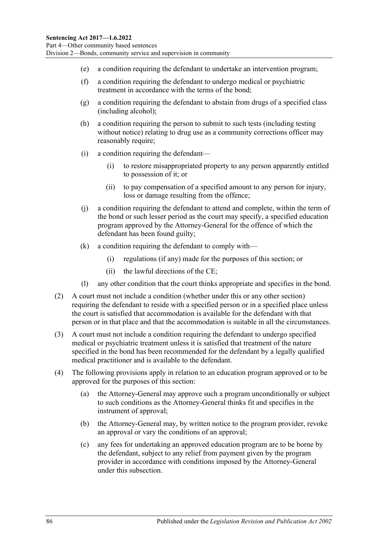- (e) a condition requiring the defendant to undertake an intervention program;
- (f) a condition requiring the defendant to undergo medical or psychiatric treatment in accordance with the terms of the bond;
- (g) a condition requiring the defendant to abstain from drugs of a specified class (including alcohol);
- (h) a condition requiring the person to submit to such tests (including testing without notice) relating to drug use as a community corrections officer may reasonably require;
- (i) a condition requiring the defendant—
	- (i) to restore misappropriated property to any person apparently entitled to possession of it; or
	- (ii) to pay compensation of a specified amount to any person for injury, loss or damage resulting from the offence;
- (j) a condition requiring the defendant to attend and complete, within the term of the bond or such lesser period as the court may specify, a specified education program approved by the Attorney-General for the offence of which the defendant has been found guilty;
- (k) a condition requiring the defendant to comply with—
	- (i) regulations (if any) made for the purposes of this section; or
	- (ii) the lawful directions of the CE;
- (l) any other condition that the court thinks appropriate and specifies in the bond.
- (2) A court must not include a condition (whether under this or any other section) requiring the defendant to reside with a specified person or in a specified place unless the court is satisfied that accommodation is available for the defendant with that person or in that place and that the accommodation is suitable in all the circumstances.
- (3) A court must not include a condition requiring the defendant to undergo specified medical or psychiatric treatment unless it is satisfied that treatment of the nature specified in the bond has been recommended for the defendant by a legally qualified medical practitioner and is available to the defendant.
- (4) The following provisions apply in relation to an education program approved or to be approved for the purposes of this section:
	- (a) the Attorney-General may approve such a program unconditionally or subject to such conditions as the Attorney-General thinks fit and specifies in the instrument of approval;
	- (b) the Attorney-General may, by written notice to the program provider, revoke an approval or vary the conditions of an approval;
	- (c) any fees for undertaking an approved education program are to be borne by the defendant, subject to any relief from payment given by the program provider in accordance with conditions imposed by the Attorney-General under this subsection.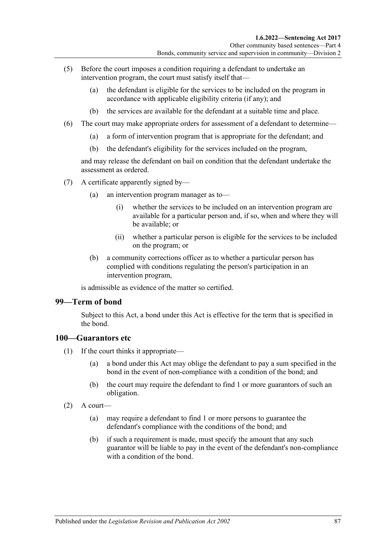- (5) Before the court imposes a condition requiring a defendant to undertake an intervention program, the court must satisfy itself that—
	- (a) the defendant is eligible for the services to be included on the program in accordance with applicable eligibility criteria (if any); and
	- (b) the services are available for the defendant at a suitable time and place.
- (6) The court may make appropriate orders for assessment of a defendant to determine—
	- (a) a form of intervention program that is appropriate for the defendant; and
	- (b) the defendant's eligibility for the services included on the program,

and may release the defendant on bail on condition that the defendant undertake the assessment as ordered.

- (7) A certificate apparently signed by—
	- (a) an intervention program manager as to—
		- (i) whether the services to be included on an intervention program are available for a particular person and, if so, when and where they will be available; or
		- (ii) whether a particular person is eligible for the services to be included on the program; or
	- (b) a community corrections officer as to whether a particular person has complied with conditions regulating the person's participation in an intervention program,

is admissible as evidence of the matter so certified.

#### **99—Term of bond**

Subject to this Act, a bond under this Act is effective for the term that is specified in the bond.

#### **100—Guarantors etc**

- (1) If the court thinks it appropriate—
	- (a) a bond under this Act may oblige the defendant to pay a sum specified in the bond in the event of non-compliance with a condition of the bond; and
	- (b) the court may require the defendant to find 1 or more guarantors of such an obligation.
- $(2)$  A court—
	- (a) may require a defendant to find 1 or more persons to guarantee the defendant's compliance with the conditions of the bond; and
	- (b) if such a requirement is made, must specify the amount that any such guarantor will be liable to pay in the event of the defendant's non-compliance with a condition of the bond.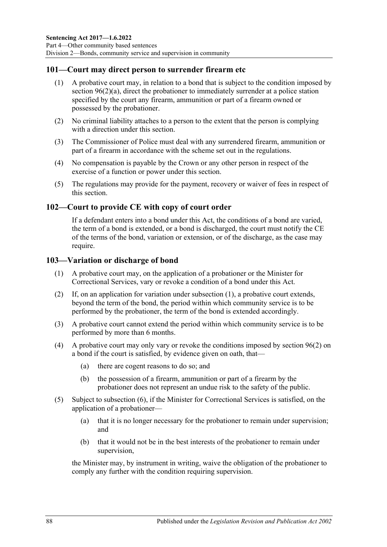### **101—Court may direct person to surrender firearm etc**

- (1) A probative court may, in relation to a bond that is subject to the condition imposed by section [96\(2\)\(a\),](#page-79-7) direct the probationer to immediately surrender at a police station specified by the court any firearm, ammunition or part of a firearm owned or possessed by the probationer.
- (2) No criminal liability attaches to a person to the extent that the person is complying with a direction under this section.
- (3) The Commissioner of Police must deal with any surrendered firearm, ammunition or part of a firearm in accordance with the scheme set out in the regulations.
- (4) No compensation is payable by the Crown or any other person in respect of the exercise of a function or power under this section.
- (5) The regulations may provide for the payment, recovery or waiver of fees in respect of this section.

#### **102—Court to provide CE with copy of court order**

If a defendant enters into a bond under this Act, the conditions of a bond are varied, the term of a bond is extended, or a bond is discharged, the court must notify the CE of the terms of the bond, variation or extension, or of the discharge, as the case may require.

#### <span id="page-87-0"></span>**103—Variation or discharge of bond**

- (1) A probative court may, on the application of a probationer or the Minister for Correctional Services, vary or revoke a condition of a bond under this Act.
- (2) If, on an application for variation under [subsection](#page-87-0) (1), a probative court extends, beyond the term of the bond, the period within which community service is to be performed by the probationer, the term of the bond is extended accordingly.
- (3) A probative court cannot extend the period within which community service is to be performed by more than 6 months.
- (4) A probative court may only vary or revoke the conditions imposed by [section](#page-79-1) 96(2) on a bond if the court is satisfied, by evidence given on oath, that—
	- (a) there are cogent reasons to do so; and
	- (b) the possession of a firearm, ammunition or part of a firearm by the probationer does not represent an undue risk to the safety of the public.
- (5) Subject to [subsection](#page-88-0) (6), if the Minister for Correctional Services is satisfied, on the application of a probationer—
	- (a) that it is no longer necessary for the probationer to remain under supervision; and
	- (b) that it would not be in the best interests of the probationer to remain under supervision,

the Minister may, by instrument in writing, waive the obligation of the probationer to comply any further with the condition requiring supervision.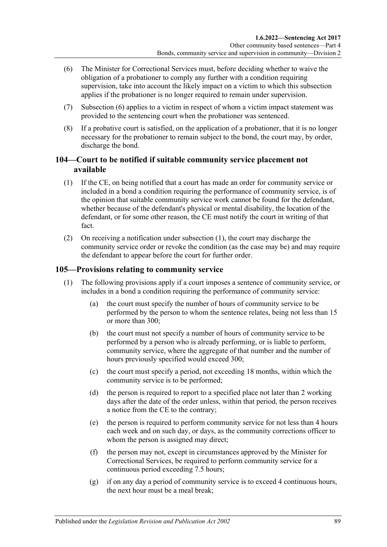- <span id="page-88-0"></span>(6) The Minister for Correctional Services must, before deciding whether to waive the obligation of a probationer to comply any further with a condition requiring supervision, take into account the likely impact on a victim to which this subsection applies if the probationer is no longer required to remain under supervision.
- (7) [Subsection](#page-88-0) (6) applies to a victim in respect of whom a victim impact statement was provided to the sentencing court when the probationer was sentenced.
- (8) If a probative court is satisfied, on the application of a probationer, that it is no longer necessary for the probationer to remain subject to the bond, the court may, by order, discharge the bond.

# **104—Court to be notified if suitable community service placement not available**

- <span id="page-88-1"></span>(1) If the CE, on being notified that a court has made an order for community service or included in a bond a condition requiring the performance of community service, is of the opinion that suitable community service work cannot be found for the defendant, whether because of the defendant's physical or mental disability, the location of the defendant, or for some other reason, the CE must notify the court in writing of that fact.
- (2) On receiving a notification under [subsection](#page-88-1) (1), the court may discharge the community service order or revoke the condition (as the case may be) and may require the defendant to appear before the court for further order.

# <span id="page-88-2"></span>**105—Provisions relating to community service**

- (1) The following provisions apply if a court imposes a sentence of community service, or includes in a bond a condition requiring the performance of community service:
	- (a) the court must specify the number of hours of community service to be performed by the person to whom the sentence relates, being not less than 15 or more than 300;
	- (b) the court must not specify a number of hours of community service to be performed by a person who is already performing, or is liable to perform, community service, where the aggregate of that number and the number of hours previously specified would exceed 300;
	- (c) the court must specify a period, not exceeding 18 months, within which the community service is to be performed;
	- (d) the person is required to report to a specified place not later than 2 working days after the date of the order unless, within that period, the person receives a notice from the CE to the contrary;
	- (e) the person is required to perform community service for not less than 4 hours each week and on such day, or days, as the community corrections officer to whom the person is assigned may direct;
	- (f) the person may not, except in circumstances approved by the Minister for Correctional Services, be required to perform community service for a continuous period exceeding 7.5 hours;
	- (g) if on any day a period of community service is to exceed 4 continuous hours, the next hour must be a meal break;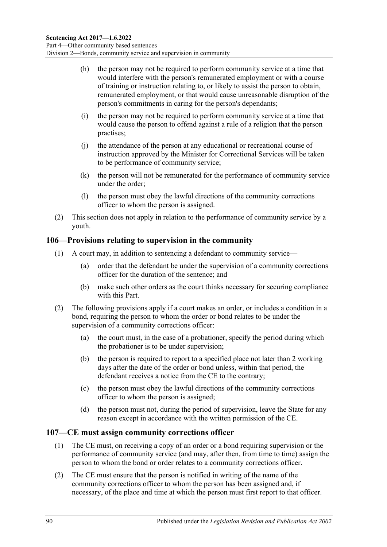- (h) the person may not be required to perform community service at a time that would interfere with the person's remunerated employment or with a course of training or instruction relating to, or likely to assist the person to obtain, remunerated employment, or that would cause unreasonable disruption of the person's commitments in caring for the person's dependants;
- (i) the person may not be required to perform community service at a time that would cause the person to offend against a rule of a religion that the person practises;
- (j) the attendance of the person at any educational or recreational course of instruction approved by the Minister for Correctional Services will be taken to be performance of community service;
- (k) the person will not be remunerated for the performance of community service under the order;
- (l) the person must obey the lawful directions of the community corrections officer to whom the person is assigned.
- (2) This section does not apply in relation to the performance of community service by a youth.

## **106—Provisions relating to supervision in the community**

- (1) A court may, in addition to sentencing a defendant to community service—
	- (a) order that the defendant be under the supervision of a community corrections officer for the duration of the sentence; and
	- (b) make such other orders as the court thinks necessary for securing compliance with this Part.
- (2) The following provisions apply if a court makes an order, or includes a condition in a bond, requiring the person to whom the order or bond relates to be under the supervision of a community corrections officer:
	- (a) the court must, in the case of a probationer, specify the period during which the probationer is to be under supervision;
	- (b) the person is required to report to a specified place not later than 2 working days after the date of the order or bond unless, within that period, the defendant receives a notice from the CE to the contrary;
	- (c) the person must obey the lawful directions of the community corrections officer to whom the person is assigned;
	- (d) the person must not, during the period of supervision, leave the State for any reason except in accordance with the written permission of the CE.

# **107—CE must assign community corrections officer**

- (1) The CE must, on receiving a copy of an order or a bond requiring supervision or the performance of community service (and may, after then, from time to time) assign the person to whom the bond or order relates to a community corrections officer.
- (2) The CE must ensure that the person is notified in writing of the name of the community corrections officer to whom the person has been assigned and, if necessary, of the place and time at which the person must first report to that officer.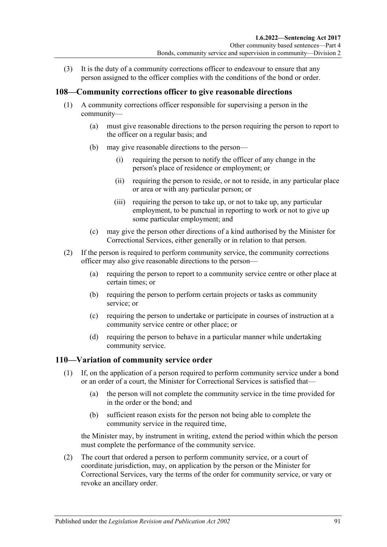(3) It is the duty of a community corrections officer to endeavour to ensure that any person assigned to the officer complies with the conditions of the bond or order.

#### **108—Community corrections officer to give reasonable directions**

- (1) A community corrections officer responsible for supervising a person in the community—
	- (a) must give reasonable directions to the person requiring the person to report to the officer on a regular basis; and
	- (b) may give reasonable directions to the person—
		- (i) requiring the person to notify the officer of any change in the person's place of residence or employment; or
		- (ii) requiring the person to reside, or not to reside, in any particular place or area or with any particular person; or
		- (iii) requiring the person to take up, or not to take up, any particular employment, to be punctual in reporting to work or not to give up some particular employment; and
	- (c) may give the person other directions of a kind authorised by the Minister for Correctional Services, either generally or in relation to that person.
- (2) If the person is required to perform community service, the community corrections officer may also give reasonable directions to the person—
	- (a) requiring the person to report to a community service centre or other place at certain times; or
	- (b) requiring the person to perform certain projects or tasks as community service; or
	- (c) requiring the person to undertake or participate in courses of instruction at a community service centre or other place; or
	- (d) requiring the person to behave in a particular manner while undertaking community service.

#### <span id="page-90-0"></span>**110—Variation of community service order**

- (1) If, on the application of a person required to perform community service under a bond or an order of a court, the Minister for Correctional Services is satisfied that—
	- (a) the person will not complete the community service in the time provided for in the order or the bond; and
	- (b) sufficient reason exists for the person not being able to complete the community service in the required time,

the Minister may, by instrument in writing, extend the period within which the person must complete the performance of the community service.

(2) The court that ordered a person to perform community service, or a court of coordinate jurisdiction, may, on application by the person or the Minister for Correctional Services, vary the terms of the order for community service, or vary or revoke an ancillary order.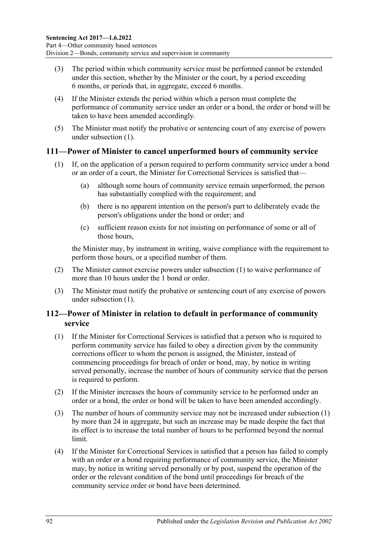- (3) The period within which community service must be performed cannot be extended under this section, whether by the Minister or the court, by a period exceeding 6 months, or periods that, in aggregate, exceed 6 months.
- (4) If the Minister extends the period within which a person must complete the performance of community service under an order or a bond, the order or bond will be taken to have been amended accordingly.
- (5) The Minister must notify the probative or sentencing court of any exercise of powers under [subsection](#page-90-0) (1).

#### <span id="page-91-0"></span>**111—Power of Minister to cancel unperformed hours of community service**

- (1) If, on the application of a person required to perform community service under a bond or an order of a court, the Minister for Correctional Services is satisfied that—
	- (a) although some hours of community service remain unperformed, the person has substantially complied with the requirement; and
	- (b) there is no apparent intention on the person's part to deliberately evade the person's obligations under the bond or order; and
	- (c) sufficient reason exists for not insisting on performance of some or all of those hours,

the Minister may, by instrument in writing, waive compliance with the requirement to perform those hours, or a specified number of them.

- (2) The Minister cannot exercise powers under [subsection](#page-91-0) (1) to waive performance of more than 10 hours under the 1 hond or order.
- (3) The Minister must notify the probative or sentencing court of any exercise of powers under [subsection](#page-91-0) (1).

# **112—Power of Minister in relation to default in performance of community service**

- <span id="page-91-1"></span>(1) If the Minister for Correctional Services is satisfied that a person who is required to perform community service has failed to obey a direction given by the community corrections officer to whom the person is assigned, the Minister, instead of commencing proceedings for breach of order or bond, may, by notice in writing served personally, increase the number of hours of community service that the person is required to perform.
- (2) If the Minister increases the hours of community service to be performed under an order or a bond, the order or bond will be taken to have been amended accordingly.
- (3) The number of hours of community service may not be increased under [subsection](#page-91-1) (1) by more than 24 in aggregate, but such an increase may be made despite the fact that its effect is to increase the total number of hours to be performed beyond the normal limit.
- (4) If the Minister for Correctional Services is satisfied that a person has failed to comply with an order or a bond requiring performance of community service, the Minister may, by notice in writing served personally or by post, suspend the operation of the order or the relevant condition of the bond until proceedings for breach of the community service order or bond have been determined.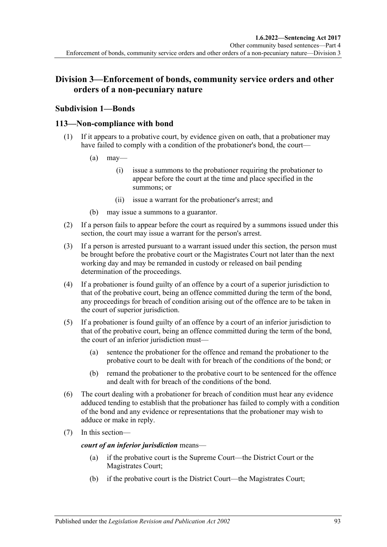# **Division 3—Enforcement of bonds, community service orders and other orders of a non-pecuniary nature**

# **Subdivision 1—Bonds**

### **113—Non-compliance with bond**

- (1) If it appears to a probative court, by evidence given on oath, that a probationer may have failed to comply with a condition of the probationer's bond, the court—
	- $(a)$  may—
		- (i) issue a summons to the probationer requiring the probationer to appear before the court at the time and place specified in the summons; or
		- (ii) issue a warrant for the probationer's arrest; and
	- (b) may issue a summons to a guarantor.
- (2) If a person fails to appear before the court as required by a summons issued under this section, the court may issue a warrant for the person's arrest.
- (3) If a person is arrested pursuant to a warrant issued under this section, the person must be brought before the probative court or the Magistrates Court not later than the next working day and may be remanded in custody or released on bail pending determination of the proceedings.
- (4) If a probationer is found guilty of an offence by a court of a superior jurisdiction to that of the probative court, being an offence committed during the term of the bond, any proceedings for breach of condition arising out of the offence are to be taken in the court of superior jurisdiction.
- (5) If a probationer is found guilty of an offence by a court of an inferior jurisdiction to that of the probative court, being an offence committed during the term of the bond, the court of an inferior jurisdiction must—
	- (a) sentence the probationer for the offence and remand the probationer to the probative court to be dealt with for breach of the conditions of the bond; or
	- (b) remand the probationer to the probative court to be sentenced for the offence and dealt with for breach of the conditions of the bond.
- (6) The court dealing with a probationer for breach of condition must hear any evidence adduced tending to establish that the probationer has failed to comply with a condition of the bond and any evidence or representations that the probationer may wish to adduce or make in reply.
- (7) In this section—

*court of an inferior jurisdiction* means—

- (a) if the probative court is the Supreme Court—the District Court or the Magistrates Court;
- (b) if the probative court is the District Court—the Magistrates Court;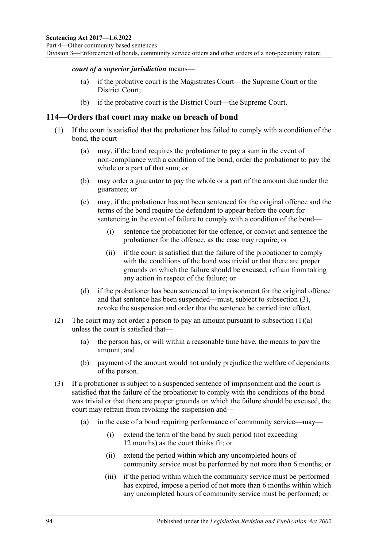#### *court of a superior jurisdiction* means—

- (a) if the probative court is the Magistrates Court—the Supreme Court or the District Court;
- (b) if the probative court is the District Court—the Supreme Court.

#### **114—Orders that court may make on breach of bond**

- <span id="page-93-1"></span>(1) If the court is satisfied that the probationer has failed to comply with a condition of the bond, the court—
	- (a) may, if the bond requires the probationer to pay a sum in the event of non-compliance with a condition of the bond, order the probationer to pay the whole or a part of that sum; or
	- (b) may order a guarantor to pay the whole or a part of the amount due under the guarantee; or
	- (c) may, if the probationer has not been sentenced for the original offence and the terms of the bond require the defendant to appear before the court for sentencing in the event of failure to comply with a condition of the bond—
		- (i) sentence the probationer for the offence, or convict and sentence the probationer for the offence, as the case may require; or
		- (ii) if the court is satisfied that the failure of the probationer to comply with the conditions of the bond was trivial or that there are proper grounds on which the failure should be excused, refrain from taking any action in respect of the failure; or
	- (d) if the probationer has been sentenced to imprisonment for the original offence and that sentence has been suspended—must, subject to [subsection](#page-93-0) (3), revoke the suspension and order that the sentence be carried into effect.
- (2) The court may not order a person to pay an amount pursuant to [subsection](#page-93-1)  $(1)(a)$ unless the court is satisfied that—
	- (a) the person has, or will within a reasonable time have, the means to pay the amount; and
	- (b) payment of the amount would not unduly prejudice the welfare of dependants of the person.
- <span id="page-93-0"></span>(3) If a probationer is subject to a suspended sentence of imprisonment and the court is satisfied that the failure of the probationer to comply with the conditions of the bond was trivial or that there are proper grounds on which the failure should be excused, the court may refrain from revoking the suspension and—
	- (a) in the case of a bond requiring performance of community service—may—
		- (i) extend the term of the bond by such period (not exceeding 12 months) as the court thinks fit; or
		- (ii) extend the period within which any uncompleted hours of community service must be performed by not more than 6 months; or
		- (iii) if the period within which the community service must be performed has expired, impose a period of not more than 6 months within which any uncompleted hours of community service must be performed; or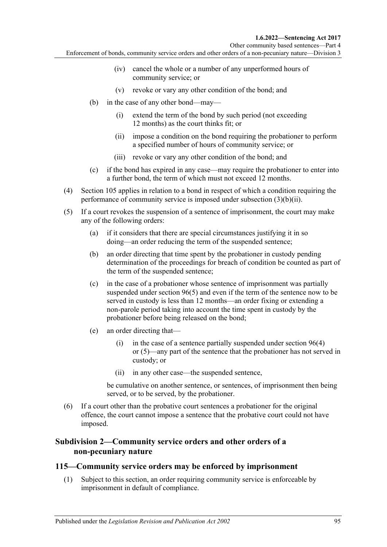- (iv) cancel the whole or a number of any unperformed hours of community service; or
- (v) revoke or vary any other condition of the bond; and
- <span id="page-94-0"></span>(b) in the case of any other bond—may—
	- (i) extend the term of the bond by such period (not exceeding 12 months) as the court thinks fit; or
	- (ii) impose a condition on the bond requiring the probationer to perform a specified number of hours of community service; or
	- (iii) revoke or vary any other condition of the bond; and
- (c) if the bond has expired in any case—may require the probationer to enter into a further bond, the term of which must not exceed 12 months.
- (4) [Section](#page-88-2) 105 applies in relation to a bond in respect of which a condition requiring the performance of community service is imposed under [subsection](#page-94-0) (3)(b)(ii).
- (5) If a court revokes the suspension of a sentence of imprisonment, the court may make any of the following orders:
	- (a) if it considers that there are special circumstances justifying it in so doing—an order reducing the term of the suspended sentence;
	- (b) an order directing that time spent by the probationer in custody pending determination of the proceedings for breach of condition be counted as part of the term of the suspended sentence;
	- (c) in the case of a probationer whose sentence of imprisonment was partially suspended under [section](#page-80-1) 96(5) and even if the term of the sentence now to be served in custody is less than 12 months—an order fixing or extending a non-parole period taking into account the time spent in custody by the probationer before being released on the bond;
	- (e) an order directing that
		- (i) in the case of a sentence partially suspended under [section](#page-80-0)  $96(4)$ or [\(5\)—](#page-80-1)any part of the sentence that the probationer has not served in custody; or
		- (ii) in any other case—the suspended sentence,

be cumulative on another sentence, or sentences, of imprisonment then being served, or to be served, by the probationer.

(6) If a court other than the probative court sentences a probationer for the original offence, the court cannot impose a sentence that the probative court could not have imposed.

# **Subdivision 2—Community service orders and other orders of a non-pecuniary nature**

#### <span id="page-94-1"></span>**115—Community service orders may be enforced by imprisonment**

(1) Subject to this section, an order requiring community service is enforceable by imprisonment in default of compliance.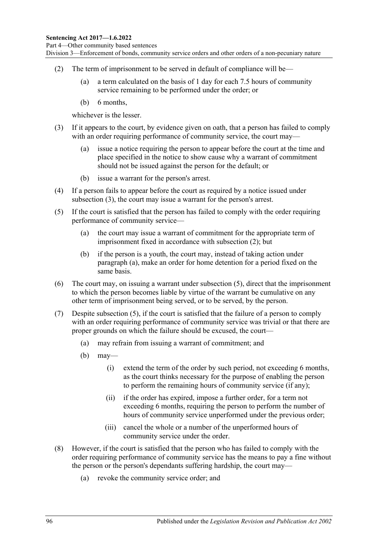- <span id="page-95-1"></span>(2) The term of imprisonment to be served in default of compliance will be—
	- (a) a term calculated on the basis of 1 day for each 7.5 hours of community service remaining to be performed under the order; or
	- (b) 6 months,

whichever is the lesser.

- <span id="page-95-0"></span>(3) If it appears to the court, by evidence given on oath, that a person has failed to comply with an order requiring performance of community service, the court may—
	- (a) issue a notice requiring the person to appear before the court at the time and place specified in the notice to show cause why a warrant of commitment should not be issued against the person for the default; or
	- (b) issue a warrant for the person's arrest.
- (4) If a person fails to appear before the court as required by a notice issued under [subsection](#page-95-0) (3), the court may issue a warrant for the person's arrest.
- <span id="page-95-3"></span><span id="page-95-2"></span>(5) If the court is satisfied that the person has failed to comply with the order requiring performance of community service—
	- (a) the court may issue a warrant of commitment for the appropriate term of imprisonment fixed in accordance with [subsection](#page-95-1) (2); but
	- (b) if the person is a youth, the court may, instead of taking action under [paragraph](#page-95-2) (a), make an order for home detention for a period fixed on the same basis.
- (6) The court may, on issuing a warrant under [subsection](#page-95-3) (5), direct that the imprisonment to which the person becomes liable by virtue of the warrant be cumulative on any other term of imprisonment being served, or to be served, by the person.
- (7) Despite [subsection](#page-95-3) (5), if the court is satisfied that the failure of a person to comply with an order requiring performance of community service was trivial or that there are proper grounds on which the failure should be excused, the court—
	- (a) may refrain from issuing a warrant of commitment; and
	- $(b)$  may—
		- (i) extend the term of the order by such period, not exceeding 6 months, as the court thinks necessary for the purpose of enabling the person to perform the remaining hours of community service (if any);
		- (ii) if the order has expired, impose a further order, for a term not exceeding 6 months, requiring the person to perform the number of hours of community service unperformed under the previous order;
		- (iii) cancel the whole or a number of the unperformed hours of community service under the order.
- <span id="page-95-4"></span>(8) However, if the court is satisfied that the person who has failed to comply with the order requiring performance of community service has the means to pay a fine without the person or the person's dependants suffering hardship, the court may—
	- (a) revoke the community service order; and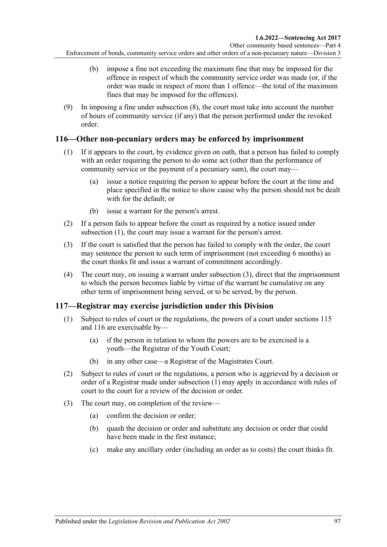- (b) impose a fine not exceeding the maximum fine that may be imposed for the offence in respect of which the community service order was made (or, if the order was made in respect of more than 1 offence—the total of the maximum fines that may be imposed for the offences).
- (9) In imposing a fine under [subsection](#page-95-4) (8), the court must take into account the number of hours of community service (if any) that the person performed under the revoked order.

# <span id="page-96-2"></span><span id="page-96-0"></span>**116—Other non-pecuniary orders may be enforced by imprisonment**

- (1) If it appears to the court, by evidence given on oath, that a person has failed to comply with an order requiring the person to do some act (other than the performance of community service or the payment of a pecuniary sum), the court may—
	- (a) issue a notice requiring the person to appear before the court at the time and place specified in the notice to show cause why the person should not be dealt with for the default; or
	- (b) issue a warrant for the person's arrest.
- (2) If a person fails to appear before the court as required by a notice issued under [subsection](#page-96-0) (1), the court may issue a warrant for the person's arrest.
- <span id="page-96-1"></span>(3) If the court is satisfied that the person has failed to comply with the order, the court may sentence the person to such term of imprisonment (not exceeding 6 months) as the court thinks fit and issue a warrant of commitment accordingly.
- (4) The court may, on issuing a warrant under [subsection](#page-96-1) (3), direct that the imprisonment to which the person becomes liable by virtue of the warrant be cumulative on any other term of imprisonment being served, or to be served, by the person.

# <span id="page-96-3"></span>**117—Registrar may exercise jurisdiction under this Division**

- (1) Subject to rules of court or the regulations, the powers of a court under [sections](#page-94-1) 115 and [116](#page-96-2) are exercisable by—
	- (a) if the person in relation to whom the powers are to be exercised is a youth—the Registrar of the Youth Court;
	- (b) in any other case—a Registrar of the Magistrates Court.
- (2) Subject to rules of court or the regulations, a person who is aggrieved by a decision or order of a Registrar made under [subsection](#page-96-3) (1) may apply in accordance with rules of court to the court for a review of the decision or order.
- (3) The court may, on completion of the review—
	- (a) confirm the decision or order;
	- (b) quash the decision or order and substitute any decision or order that could have been made in the first instance;
	- (c) make any ancillary order (including an order as to costs) the court thinks fit.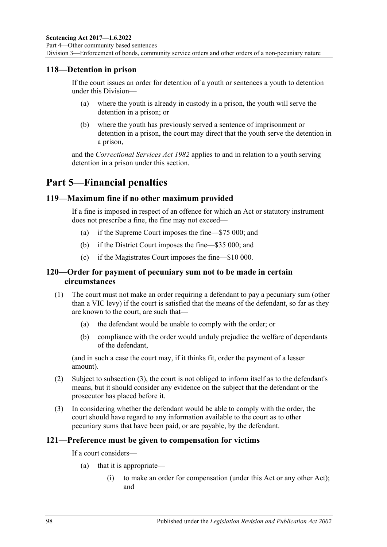#### **118—Detention in prison**

If the court issues an order for detention of a youth or sentences a youth to detention under this Division—

- (a) where the youth is already in custody in a prison, the youth will serve the detention in a prison; or
- (b) where the youth has previously served a sentence of imprisonment or detention in a prison, the court may direct that the youth serve the detention in a prison,

and the *[Correctional Services Act](http://www.legislation.sa.gov.au/index.aspx?action=legref&type=act&legtitle=Correctional%20Services%20Act%201982) 1982* applies to and in relation to a youth serving detention in a prison under this section.

# **Part 5—Financial penalties**

#### **119—Maximum fine if no other maximum provided**

If a fine is imposed in respect of an offence for which an Act or statutory instrument does not prescribe a fine, the fine may not exceed—

- (a) if the Supreme Court imposes the fine—\$75 000; and
- (b) if the District Court imposes the fine—\$35 000; and
- (c) if the Magistrates Court imposes the fine—\$10 000.

#### **120—Order for payment of pecuniary sum not to be made in certain circumstances**

- (1) The court must not make an order requiring a defendant to pay a pecuniary sum (other than a VIC levy) if the court is satisfied that the means of the defendant, so far as they are known to the court, are such that—
	- (a) the defendant would be unable to comply with the order; or
	- (b) compliance with the order would unduly prejudice the welfare of dependants of the defendant,

(and in such a case the court may, if it thinks fit, order the payment of a lesser amount).

- (2) Subject to [subsection](#page-97-0) (3), the court is not obliged to inform itself as to the defendant's means, but it should consider any evidence on the subject that the defendant or the prosecutor has placed before it.
- <span id="page-97-0"></span>(3) In considering whether the defendant would be able to comply with the order, the court should have regard to any information available to the court as to other pecuniary sums that have been paid, or are payable, by the defendant.

#### **121—Preference must be given to compensation for victims**

If a court considers—

- (a) that it is appropriate—
	- (i) to make an order for compensation (under this Act or any other Act); and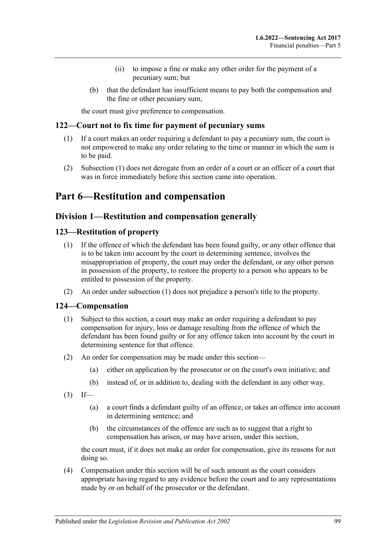- (ii) to impose a fine or make any other order for the payment of a pecuniary sum; but
- (b) that the defendant has insufficient means to pay both the compensation and the fine or other pecuniary sum,

the court must give preference to compensation.

#### <span id="page-98-0"></span>**122—Court not to fix time for payment of pecuniary sums**

- (1) If a court makes an order requiring a defendant to pay a pecuniary sum, the court is not empowered to make any order relating to the time or manner in which the sum is to be paid.
- (2) [Subsection](#page-98-0) (1) does not derogate from an order of a court or an officer of a court that was in force immediately before this section came into operation.

# **Part 6—Restitution and compensation**

## **Division 1—Restitution and compensation generally**

### <span id="page-98-2"></span><span id="page-98-1"></span>**123—Restitution of property**

- (1) If the offence of which the defendant has been found guilty, or any other offence that is to be taken into account by the court in determining sentence, involves the misappropriation of property, the court may order the defendant, or any other person in possession of the property, to restore the property to a person who appears to be entitled to possession of the property.
- (2) An order under [subsection](#page-98-1) (1) does not prejudice a person's title to the property.

#### **124—Compensation**

- (1) Subject to this section, a court may make an order requiring a defendant to pay compensation for injury, loss or damage resulting from the offence of which the defendant has been found guilty or for any offence taken into account by the court in determining sentence for that offence.
- (2) An order for compensation may be made under this section—
	- (a) either on application by the prosecutor or on the court's own initiative; and
	- (b) instead of, or in addition to, dealing with the defendant in any other way.
- $(3)$  If—
	- (a) a court finds a defendant guilty of an offence, or takes an offence into account in determining sentence; and
	- (b) the circumstances of the offence are such as to suggest that a right to compensation has arisen, or may have arisen, under this section,

the court must, if it does not make an order for compensation, give its reasons for not doing so.

(4) Compensation under this section will be of such amount as the court considers appropriate having regard to any evidence before the court and to any representations made by or on behalf of the prosecutor or the defendant.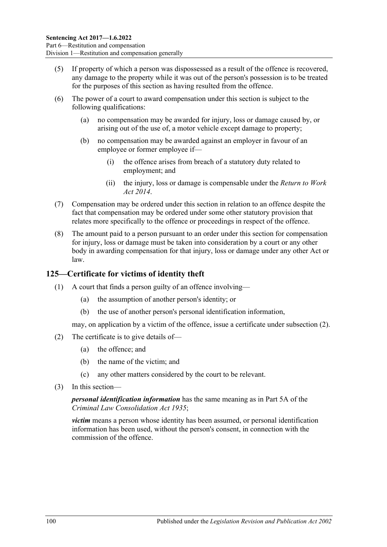- (5) If property of which a person was dispossessed as a result of the offence is recovered, any damage to the property while it was out of the person's possession is to be treated for the purposes of this section as having resulted from the offence.
- (6) The power of a court to award compensation under this section is subject to the following qualifications:
	- (a) no compensation may be awarded for injury, loss or damage caused by, or arising out of the use of, a motor vehicle except damage to property;
	- (b) no compensation may be awarded against an employer in favour of an employee or former employee if—
		- (i) the offence arises from breach of a statutory duty related to employment; and
		- (ii) the injury, loss or damage is compensable under the *[Return to Work](http://www.legislation.sa.gov.au/index.aspx?action=legref&type=act&legtitle=Return%20to%20Work%20Act%202014)  Act [2014](http://www.legislation.sa.gov.au/index.aspx?action=legref&type=act&legtitle=Return%20to%20Work%20Act%202014)*.
- (7) Compensation may be ordered under this section in relation to an offence despite the fact that compensation may be ordered under some other statutory provision that relates more specifically to the offence or proceedings in respect of the offence.
- (8) The amount paid to a person pursuant to an order under this section for compensation for injury, loss or damage must be taken into consideration by a court or any other body in awarding compensation for that injury, loss or damage under any other Act or law.

# **125—Certificate for victims of identity theft**

- (1) A court that finds a person guilty of an offence involving—
	- (a) the assumption of another person's identity; or
	- (b) the use of another person's personal identification information,

may, on application by a victim of the offence, issue a certificate under [subsection](#page-99-0) (2).

- <span id="page-99-0"></span>(2) The certificate is to give details of—
	- (a) the offence; and
	- (b) the name of the victim; and
	- (c) any other matters considered by the court to be relevant.
- (3) In this section—

*personal identification information* has the same meaning as in Part 5A of the *[Criminal Law Consolidation Act](http://www.legislation.sa.gov.au/index.aspx?action=legref&type=act&legtitle=Criminal%20Law%20Consolidation%20Act%201935) 1935*;

*victim* means a person whose identity has been assumed, or personal identification information has been used, without the person's consent, in connection with the commission of the offence.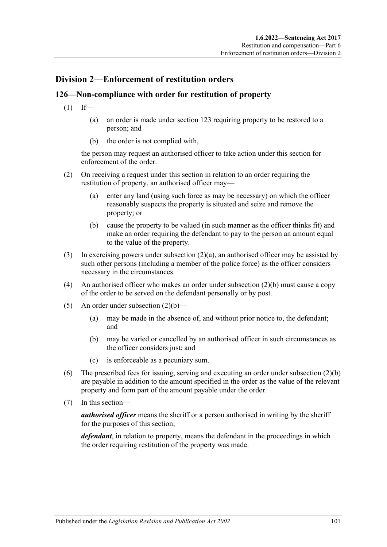# **Division 2—Enforcement of restitution orders**

# **126—Non-compliance with order for restitution of property**

- $(1)$  If—
	- (a) an order is made under [section](#page-98-2) 123 requiring property to be restored to a person; and
	- (b) the order is not complied with,

the person may request an authorised officer to take action under this section for enforcement of the order.

- <span id="page-100-0"></span>(2) On receiving a request under this section in relation to an order requiring the restitution of property, an authorised officer may—
	- (a) enter any land (using such force as may be necessary) on which the officer reasonably suspects the property is situated and seize and remove the property; or
	- (b) cause the property to be valued (in such manner as the officer thinks fit) and make an order requiring the defendant to pay to the person an amount equal to the value of the property.
- <span id="page-100-1"></span>(3) In exercising powers under [subsection](#page-100-0)  $(2)(a)$ , an authorised officer may be assisted by such other persons (including a member of the police force) as the officer considers necessary in the circumstances.
- (4) An authorised officer who makes an order under [subsection](#page-100-1)  $(2)(b)$  must cause a copy of the order to be served on the defendant personally or by post.
- (5) An order under [subsection](#page-100-1)  $(2)(b)$ 
	- (a) may be made in the absence of, and without prior notice to, the defendant; and
	- (b) may be varied or cancelled by an authorised officer in such circumstances as the officer considers just; and
	- (c) is enforceable as a pecuniary sum.
- (6) The prescribed fees for issuing, serving and executing an order under [subsection](#page-100-1) (2)(b) are payable in addition to the amount specified in the order as the value of the relevant property and form part of the amount payable under the order.
- (7) In this section—

*authorised officer* means the sheriff or a person authorised in writing by the sheriff for the purposes of this section;

*defendant*, in relation to property, means the defendant in the proceedings in which the order requiring restitution of the property was made.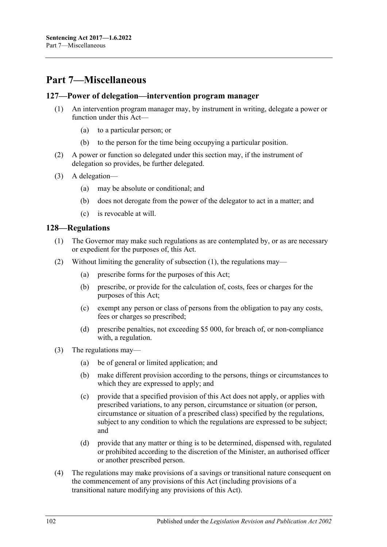# **Part 7—Miscellaneous**

#### **127—Power of delegation—intervention program manager**

- (1) An intervention program manager may, by instrument in writing, delegate a power or function under this Act—
	- (a) to a particular person; or
	- (b) to the person for the time being occupying a particular position.
- (2) A power or function so delegated under this section may, if the instrument of delegation so provides, be further delegated.
- (3) A delegation—
	- (a) may be absolute or conditional; and
	- (b) does not derogate from the power of the delegator to act in a matter; and
	- (c) is revocable at will.

#### <span id="page-101-0"></span>**128—Regulations**

- (1) The Governor may make such regulations as are contemplated by, or as are necessary or expedient for the purposes of, this Act.
- (2) Without limiting the generality of [subsection](#page-101-0) (1), the regulations may—
	- (a) prescribe forms for the purposes of this Act;
	- (b) prescribe, or provide for the calculation of, costs, fees or charges for the purposes of this Act;
	- (c) exempt any person or class of persons from the obligation to pay any costs, fees or charges so prescribed;
	- (d) prescribe penalties, not exceeding \$5 000, for breach of, or non-compliance with, a regulation.
- (3) The regulations may—
	- (a) be of general or limited application; and
	- (b) make different provision according to the persons, things or circumstances to which they are expressed to apply; and
	- (c) provide that a specified provision of this Act does not apply, or applies with prescribed variations, to any person, circumstance or situation (or person, circumstance or situation of a prescribed class) specified by the regulations, subject to any condition to which the regulations are expressed to be subject; and
	- (d) provide that any matter or thing is to be determined, dispensed with, regulated or prohibited according to the discretion of the Minister, an authorised officer or another prescribed person.
- (4) The regulations may make provisions of a savings or transitional nature consequent on the commencement of any provisions of this Act (including provisions of a transitional nature modifying any provisions of this Act).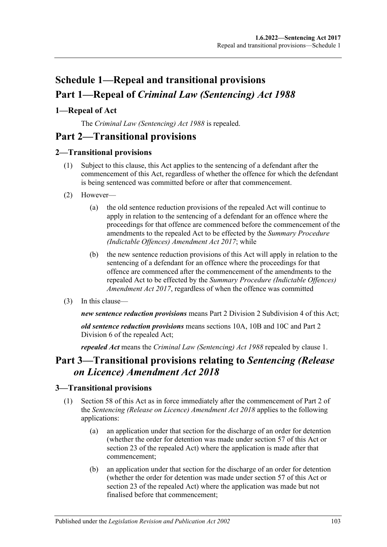# **Schedule 1—Repeal and transitional provisions Part 1—Repeal of** *Criminal Law (Sentencing) Act 1988*

# <span id="page-102-0"></span>**1—Repeal of Act**

The *[Criminal Law \(Sentencing\) Act](http://www.legislation.sa.gov.au/index.aspx?action=legref&type=act&legtitle=Criminal%20Law%20(Sentencing)%20Act%201988) 1988* is repealed.

# **Part 2—Transitional provisions**

# **2—Transitional provisions**

- (1) Subject to this clause, this Act applies to the sentencing of a defendant after the commencement of this Act, regardless of whether the offence for which the defendant is being sentenced was committed before or after that commencement.
- (2) However—
	- (a) the old sentence reduction provisions of the repealed Act will continue to apply in relation to the sentencing of a defendant for an offence where the proceedings for that offence are commenced before the commencement of the amendments to the repealed Act to be effected by the *[Summary Procedure](http://www.legislation.sa.gov.au/index.aspx?action=legref&type=act&legtitle=Summary%20Procedure%20(Indictable%20Offences)%20Amendment%20Act%202017)  [\(Indictable Offences\) Amendment Act](http://www.legislation.sa.gov.au/index.aspx?action=legref&type=act&legtitle=Summary%20Procedure%20(Indictable%20Offences)%20Amendment%20Act%202017) 2017*; while
	- (b) the new sentence reduction provisions of this Act will apply in relation to the sentencing of a defendant for an offence where the proceedings for that offence are commenced after the commencement of the amendments to the repealed Act to be effected by the *[Summary Procedure \(Indictable Offences\)](http://www.legislation.sa.gov.au/index.aspx?action=legref&type=act&legtitle=Summary%20Procedure%20(Indictable%20Offences)%20Amendment%20Act%202017)  [Amendment Act](http://www.legislation.sa.gov.au/index.aspx?action=legref&type=act&legtitle=Summary%20Procedure%20(Indictable%20Offences)%20Amendment%20Act%202017) 2017*, regardless of when the offence was committed
- (3) In this clause—

*new sentence reduction provisions* means Part 2 Division [2 Subdivision](#page-25-0) 4 of this Act;

*old sentence reduction provisions* means sections 10A, 10B and 10C and Part 2 Division 6 of the repealed Act;

*repealed Act* means the *[Criminal Law \(Sentencing\) Act](http://www.legislation.sa.gov.au/index.aspx?action=legref&type=act&legtitle=Criminal%20Law%20(Sentencing)%20Act%201988) 1988* repealed by [clause](#page-102-0) 1.

# **Part 3—Transitional provisions relating to** *Sentencing (Release on Licence) Amendment Act 2018*

# **3—Transitional provisions**

- (1) [Section 58](#page-49-0) of this Act as in force immediately after the commencement of Part 2 of the *[Sentencing \(Release on Licence\) Amendment Act](http://www.legislation.sa.gov.au/index.aspx?action=legref&type=act&legtitle=Sentencing%20(Release%20on%20Licence)%20Amendment%20Act%202018) 2018* applies to the following applications:
	- (a) an application under that section for the discharge of an order for detention (whether the order for detention was made under [section](#page-46-0) 57 of this Act or section 23 of the repealed Act) where the application is made after that commencement;
	- (b) an application under that section for the discharge of an order for detention (whether the order for detention was made under [section](#page-46-0) 57 of this Act or section 23 of the repealed Act) where the application was made but not finalised before that commencement;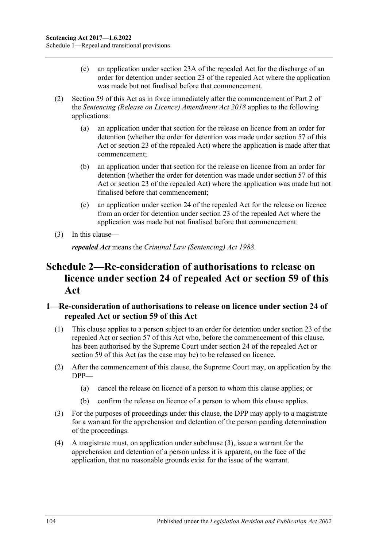- (c) an application under section 23A of the repealed Act for the discharge of an order for detention under section 23 of the repealed Act where the application was made but not finalised before that commencement.
- (2) [Section 59](#page-50-0) of this Act as in force immediately after the commencement of Part 2 of the *[Sentencing \(Release on Licence\) Amendment Act](http://www.legislation.sa.gov.au/index.aspx?action=legref&type=act&legtitle=Sentencing%20(Release%20on%20Licence)%20Amendment%20Act%202018) 2018* applies to the following applications:
	- (a) an application under that section for the release on licence from an order for detention (whether the order for detention was made under [section](#page-46-0) 57 of this Act or section 23 of the repealed Act) where the application is made after that commencement;
	- (b) an application under that section for the release on licence from an order for detention (whether the order for detention was made under [section](#page-46-0) 57 of this Act or section 23 of the repealed Act) where the application was made but not finalised before that commencement;
	- (c) an application under section 24 of the repealed Act for the release on licence from an order for detention under section 23 of the repealed Act where the application was made but not finalised before that commencement.
- (3) In this clause—

*repealed Act* means the *[Criminal Law \(Sentencing\) Act](http://www.legislation.sa.gov.au/index.aspx?action=legref&type=act&legtitle=Criminal%20Law%20(Sentencing)%20Act%201988) 1988*.

# **Schedule 2—Re-consideration of authorisations to release on licence under section 24 of repealed Act or [section](#page-50-0) 59 of this Act**

## **1—Re-consideration of authorisations to release on licence under section 24 of repealed Act or [section](#page-50-0) 59 of this Act**

- (1) This clause applies to a person subject to an order for detention under section 23 of the repealed Act or [section](#page-46-0) 57 of this Act who, before the commencement of this clause, has been authorised by the Supreme Court under section 24 of the repealed Act or [section](#page-50-0) 59 of this Act (as the case may be) to be released on licence.
- (2) After the commencement of this clause, the Supreme Court may, on application by the DPP—
	- (a) cancel the release on licence of a person to whom this clause applies; or
	- (b) confirm the release on licence of a person to whom this clause applies.
- <span id="page-103-0"></span>(3) For the purposes of proceedings under this clause, the DPP may apply to a magistrate for a warrant for the apprehension and detention of the person pending determination of the proceedings.
- (4) A magistrate must, on application under [subclause](#page-103-0) (3), issue a warrant for the apprehension and detention of a person unless it is apparent, on the face of the application, that no reasonable grounds exist for the issue of the warrant.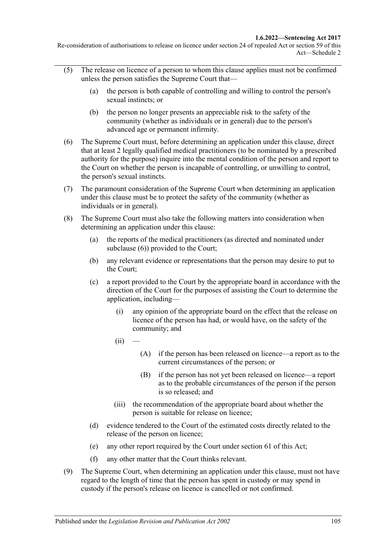Re-consideration of authorisations to release on licence under section 24 of repealed Act or section 59 of this Act—Schedule 2

- (5) The release on licence of a person to whom this clause applies must not be confirmed unless the person satisfies the Supreme Court that—
	- (a) the person is both capable of controlling and willing to control the person's sexual instincts; or
	- (b) the person no longer presents an appreciable risk to the safety of the community (whether as individuals or in general) due to the person's advanced age or permanent infirmity.
- <span id="page-104-0"></span>(6) The Supreme Court must, before determining an application under this clause, direct that at least 2 legally qualified medical practitioners (to be nominated by a prescribed authority for the purpose) inquire into the mental condition of the person and report to the Court on whether the person is incapable of controlling, or unwilling to control, the person's sexual instincts.
- (7) The paramount consideration of the Supreme Court when determining an application under this clause must be to protect the safety of the community (whether as individuals or in general).
- <span id="page-104-1"></span>(8) The Supreme Court must also take the following matters into consideration when determining an application under this clause:
	- (a) the reports of the medical practitioners (as directed and nominated under [subclause](#page-104-0) (6)) provided to the Court;
	- (b) any relevant evidence or representations that the person may desire to put to the Court;
	- (c) a report provided to the Court by the appropriate board in accordance with the direction of the Court for the purposes of assisting the Court to determine the application, including—
		- (i) any opinion of the appropriate board on the effect that the release on licence of the person has had, or would have, on the safety of the community; and
		- $(ii)$
- (A) if the person has been released on licence—a report as to the current circumstances of the person; or
- (B) if the person has not yet been released on licence—a report as to the probable circumstances of the person if the person is so released; and
- (iii) the recommendation of the appropriate board about whether the person is suitable for release on licence;
- (d) evidence tendered to the Court of the estimated costs directly related to the release of the person on licence;
- (e) any other report required by the Court under [section](#page-53-0) 61 of this Act;
- (f) any other matter that the Court thinks relevant.
- (9) The Supreme Court, when determining an application under this clause, must not have regard to the length of time that the person has spent in custody or may spend in custody if the person's release on licence is cancelled or not confirmed.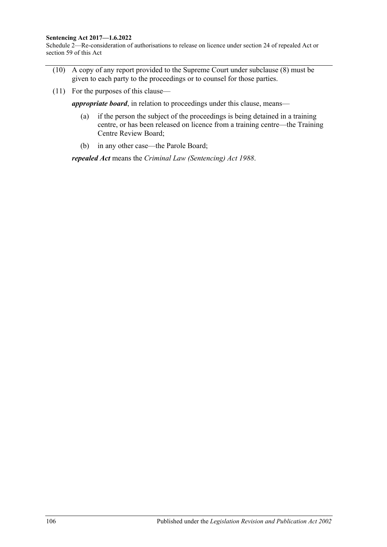#### **Sentencing Act 2017—1.6.2022**

Schedule 2—Re-consideration of authorisations to release on licence under section 24 of repealed Act or section 59 of this Act

- (10) A copy of any report provided to the Supreme Court under [subclause](#page-104-1) (8) must be given to each party to the proceedings or to counsel for those parties.
- (11) For the purposes of this clause—

*appropriate board*, in relation to proceedings under this clause, means—

- (a) if the person the subject of the proceedings is being detained in a training centre, or has been released on licence from a training centre—the Training Centre Review Board;
- (b) in any other case—the Parole Board;

*repealed Act* means the *[Criminal Law \(Sentencing\) Act](http://www.legislation.sa.gov.au/index.aspx?action=legref&type=act&legtitle=Criminal%20Law%20(Sentencing)%20Act%201988) 1988*.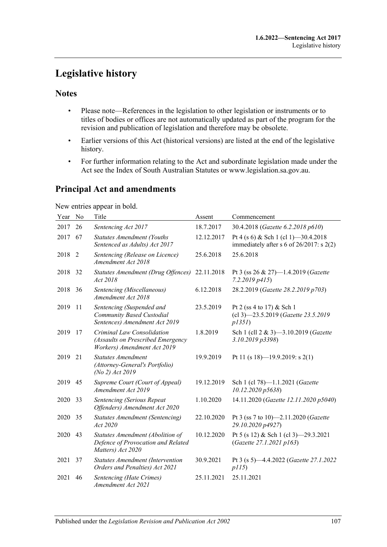# **Legislative history**

# **Notes**

- Please note—References in the legislation to other legislation or instruments or to titles of bodies or offices are not automatically updated as part of the program for the revision and publication of legislation and therefore may be obsolete.
- Earlier versions of this Act (historical versions) are listed at the end of the legislative history.
- For further information relating to the Act and subordinate legislation made under the Act see the Index of South Australian Statutes or www.legislation.sa.gov.au.

# **Principal Act and amendments**

New entries appear in bold.

| Year | No.            | Title                                                                                          | Assent     | Commencement                                                                          |
|------|----------------|------------------------------------------------------------------------------------------------|------------|---------------------------------------------------------------------------------------|
| 2017 | 26             | Sentencing Act 2017                                                                            | 18.7.2017  | 30.4.2018 (Gazette 6.2.2018 p610)                                                     |
| 2017 | 67             | <b>Statutes Amendment (Youths</b><br>Sentenced as Adults) Act 2017                             | 12.12.2017 | Pt 4 (s 6) & Sch 1 (cl 1) -30.4.2018<br>immediately after s 6 of $26/2017$ : s $2(2)$ |
| 2018 | $\overline{2}$ | Sentencing (Release on Licence)<br>Amendment Act 2018                                          | 25.6.2018  | 25.6.2018                                                                             |
| 2018 | 32             | Statutes Amendment (Drug Offences)<br>Act 2018                                                 | 22.11.2018 | Pt 3 (ss 26 & 27)-1.4.2019 (Gazette<br>7.2.2019 p415                                  |
| 2018 | 36             | Sentencing (Miscellaneous)<br>Amendment Act 2018                                               | 6.12.2018  | 28.2.2019 (Gazette 28.2.2019 p703)                                                    |
| 2019 | 11             | Sentencing (Suspended and<br>Community Based Custodial<br>Sentences) Amendment Act 2019        | 23.5.2019  | Pt 2 (ss 4 to 17) & Sch 1<br>(cl 3)-23.5.2019 (Gazette 23.5.2019<br>p1351             |
| 2019 | 17             | Criminal Law Consolidation<br>(Assaults on Prescribed Emergency<br>Workers) Amendment Act 2019 | 1.8.2019   | Sch 1 (cll 2 & 3)-3.10.2019 (Gazette<br>3.10.2019 p3398)                              |
| 2019 | 21             | <b>Statutes Amendment</b><br>(Attorney-General's Portfolio)<br>(No 2) Act 2019                 | 19.9.2019  | Pt 11 (s 18)-19.9.2019: s 2(1)                                                        |
| 2019 | 45             | Supreme Court (Court of Appeal)<br>Amendment Act 2019                                          | 19.12.2019 | Sch 1 (cl 78)-1.1.2021 (Gazette<br>10.12.2020 p5638)                                  |
| 2020 | 33             | <b>Sentencing (Serious Repeat</b><br>Offenders) Amendment Act 2020                             | 1.10.2020  | 14.11.2020 (Gazette 12.11.2020 p5040)                                                 |
| 2020 | 35             | <b>Statutes Amendment (Sentencing)</b><br>Act 2020                                             | 22.10.2020 | Pt 3 (ss 7 to 10)-2.11.2020 (Gazette<br>29.10.2020 p4927)                             |
| 2020 | 43             | Statutes Amendment (Abolition of<br>Defence of Provocation and Related<br>Matters) Act 2020    | 10.12.2020 | Pt 5 (s 12) & Sch 1 (cl 3) -29.3.2021<br>(Gazette 27.1.2021 p163)                     |
| 2021 | 37             | <b>Statutes Amendment (Intervention</b><br>Orders and Penalties) Act 2021                      | 30.9.2021  | Pt 3 (s 5)-4.4.2022 (Gazette 27.1.2022<br>p115)                                       |
| 2021 | 46             | Sentencing (Hate Crimes)<br>Amendment Act 2021                                                 | 25.11.2021 | 25.11.2021                                                                            |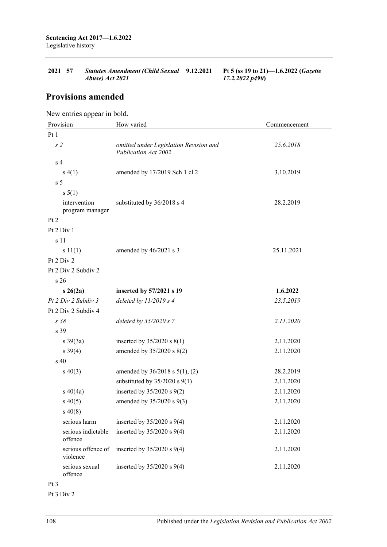| 2021 57         | Statutes Amendment (Child Sexual 9.12.2021 |                | Pt 5 (ss 19 to 21)—1.6.2022 ( <i>Gazette</i> |
|-----------------|--------------------------------------------|----------------|----------------------------------------------|
| Abuse) Act 2021 |                                            | 17.2.2022 p490 |                                              |

# **Provisions amended**

New entries appear in bold.

| Provision                       | How varied                                                     | Commencement |  |  |  |
|---------------------------------|----------------------------------------------------------------|--------------|--|--|--|
| Pt1                             |                                                                |              |  |  |  |
| s <sub>2</sub>                  | omitted under Legislation Revision and<br>Publication Act 2002 | 25.6.2018    |  |  |  |
| s <sub>4</sub>                  |                                                                |              |  |  |  |
| s(4(1))                         | amended by 17/2019 Sch 1 cl 2                                  | 3.10.2019    |  |  |  |
| s <sub>5</sub>                  |                                                                |              |  |  |  |
| $s \, 5(1)$                     |                                                                |              |  |  |  |
| intervention<br>program manager | substituted by 36/2018 s 4                                     | 28.2.2019    |  |  |  |
| Pt 2                            |                                                                |              |  |  |  |
| Pt 2 Div 1                      |                                                                |              |  |  |  |
| s 11                            |                                                                |              |  |  |  |
| s 11(1)                         | amended by 46/2021 s 3                                         | 25.11.2021   |  |  |  |
| Pt 2 Div 2                      |                                                                |              |  |  |  |
| Pt 2 Div 2 Subdiv 2             |                                                                |              |  |  |  |
| s 26                            |                                                                |              |  |  |  |
| $s \; 26(2a)$                   | inserted by 57/2021 s 19                                       | 1.6.2022     |  |  |  |
| Pt 2 Div 2 Subdiv 3             | deleted by $11/2019$ s 4                                       | 23.5.2019    |  |  |  |
| Pt 2 Div 2 Subdiv 4             |                                                                |              |  |  |  |
| s38                             | deleted by $35/2020 s$ 7                                       | 2.11.2020    |  |  |  |
| s 39                            |                                                                |              |  |  |  |
| $s \frac{39(3a)}{2}$            | inserted by $35/2020$ s $8(1)$                                 | 2.11.2020    |  |  |  |
| $s \frac{39(4)}{2}$             | amended by 35/2020 s 8(2)                                      | 2.11.2020    |  |  |  |
| s <sub>40</sub>                 |                                                                |              |  |  |  |
| $s\ 40(3)$                      | amended by $36/2018$ s $5(1)$ , (2)                            | 28.2.2019    |  |  |  |
|                                 | substituted by $35/2020$ s $9(1)$                              | 2.11.2020    |  |  |  |
| $s\ 40(4a)$                     | inserted by 35/2020 s 9(2)                                     | 2.11.2020    |  |  |  |
| $s\ 40(5)$                      | amended by 35/2020 s 9(3)                                      | 2.11.2020    |  |  |  |
| $s\,40(8)$                      |                                                                |              |  |  |  |
| serious harm                    | inserted by $35/2020$ s $9(4)$                                 | 2.11.2020    |  |  |  |
| serious indictable<br>offence   | inserted by $35/2020$ s $9(4)$                                 | 2.11.2020    |  |  |  |
| serious offence of<br>violence  | inserted by $35/2020$ s $9(4)$                                 | 2.11.2020    |  |  |  |
| serious sexual<br>offence       | inserted by $35/2020$ s $9(4)$                                 | 2.11.2020    |  |  |  |

Pt 3

Pt 3 Div 2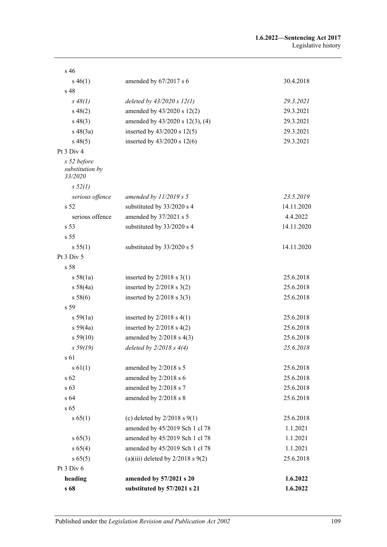| s 46                                      |                                       |            |
|-------------------------------------------|---------------------------------------|------------|
| $s\,46(1)$                                | amended by $67/2017$ s 6              | 30.4.2018  |
| s 48                                      |                                       |            |
| $s \, 48(1)$                              | deleted by $43/2020 s 12(1)$          | 29.3.2021  |
| $s\,48(2)$                                | amended by 43/2020 s 12(2)            | 29.3.2021  |
| $s\,48(3)$                                | amended by 43/2020 s 12(3), (4)       | 29.3.2021  |
| $s\ 48(3a)$                               | inserted by $43/2020$ s $12(5)$       | 29.3.2021  |
| $s\,48(5)$                                | inserted by 43/2020 s 12(6)           | 29.3.2021  |
| Pt 3 Div 4                                |                                       |            |
| s 52 before<br>substitution by<br>33/2020 |                                       |            |
| s 52(1)                                   |                                       |            |
| serious offence                           | amended by $11/2019 s 5$              | 23.5.2019  |
| s <sub>52</sub>                           | substituted by 33/2020 s 4            | 14.11.2020 |
| serious offence                           | amended by 37/2021 s 5                | 4.4.2022   |
| s 53                                      | substituted by 33/2020 s 4            | 14.11.2020 |
| s <sub>55</sub>                           |                                       |            |
| s 55(1)                                   | substituted by 33/2020 s 5            | 14.11.2020 |
| Pt 3 Div 5                                |                                       |            |
| s 58                                      |                                       |            |
| s 58(1a)                                  | inserted by $2/2018$ s $3(1)$         | 25.6.2018  |
| s 58(4a)                                  | inserted by $2/2018$ s $3(2)$         | 25.6.2018  |
| s 58(6)                                   | inserted by $2/2018$ s $3(3)$         | 25.6.2018  |
| s <sub>59</sub>                           |                                       |            |
| s 59(1a)                                  | inserted by $2/2018$ s $4(1)$         | 25.6.2018  |
| s 59(4a)                                  | inserted by $2/2018$ s $4(2)$         | 25.6.2018  |
| s 59(10)                                  | amended by $2/2018$ s $4(3)$          | 25.6.2018  |
| s 59(19)                                  | deleted by $2/2018 s 4(4)$            | 25.6.2018  |
| s 61                                      |                                       |            |
| s 61(1)                                   | amended by 2/2018 s 5                 | 25.6.2018  |
| s 62                                      | amended by 2/2018 s 6                 | 25.6.2018  |
| s 63                                      | amended by 2/2018 s 7                 | 25.6.2018  |
| s 64                                      | amended by 2/2018 s 8                 | 25.6.2018  |
| s 65                                      |                                       |            |
| s 65(1)                                   | (c) deleted by $2/2018$ s $9(1)$      | 25.6.2018  |
|                                           | amended by 45/2019 Sch 1 cl 78        | 1.1.2021   |
| $s\,65(3)$                                | amended by 45/2019 Sch 1 cl 78        | 1.1.2021   |
| s 65(4)                                   | amended by 45/2019 Sch 1 cl 78        | 1.1.2021   |
| s 65(5)                                   | (a)(iii) deleted by $2/2018$ s $9(2)$ | 25.6.2018  |
| Pt 3 Div 6                                |                                       |            |
| heading                                   | amended by 57/2021 s 20               | 1.6.2022   |
| s 68                                      | substituted by 57/2021 s 21           | 1.6.2022   |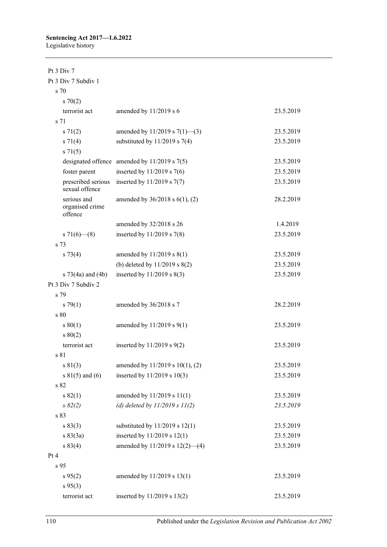### Pt 3 Div 7 Pt 3 Div 7 Subdiv 1 s 70

| 570(2)                                    |                                                  |           |
|-------------------------------------------|--------------------------------------------------|-----------|
| terrorist act                             | amended by 11/2019 s 6                           | 23.5.2019 |
| s 71                                      |                                                  |           |
| $s \, 71(2)$                              | amended by 11/2019 s $7(1)$ —(3)                 | 23.5.2019 |
| $s \ 71(4)$                               | substituted by $11/2019$ s 7(4)                  | 23.5.2019 |
| $s \, 71(5)$                              |                                                  |           |
|                                           | designated offence amended by $11/2019$ s $7(5)$ | 23.5.2019 |
| foster parent                             | inserted by $11/2019$ s 7(6)                     | 23.5.2019 |
| prescribed serious<br>sexual offence      | inserted by $11/2019$ s $7(7)$                   | 23.5.2019 |
| serious and<br>organised crime<br>offence | amended by $36/2018$ s $6(1)$ , (2)              | 28.2.2019 |
|                                           | amended by 32/2018 s 26                          | 1.4.2019  |
| s 71(6)–(8)                               | inserted by $11/2019$ s 7(8)                     | 23.5.2019 |
| s 73                                      |                                                  |           |
| $s \, 73(4)$                              | amended by $11/2019$ s $8(1)$                    | 23.5.2019 |
|                                           | (b) deleted by $11/2019$ s $8(2)$                | 23.5.2019 |
| s $73(4a)$ and $(4b)$                     | inserted by $11/2019$ s $8(3)$                   | 23.5.2019 |
| Pt 3 Div 7 Subdiv 2                       |                                                  |           |
| s 79                                      |                                                  |           |
| $s \, 79(1)$                              | amended by 36/2018 s 7                           | 28.2.2019 |
| s 80                                      |                                                  |           |
| s 80(1)                                   | amended by $11/2019$ s $9(1)$                    | 23.5.2019 |
| s 80(2)                                   |                                                  |           |
| terrorist act                             | inserted by $11/2019$ s $9(2)$                   | 23.5.2019 |
| s 81                                      |                                                  |           |
| s 81(3)                                   | amended by 11/2019 s 10(1), (2)                  | 23.5.2019 |
| s $81(5)$ and $(6)$                       | inserted by 11/2019 s 10(3)                      | 23.5.2019 |
| s 82                                      |                                                  |           |
| s 82(1)                                   | amended by 11/2019 s 11(1)                       | 23.5.2019 |
| $s \, 82(2)$                              | (d) deleted by $11/2019 s 11(2)$                 | 23.5.2019 |
| s 83                                      |                                                  |           |
| s 83(3)                                   | substituted by $11/2019$ s $12(1)$               | 23.5.2019 |
| $s \, 83(3a)$                             | inserted by 11/2019 s 12(1)                      | 23.5.2019 |
| s 83(4)                                   | amended by 11/2019 s 12(2)-(4)                   | 23.5.2019 |
| Pt 4                                      |                                                  |           |
| s 95                                      |                                                  |           |
| s 95(2)                                   | amended by 11/2019 s 13(1)                       | 23.5.2019 |
| $s\,95(3)$                                |                                                  |           |
| terrorist act                             | inserted by 11/2019 s 13(2)                      | 23.5.2019 |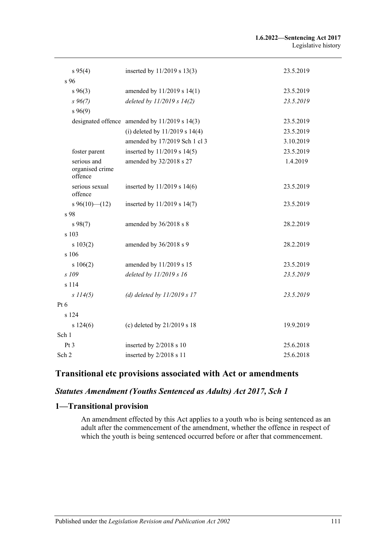| s 95(4)                                   | inserted by 11/2019 s 13(3)                       | 23.5.2019 |
|-------------------------------------------|---------------------------------------------------|-----------|
| $s\,96$                                   |                                                   |           |
| $s\,96(3)$                                | amended by 11/2019 s 14(1)                        | 23.5.2019 |
| $s\,96(7)$                                | deleted by $11/2019 s 14(2)$                      | 23.5.2019 |
| $s\,96(9)$                                |                                                   |           |
|                                           | designated offence amended by $11/2019$ s $14(3)$ | 23.5.2019 |
|                                           | (i) deleted by $11/2019$ s $14(4)$                | 23.5.2019 |
|                                           | amended by 17/2019 Sch 1 cl 3                     | 3.10.2019 |
| foster parent                             | inserted by 11/2019 s 14(5)                       | 23.5.2019 |
| serious and<br>organised crime<br>offence | amended by 32/2018 s 27                           | 1.4.2019  |
| serious sexual<br>offence                 | inserted by $11/2019$ s $14(6)$                   | 23.5.2019 |
| $s\,96(10)$ (12)                          | inserted by 11/2019 s 14(7)                       | 23.5.2019 |
| s 98                                      |                                                   |           |
| $s\,98(7)$                                | amended by 36/2018 s 8                            | 28.2.2019 |
| s 103                                     |                                                   |           |
| s 103(2)                                  | amended by 36/2018 s 9                            | 28.2.2019 |
| s 106                                     |                                                   |           |
| s 106(2)                                  | amended by 11/2019 s 15                           | 23.5.2019 |
| s 109                                     | deleted by 11/2019 s 16                           | 23.5.2019 |
| s 114                                     |                                                   |           |
| s 114(5)                                  | (d) deleted by $11/2019 s 17$                     | 23.5.2019 |
| Pt 6                                      |                                                   |           |
| s 124                                     |                                                   |           |
| s 124(6)                                  | (c) deleted by 21/2019 s 18                       | 19.9.2019 |
| Sch 1                                     |                                                   |           |
| Pt 3                                      | inserted by 2/2018 s 10                           | 25.6.2018 |
| Sch 2                                     | inserted by 2/2018 s 11                           | 25.6.2018 |

# **Transitional etc provisions associated with Act or amendments**

## *Statutes Amendment (Youths Sentenced as Adults) Act 2017, Sch 1*

## **1—Transitional provision**

An amendment effected by this Act applies to a youth who is being sentenced as an adult after the commencement of the amendment, whether the offence in respect of which the youth is being sentenced occurred before or after that commencement.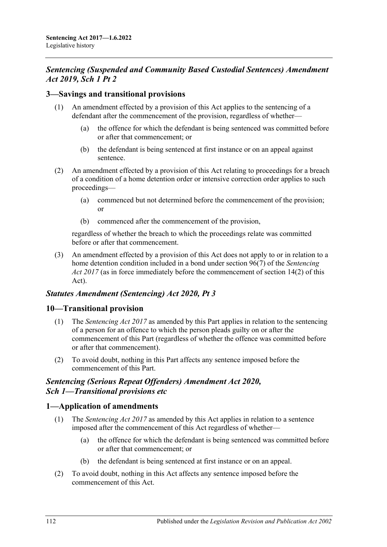## *Sentencing (Suspended and Community Based Custodial Sentences) Amendment Act 2019, Sch 1 Pt 2*

### **3—Savings and transitional provisions**

- (1) An amendment effected by a provision of this Act applies to the sentencing of a defendant after the commencement of the provision, regardless of whether—
	- (a) the offence for which the defendant is being sentenced was committed before or after that commencement; or
	- (b) the defendant is being sentenced at first instance or on an appeal against sentence.
- (2) An amendment effected by a provision of this Act relating to proceedings for a breach of a condition of a home detention order or intensive correction order applies to such proceedings—
	- (a) commenced but not determined before the commencement of the provision; or
	- (b) commenced after the commencement of the provision,

regardless of whether the breach to which the proceedings relate was committed before or after that commencement.

(3) An amendment effected by a provision of this Act does not apply to or in relation to a home detention condition included in a bond under section 96(7) of the *[Sentencing](http://www.legislation.sa.gov.au/index.aspx?action=legref&type=act&legtitle=Sentencing%20Act%202017)  Act [2017](http://www.legislation.sa.gov.au/index.aspx?action=legref&type=act&legtitle=Sentencing%20Act%202017)* (as in force immediately before the commencement of section 14(2) of this Act).

#### *Statutes Amendment (Sentencing) Act 2020, Pt 3*

#### **10—Transitional provision**

- (1) The *[Sentencing Act](http://www.legislation.sa.gov.au/index.aspx?action=legref&type=act&legtitle=Sentencing%20Act%202017) 2017* as amended by this Part applies in relation to the sentencing of a person for an offence to which the person pleads guilty on or after the commencement of this Part (regardless of whether the offence was committed before or after that commencement).
- (2) To avoid doubt, nothing in this Part affects any sentence imposed before the commencement of this Part.

#### *Sentencing (Serious Repeat Offenders) Amendment Act 2020, Sch 1—Transitional provisions etc*

#### **1—Application of amendments**

- (1) The *[Sentencing Act](http://www.legislation.sa.gov.au/index.aspx?action=legref&type=act&legtitle=Sentencing%20Act%202017) 2017* as amended by this Act applies in relation to a sentence imposed after the commencement of this Act regardless of whether—
	- (a) the offence for which the defendant is being sentenced was committed before or after that commencement; or
	- (b) the defendant is being sentenced at first instance or on an appeal.
- (2) To avoid doubt, nothing in this Act affects any sentence imposed before the commencement of this Act.